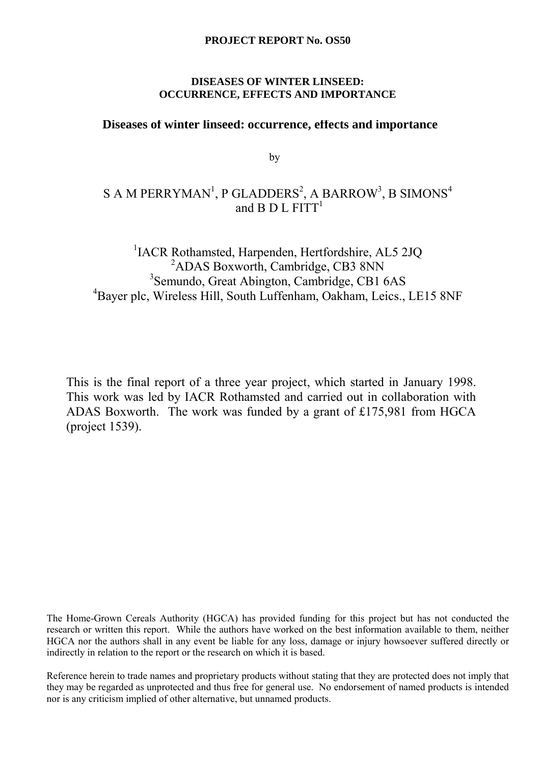## **PROJECT REPORT No. OS50**

# **POCCURRENCE, EFFECTS AND IMPORTANCE DISEASES OF WINTER LINSEED:**

# **Diseases of winter linseed: occurrence, effects and importance**

by

# S A M PERRYMAN $^{\rm l}$ , P GLADDERS $^{\rm 2}$ , A BARROW $^{\rm 3}$ , B SIMONS $^{\rm 4}$ and B D L  $FITT<sup>1</sup>$

#### thamsted Harnenden Hertfordsh  ${}^{2}$ ADAS Boxworth, Cambridge, CB3 8N <sup>3</sup>Semundo, Great Abington, Cambridge, CB1 6AS <sup>1</sup>IACR Rothamsted, Harpenden, Hertfordshire, AL5 2JQ <sup>2</sup>ADAS Boxworth, Cambridge, CB3 8NN 4 Bayer plc, Wireless Hill, South Luffenham, Oakham, Leics., LE15 8NF

This is the final report of a three year project, which started in January 1998. This work was led by IACR Rothamsted and carried out in collaboration with ADAS Boxworth. The work was funded by a grant of £175,981 from HGCA (project 1539).

The Home-Grown Cereals Authority (HGCA) has provided funding for this project but has not conducted the research or written this report. While the authors have worked on the best information available to them, neither HGCA nor the authors shall in any event be liable for any loss, damage or injury howsoever suffered directly or indirectly in relation to the report or the research on which it is based.

Reference herein to trade names and proprietary products without stating that they are protected does not imply that they may be regarded as unprotected and thus free for general use. No endorsement of named products is intended nor is any criticism implied of other alternative, but unnamed products.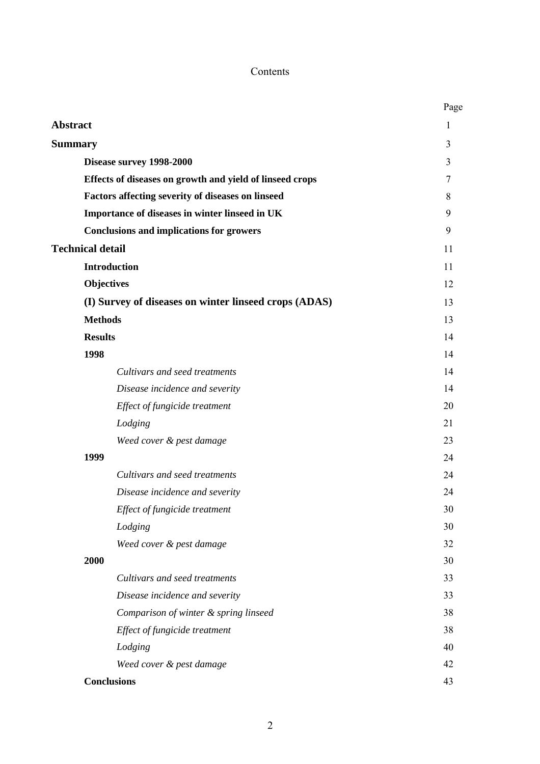# Contents

|                                                          | Page |
|----------------------------------------------------------|------|
| <b>Abstract</b>                                          | 1    |
| <b>Summary</b>                                           | 3    |
| Disease survey 1998-2000                                 | 3    |
| Effects of diseases on growth and yield of linseed crops | 7    |
| Factors affecting severity of diseases on linseed        | 8    |
| Importance of diseases in winter linseed in UK           | 9    |
| <b>Conclusions and implications for growers</b>          | 9    |
| <b>Technical detail</b>                                  | 11   |
| <b>Introduction</b>                                      | 11   |
| <b>Objectives</b>                                        | 12   |
| (I) Survey of diseases on winter linseed crops (ADAS)    | 13   |
| <b>Methods</b>                                           | 13   |
| <b>Results</b>                                           | 14   |
| 1998                                                     | 14   |
| Cultivars and seed treatments                            | 14   |
| Disease incidence and severity                           | 14   |
| Effect of fungicide treatment                            | 20   |
| Lodging                                                  | 21   |
| Weed cover & pest damage                                 | 23   |
| 1999                                                     | 24   |
| Cultivars and seed treatments                            | 24   |
| Disease incidence and severity                           | 24   |
| Effect of fungicide treatment                            | 30   |
| Lodging                                                  | 30   |
| Weed cover & pest damage                                 | 32   |
| 2000                                                     | 30   |
| Cultivars and seed treatments                            | 33   |
| Disease incidence and severity                           | 33   |
| Comparison of winter & spring linseed                    | 38   |
| Effect of fungicide treatment                            | 38   |
| Lodging                                                  | 40   |
| Weed cover & pest damage                                 | 42   |
| <b>Conclusions</b>                                       | 43   |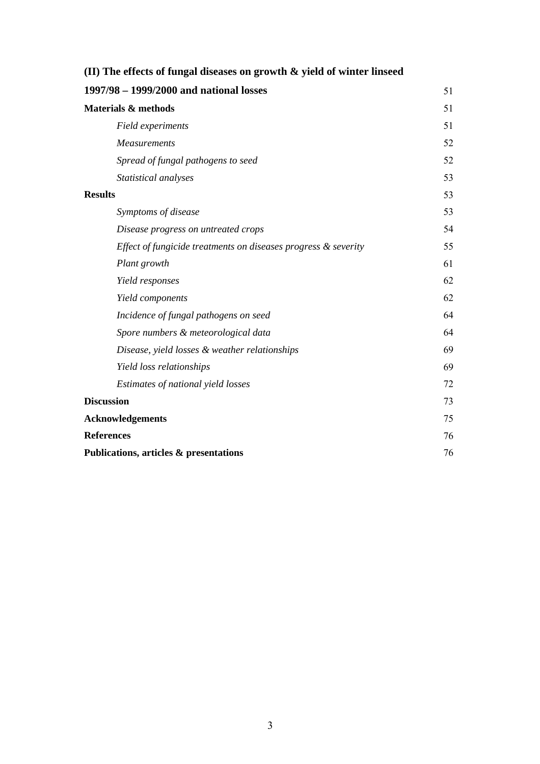| (II) The effects of fungal diseases on growth $\&$ yield of winter linseed |    |  |
|----------------------------------------------------------------------------|----|--|
| 1997/98 - 1999/2000 and national losses                                    | 51 |  |
| <b>Materials &amp; methods</b>                                             | 51 |  |
| Field experiments                                                          | 51 |  |
| <b>Measurements</b>                                                        | 52 |  |
| Spread of fungal pathogens to seed                                         | 52 |  |
| Statistical analyses                                                       | 53 |  |
| <b>Results</b>                                                             | 53 |  |
| Symptoms of disease                                                        | 53 |  |
| Disease progress on untreated crops                                        | 54 |  |
| Effect of fungicide treatments on diseases progress & severity             | 55 |  |
| Plant growth                                                               | 61 |  |
| Yield responses                                                            | 62 |  |
| Yield components                                                           | 62 |  |
| Incidence of fungal pathogens on seed                                      | 64 |  |
| Spore numbers & meteorological data                                        | 64 |  |
| Disease, yield losses & weather relationships                              | 69 |  |
| Yield loss relationships                                                   | 69 |  |
| Estimates of national yield losses                                         | 72 |  |
| <b>Discussion</b>                                                          | 73 |  |
| <b>Acknowledgements</b>                                                    | 75 |  |
| <b>References</b>                                                          | 76 |  |
| Publications, articles & presentations                                     | 76 |  |
|                                                                            |    |  |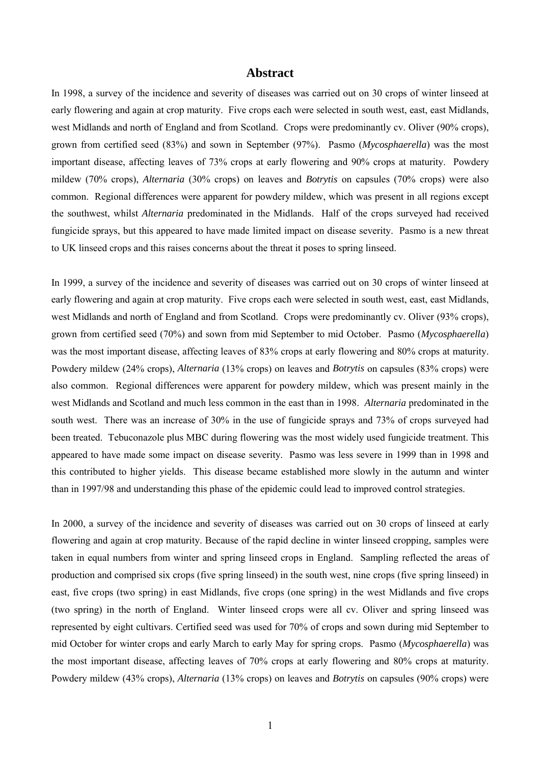### **Abstract**

In 1998, a survey of the incidence and severity of diseases was carried out on 30 crops of winter linseed at early flowering and again at crop maturity. Five crops each were selected in south west, east, east Midlands, west Midlands and north of England and from Scotland. Crops were predominantly cv. Oliver (90% crops), grown from certified seed (83%) and sown in September (97%). Pasmo (*Mycosphaerella*) was the most important disease, affecting leaves of 73% crops at early flowering and 90% crops at maturity. Powdery mildew (70% crops), *Alternaria* (30% crops) on leaves and *Botrytis* on capsules (70% crops) were also common. Regional differences were apparent for powdery mildew, which was present in all regions except the southwest, whilst *Alternaria* predominated in the Midlands. Half of the crops surveyed had received fungicide sprays, but this appeared to have made limited impact on disease severity. Pasmo is a new threat to UK linseed crops and this raises concerns about the threat it poses to spring linseed.

In 1999, a survey of the incidence and severity of diseases was carried out on 30 crops of winter linseed at early flowering and again at crop maturity. Five crops each were selected in south west, east, east Midlands, west Midlands and north of England and from Scotland. Crops were predominantly cv. Oliver (93% crops), grown from certified seed (70%) and sown from mid September to mid October. Pasmo (*Mycosphaerella*) was the most important disease, affecting leaves of 83% crops at early flowering and 80% crops at maturity. Powdery mildew (24% crops), *Alternaria* (13% crops) on leaves and *Botrytis* on capsules (83% crops) were also common. Regional differences were apparent for powdery mildew, which was present mainly in the west Midlands and Scotland and much less common in the east than in 1998. *Alternaria* predominated in the south west. There was an increase of 30% in the use of fungicide sprays and 73% of crops surveyed had been treated. Tebuconazole plus MBC during flowering was the most widely used fungicide treatment. This appeared to have made some impact on disease severity. Pasmo was less severe in 1999 than in 1998 and this contributed to higher yields. This disease became established more slowly in the autumn and winter than in 1997/98 and understanding this phase of the epidemic could lead to improved control strategies.

In 2000, a survey of the incidence and severity of diseases was carried out on 30 crops of linseed at early flowering and again at crop maturity. Because of the rapid decline in winter linseed cropping, samples were taken in equal numbers from winter and spring linseed crops in England. Sampling reflected the areas of production and comprised six crops (five spring linseed) in the south west, nine crops (five spring linseed) in east, five crops (two spring) in east Midlands, five crops (one spring) in the west Midlands and five crops (two spring) in the north of England. Winter linseed crops were all cv. Oliver and spring linseed was represented by eight cultivars. Certified seed was used for 70% of crops and sown during mid September to mid October for winter crops and early March to early May for spring crops. Pasmo (*Mycosphaerella*) was the most important disease, affecting leaves of 70% crops at early flowering and 80% crops at maturity. Powdery mildew (43% crops), *Alternaria* (13% crops) on leaves and *Botrytis* on capsules (90% crops) were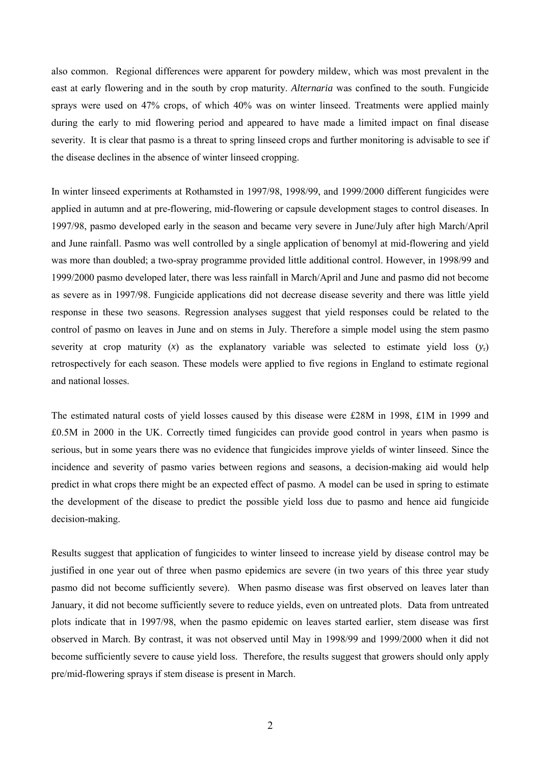also common. Regional differences were apparent for powdery mildew, which was most prevalent in the east at early flowering and in the south by crop maturity. *Alternaria* was confined to the south. Fungicide sprays were used on 47% crops, of which 40% was on winter linseed. Treatments were applied mainly during the early to mid flowering period and appeared to have made a limited impact on final disease severity. It is clear that pasmo is a threat to spring linseed crops and further monitoring is advisable to see if the disease declines in the absence of winter linseed cropping.

In winter linseed experiments at Rothamsted in 1997/98, 1998/99, and 1999/2000 different fungicides were applied in autumn and at pre-flowering, mid-flowering or capsule development stages to control diseases. In 1997/98, pasmo developed early in the season and became very severe in June/July after high March/April and June rainfall. Pasmo was well controlled by a single application of benomyl at mid-flowering and yield was more than doubled; a two-spray programme provided little additional control. However, in 1998/99 and 1999/2000 pasmo developed later, there was less rainfall in March/April and June and pasmo did not become as severe as in 1997/98. Fungicide applications did not decrease disease severity and there was little yield response in these two seasons. Regression analyses suggest that yield responses could be related to the control of pasmo on leaves in June and on stems in July. Therefore a simple model using the stem pasmo severity at crop maturity  $(x)$  as the explanatory variable was selected to estimate yield loss  $(y<sub>r</sub>)$ retrospectively for each season. These models were applied to five regions in England to estimate regional and national losses.

The estimated natural costs of yield losses caused by this disease were £28M in 1998, £1M in 1999 and £0.5M in 2000 in the UK. Correctly timed fungicides can provide good control in years when pasmo is serious, but in some years there was no evidence that fungicides improve yields of winter linseed. Since the incidence and severity of pasmo varies between regions and seasons, a decision-making aid would help predict in what crops there might be an expected effect of pasmo. A model can be used in spring to estimate the development of the disease to predict the possible yield loss due to pasmo and hence aid fungicide decision-making.

Results suggest that application of fungicides to winter linseed to increase yield by disease control may be justified in one year out of three when pasmo epidemics are severe (in two years of this three year study pasmo did not become sufficiently severe). When pasmo disease was first observed on leaves later than January, it did not become sufficiently severe to reduce yields, even on untreated plots. Data from untreated plots indicate that in 1997/98, when the pasmo epidemic on leaves started earlier, stem disease was first observed in March. By contrast, it was not observed until May in 1998/99 and 1999/2000 when it did not become sufficiently severe to cause yield loss. Therefore, the results suggest that growers should only apply pre/mid-flowering sprays if stem disease is present in March.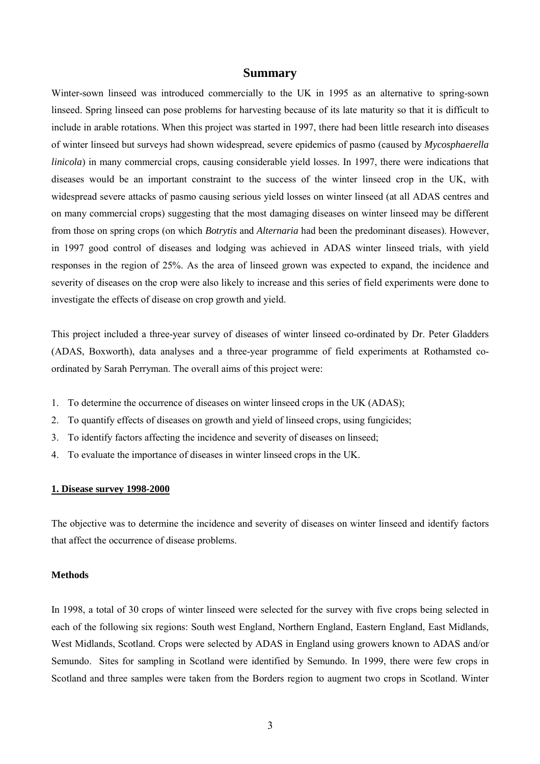#### **Summary**

Winter-sown linseed was introduced commercially to the UK in 1995 as an alternative to spring-sown linseed. Spring linseed can pose problems for harvesting because of its late maturity so that it is difficult to include in arable rotations. When this project was started in 1997, there had been little research into diseases of winter linseed but surveys had shown widespread, severe epidemics of pasmo (caused by *Mycosphaerella linicola*) in many commercial crops, causing considerable yield losses. In 1997, there were indications that diseases would be an important constraint to the success of the winter linseed crop in the UK, with widespread severe attacks of pasmo causing serious yield losses on winter linseed (at all ADAS centres and on many commercial crops) suggesting that the most damaging diseases on winter linseed may be different from those on spring crops (on which *Botrytis* and *Alternaria* had been the predominant diseases). However, in 1997 good control of diseases and lodging was achieved in ADAS winter linseed trials, with yield responses in the region of 25%. As the area of linseed grown was expected to expand, the incidence and severity of diseases on the crop were also likely to increase and this series of field experiments were done to investigate the effects of disease on crop growth and yield.

This project included a three-year survey of diseases of winter linseed co-ordinated by Dr. Peter Gladders (ADAS, Boxworth), data analyses and a three-year programme of field experiments at Rothamsted coordinated by Sarah Perryman. The overall aims of this project were:

- 1. To determine the occurrence of diseases on winter linseed crops in the UK (ADAS);
- 2. To quantify effects of diseases on growth and yield of linseed crops, using fungicides;
- 3. To identify factors affecting the incidence and severity of diseases on linseed;
- 4. To evaluate the importance of diseases in winter linseed crops in the UK.

#### **1. Disease survey 1998-2000**

The objective was to determine the incidence and severity of diseases on winter linseed and identify factors that affect the occurrence of disease problems.

#### **Methods**

In 1998, a total of 30 crops of winter linseed were selected for the survey with five crops being selected in each of the following six regions: South west England, Northern England, Eastern England, East Midlands, West Midlands, Scotland. Crops were selected by ADAS in England using growers known to ADAS and/or Semundo. Sites for sampling in Scotland were identified by Semundo. In 1999, there were few crops in Scotland and three samples were taken from the Borders region to augment two crops in Scotland. Winter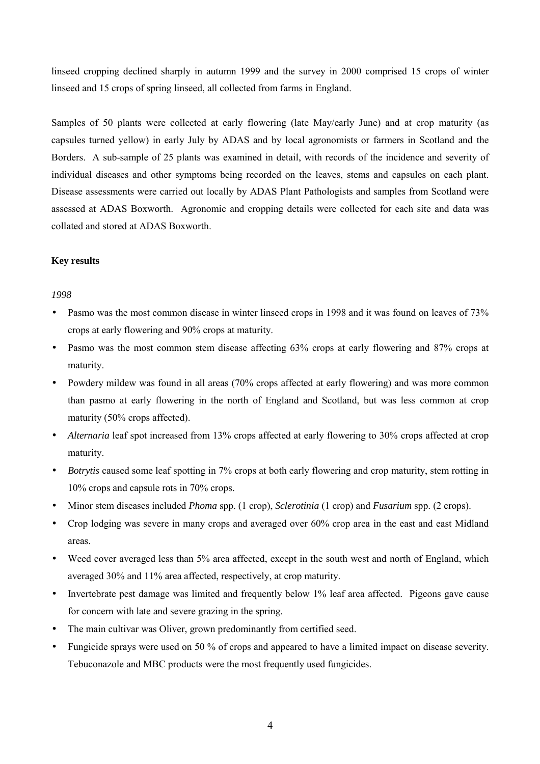linseed cropping declined sharply in autumn 1999 and the survey in 2000 comprised 15 crops of winter linseed and 15 crops of spring linseed, all collected from farms in England.

Samples of 50 plants were collected at early flowering (late May/early June) and at crop maturity (as capsules turned yellow) in early July by ADAS and by local agronomists or farmers in Scotland and the Borders. A sub-sample of 25 plants was examined in detail, with records of the incidence and severity of individual diseases and other symptoms being recorded on the leaves, stems and capsules on each plant. Disease assessments were carried out locally by ADAS Plant Pathologists and samples from Scotland were assessed at ADAS Boxworth. Agronomic and cropping details were collected for each site and data was collated and stored at ADAS Boxworth.

### **Key results**

### *1998*

- Pasmo was the most common disease in winter linseed crops in 1998 and it was found on leaves of 73% crops at early flowering and 90% crops at maturity.
- Pasmo was the most common stem disease affecting 63% crops at early flowering and 87% crops at maturity.
- Powdery mildew was found in all areas (70% crops affected at early flowering) and was more common than pasmo at early flowering in the north of England and Scotland, but was less common at crop maturity (50% crops affected).
- *Alternaria* leaf spot increased from 13% crops affected at early flowering to 30% crops affected at crop maturity.
- *Botrytis* caused some leaf spotting in 7% crops at both early flowering and crop maturity, stem rotting in 10% crops and capsule rots in 70% crops.
- Minor stem diseases included *Phoma* spp. (1 crop), *Sclerotinia* (1 crop) and *Fusarium* spp. (2 crops).
- Crop lodging was severe in many crops and averaged over 60% crop area in the east and east Midland areas.
- Weed cover averaged less than 5% area affected, except in the south west and north of England, which averaged 30% and 11% area affected, respectively, at crop maturity.
- Invertebrate pest damage was limited and frequently below 1% leaf area affected. Pigeons gave cause for concern with late and severe grazing in the spring.
- The main cultivar was Oliver, grown predominantly from certified seed.
- Fungicide sprays were used on 50 % of crops and appeared to have a limited impact on disease severity. Tebuconazole and MBC products were the most frequently used fungicides.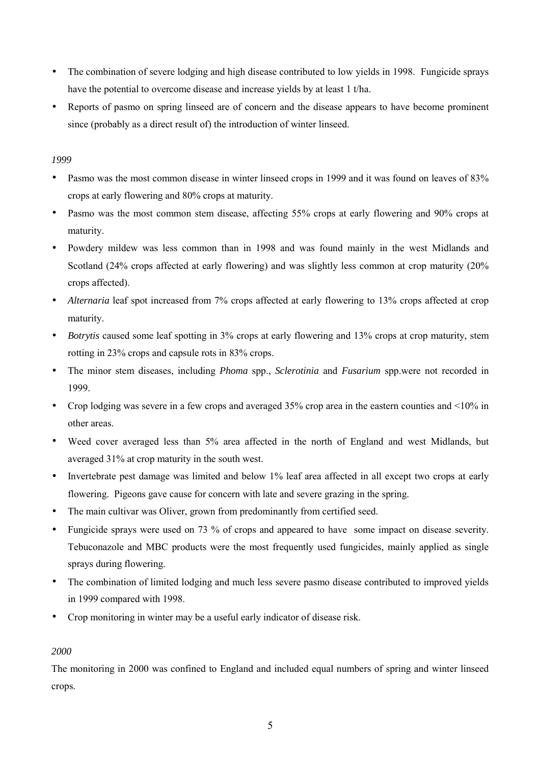- The combination of severe lodging and high disease contributed to low yields in 1998. Fungicide sprays have the potential to overcome disease and increase yields by at least 1 t/ha.
- Reports of pasmo on spring linseed are of concern and the disease appears to have become prominent since (probably as a direct result of) the introduction of winter linseed.

## *1999*

- Pasmo was the most common disease in winter linseed crops in 1999 and it was found on leaves of 83% crops at early flowering and 80% crops at maturity.
- Pasmo was the most common stem disease, affecting 55% crops at early flowering and 90% crops at maturity.
- Powdery mildew was less common than in 1998 and was found mainly in the west Midlands and Scotland (24% crops affected at early flowering) and was slightly less common at crop maturity (20% crops affected).
- *Alternaria* leaf spot increased from 7% crops affected at early flowering to 13% crops affected at crop maturity.
- *Botrytis* caused some leaf spotting in 3% crops at early flowering and 13% crops at crop maturity, stem rotting in 23% crops and capsule rots in 83% crops.
- The minor stem diseases, including *Phoma* spp., *Sclerotinia* and *Fusarium* spp.were not recorded in 1999.
- Crop lodging was severe in a few crops and averaged 35% crop area in the eastern counties and <10% in other areas.
- Weed cover averaged less than 5% area affected in the north of England and west Midlands, but averaged 31% at crop maturity in the south west.
- Invertebrate pest damage was limited and below 1% leaf area affected in all except two crops at early flowering. Pigeons gave cause for concern with late and severe grazing in the spring.
- The main cultivar was Oliver, grown from predominantly from certified seed.
- Fungicide sprays were used on 73 % of crops and appeared to have some impact on disease severity. Tebuconazole and MBC products were the most frequently used fungicides, mainly applied as single sprays during flowering.
- The combination of limited lodging and much less severe pasmo disease contributed to improved yields in 1999 compared with 1998.
- Crop monitoring in winter may be a useful early indicator of disease risk.

## *2000*

The monitoring in 2000 was confined to England and included equal numbers of spring and winter linseed crops.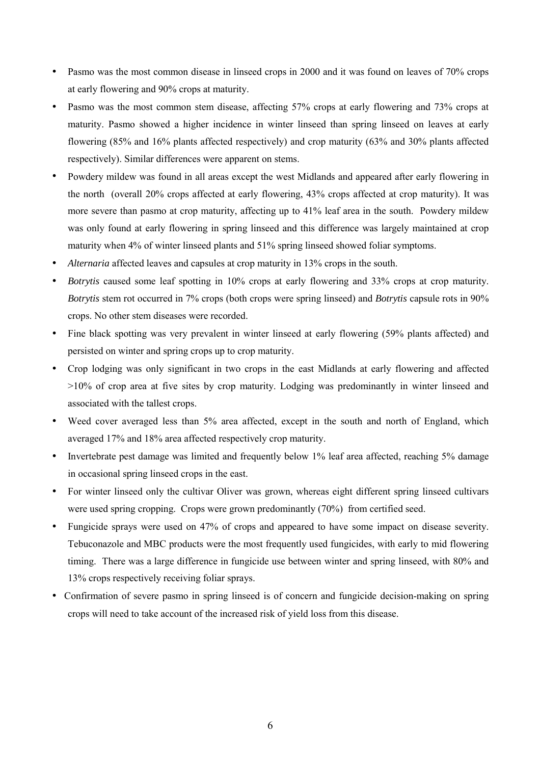- Pasmo was the most common disease in linseed crops in 2000 and it was found on leaves of 70% crops at early flowering and 90% crops at maturity.
- Pasmo was the most common stem disease, affecting 57% crops at early flowering and 73% crops at maturity. Pasmo showed a higher incidence in winter linseed than spring linseed on leaves at early flowering (85% and 16% plants affected respectively) and crop maturity (63% and 30% plants affected respectively). Similar differences were apparent on stems.
- Powdery mildew was found in all areas except the west Midlands and appeared after early flowering in the north (overall 20% crops affected at early flowering, 43% crops affected at crop maturity). It was more severe than pasmo at crop maturity, affecting up to 41% leaf area in the south. Powdery mildew was only found at early flowering in spring linseed and this difference was largely maintained at crop maturity when 4% of winter linseed plants and 51% spring linseed showed foliar symptoms.
- *Alternaria* affected leaves and capsules at crop maturity in 13% crops in the south.
- *Botrytis* caused some leaf spotting in 10% crops at early flowering and 33% crops at crop maturity. *Botrytis* stem rot occurred in 7% crops (both crops were spring linseed) and *Botrytis* capsule rots in 90% crops. No other stem diseases were recorded.
- Fine black spotting was very prevalent in winter linseed at early flowering (59% plants affected) and persisted on winter and spring crops up to crop maturity.
- Crop lodging was only significant in two crops in the east Midlands at early flowering and affected >10% of crop area at five sites by crop maturity. Lodging was predominantly in winter linseed and associated with the tallest crops.
- Weed cover averaged less than 5% area affected, except in the south and north of England, which averaged 17% and 18% area affected respectively crop maturity.
- Invertebrate pest damage was limited and frequently below 1% leaf area affected, reaching 5% damage in occasional spring linseed crops in the east.
- For winter linseed only the cultivar Oliver was grown, whereas eight different spring linseed cultivars were used spring cropping. Crops were grown predominantly (70%) from certified seed.
- Fungicide sprays were used on 47% of crops and appeared to have some impact on disease severity. Tebuconazole and MBC products were the most frequently used fungicides, with early to mid flowering timing. There was a large difference in fungicide use between winter and spring linseed, with 80% and 13% crops respectively receiving foliar sprays.
- Confirmation of severe pasmo in spring linseed is of concern and fungicide decision-making on spring crops will need to take account of the increased risk of yield loss from this disease.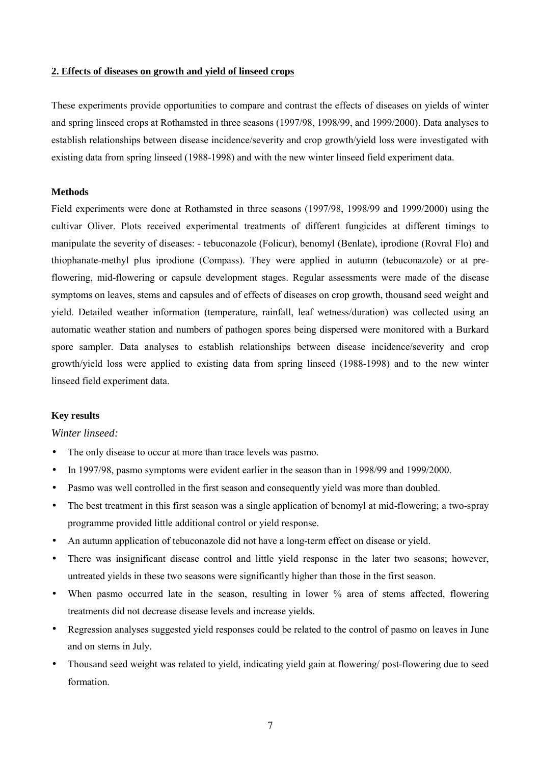#### **2. Effects of diseases on growth and yield of linseed crops**

These experiments provide opportunities to compare and contrast the effects of diseases on yields of winter and spring linseed crops at Rothamsted in three seasons (1997/98, 1998/99, and 1999/2000). Data analyses to establish relationships between disease incidence/severity and crop growth/yield loss were investigated with existing data from spring linseed (1988-1998) and with the new winter linseed field experiment data.

### **Methods**

Field experiments were done at Rothamsted in three seasons (1997/98, 1998/99 and 1999/2000) using the cultivar Oliver. Plots received experimental treatments of different fungicides at different timings to manipulate the severity of diseases: - tebuconazole (Folicur), benomyl (Benlate), iprodione (Rovral Flo) and thiophanate-methyl plus iprodione (Compass). They were applied in autumn (tebuconazole) or at preflowering, mid-flowering or capsule development stages. Regular assessments were made of the disease symptoms on leaves, stems and capsules and of effects of diseases on crop growth, thousand seed weight and yield. Detailed weather information (temperature, rainfall, leaf wetness/duration) was collected using an automatic weather station and numbers of pathogen spores being dispersed were monitored with a Burkard spore sampler. Data analyses to establish relationships between disease incidence/severity and crop growth/yield loss were applied to existing data from spring linseed (1988-1998) and to the new winter linseed field experiment data.

#### **Key results**

#### *Winter linseed:*

- The only disease to occur at more than trace levels was pasmo.
- In 1997/98, pasmo symptoms were evident earlier in the season than in 1998/99 and 1999/2000.
- Pasmo was well controlled in the first season and consequently yield was more than doubled.
- The best treatment in this first season was a single application of benomyl at mid-flowering; a two-spray programme provided little additional control or yield response.
- An autumn application of tebuconazole did not have a long-term effect on disease or yield.
- There was insignificant disease control and little yield response in the later two seasons; however, untreated yields in these two seasons were significantly higher than those in the first season.
- When pasmo occurred late in the season, resulting in lower % area of stems affected, flowering treatments did not decrease disease levels and increase yields.
- Regression analyses suggested yield responses could be related to the control of pasmo on leaves in June and on stems in July.
- Thousand seed weight was related to yield, indicating yield gain at flowering/ post-flowering due to seed formation.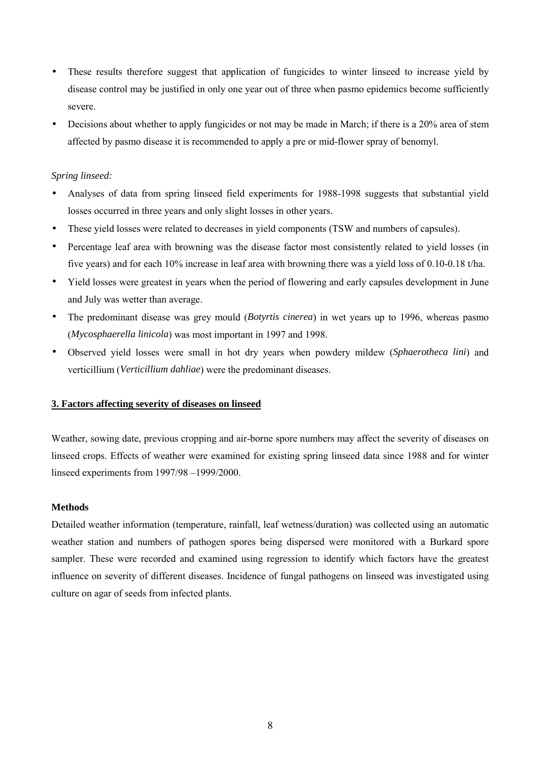- These results therefore suggest that application of fungicides to winter linseed to increase yield by disease control may be justified in only one year out of three when pasmo epidemics become sufficiently severe.
- Decisions about whether to apply fungicides or not may be made in March; if there is a 20% area of stem affected by pasmo disease it is recommended to apply a pre or mid-flower spray of benomyl.

### *Spring linseed:*

- Analyses of data from spring linseed field experiments for 1988-1998 suggests that substantial yield losses occurred in three years and only slight losses in other years.
- These yield losses were related to decreases in yield components (TSW and numbers of capsules).
- Percentage leaf area with browning was the disease factor most consistently related to yield losses (in five years) and for each 10% increase in leaf area with browning there was a yield loss of 0.10-0.18 t/ha.
- Yield losses were greatest in years when the period of flowering and early capsules development in June and July was wetter than average.
- The predominant disease was grey mould (*Botyrtis cinerea*) in wet years up to 1996, whereas pasmo (*Mycosphaerella linicola*) was most important in 1997 and 1998.
- Observed yield losses were small in hot dry years when powdery mildew (*Sphaerotheca lini*) and verticillium (*Verticillium dahliae*) were the predominant diseases.

## **3. Factors affecting severity of diseases on linseed**

Weather, sowing date, previous cropping and air-borne spore numbers may affect the severity of diseases on linseed crops. Effects of weather were examined for existing spring linseed data since 1988 and for winter linseed experiments from 1997/98 –1999/2000.

### **Methods**

Detailed weather information (temperature, rainfall, leaf wetness/duration) was collected using an automatic weather station and numbers of pathogen spores being dispersed were monitored with a Burkard spore sampler. These were recorded and examined using regression to identify which factors have the greatest influence on severity of different diseases. Incidence of fungal pathogens on linseed was investigated using culture on agar of seeds from infected plants.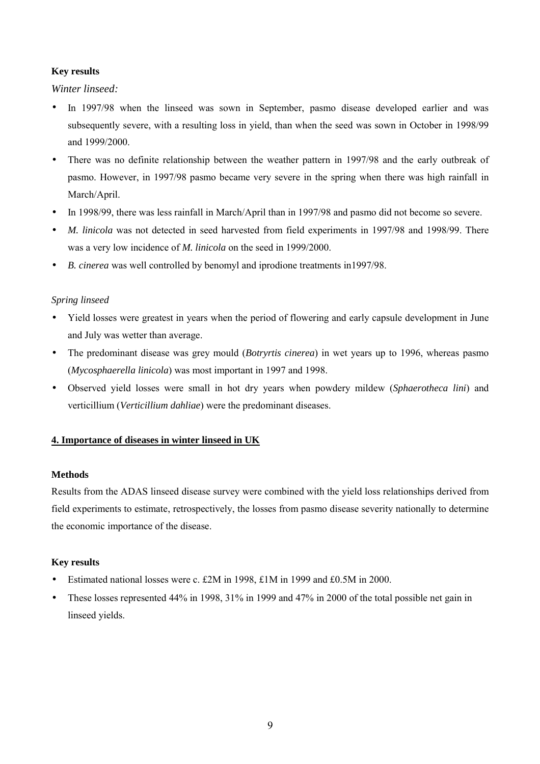### **Key results**

*Winter linseed:*

- In 1997/98 when the linseed was sown in September, pasmo disease developed earlier and was subsequently severe, with a resulting loss in yield, than when the seed was sown in October in 1998/99 and 1999/2000.
- There was no definite relationship between the weather pattern in 1997/98 and the early outbreak of pasmo. However, in 1997/98 pasmo became very severe in the spring when there was high rainfall in March/April.
- In 1998/99, there was less rainfall in March/April than in 1997/98 and pasmo did not become so severe.
- *M. linicola* was not detected in seed harvested from field experiments in 1997/98 and 1998/99. There was a very low incidence of *M. linicola* on the seed in 1999/2000.
- *B. cinerea* was well controlled by benomyl and iprodione treatments in1997/98.

### *Spring linseed*

- Yield losses were greatest in years when the period of flowering and early capsule development in June and July was wetter than average.
- The predominant disease was grey mould (*Botryrtis cinerea*) in wet years up to 1996, whereas pasmo (*Mycosphaerella linicola*) was most important in 1997 and 1998.
- Observed yield losses were small in hot dry years when powdery mildew (*Sphaerotheca lini*) and verticillium (*Verticillium dahliae*) were the predominant diseases.

## **4. Importance of diseases in winter linseed in UK**

### **Methods**

Results from the ADAS linseed disease survey were combined with the yield loss relationships derived from field experiments to estimate, retrospectively, the losses from pasmo disease severity nationally to determine the economic importance of the disease.

## **Key results**

- Estimated national losses were c. £2M in 1998, £1M in 1999 and £0.5M in 2000.
- These losses represented 44% in 1998, 31% in 1999 and 47% in 2000 of the total possible net gain in linseed yields.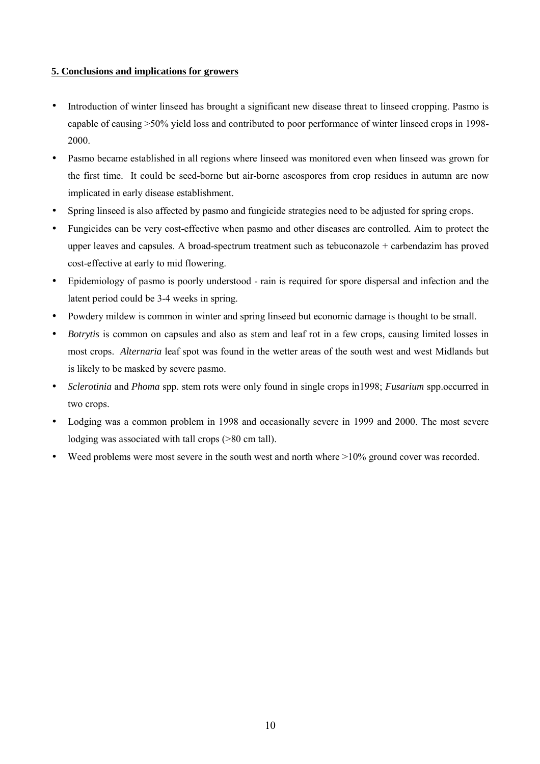### **5. Conclusions and implications for growers**

- Introduction of winter linseed has brought a significant new disease threat to linseed cropping. Pasmo is capable of causing >50% yield loss and contributed to poor performance of winter linseed crops in 1998- 2000.
- Pasmo became established in all regions where linseed was monitored even when linseed was grown for the first time. It could be seed-borne but air-borne ascospores from crop residues in autumn are now implicated in early disease establishment.
- Spring linseed is also affected by pasmo and fungicide strategies need to be adjusted for spring crops.
- Fungicides can be very cost-effective when pasmo and other diseases are controlled. Aim to protect the upper leaves and capsules. A broad-spectrum treatment such as tebuconazole + carbendazim has proved cost-effective at early to mid flowering.
- Epidemiology of pasmo is poorly understood rain is required for spore dispersal and infection and the latent period could be 3-4 weeks in spring.
- Powdery mildew is common in winter and spring linseed but economic damage is thought to be small.
- *Botrytis* is common on capsules and also as stem and leaf rot in a few crops, causing limited losses in most crops. *Alternaria* leaf spot was found in the wetter areas of the south west and west Midlands but is likely to be masked by severe pasmo.
- *Sclerotinia* and *Phoma* spp. stem rots were only found in single crops in1998; *Fusarium* spp.occurred in two crops.
- Lodging was a common problem in 1998 and occasionally severe in 1999 and 2000. The most severe lodging was associated with tall crops (>80 cm tall).
- Weed problems were most severe in the south west and north where  $>10\%$  ground cover was recorded.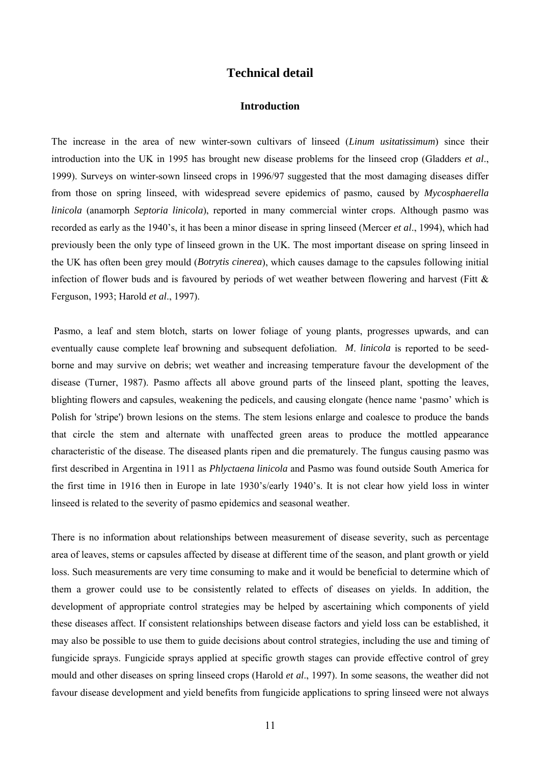## **Technical detail**

### **Introduction**

The increase in the area of new winter-sown cultivars of linseed (*Linum usitatissimum*) since their introduction into the UK in 1995 has brought new disease problems for the linseed crop (Gladders *et al*., 1999). Surveys on winter-sown linseed crops in 1996/97 suggested that the most damaging diseases differ from those on spring linseed, with widespread severe epidemics of pasmo, caused by *Mycosphaerella linicola* (anamorph *Septoria linicola*), reported in many commercial winter crops. Although pasmo was recorded as early as the 1940's, it has been a minor disease in spring linseed (Mercer *et al*., 1994), which had previously been the only type of linseed grown in the UK. The most important disease on spring linseed in the UK has often been grey mould (*Botrytis cinerea*), which causes damage to the capsules following initial infection of flower buds and is favoured by periods of wet weather between flowering and harvest (Fitt  $\&$ Ferguson, 1993; Harold *et al*., 1997).

 Pasmo, a leaf and stem blotch, starts on lower foliage of young plants, progresses upwards, and can eventually cause complete leaf browning and subsequent defoliation. *M*. *linicola* is reported to be seedborne and may survive on debris; wet weather and increasing temperature favour the development of the disease (Turner, 1987). Pasmo affects all above ground parts of the linseed plant, spotting the leaves, blighting flowers and capsules, weakening the pedicels, and causing elongate (hence name 'pasmo' which is Polish for 'stripe') brown lesions on the stems. The stem lesions enlarge and coalesce to produce the bands that circle the stem and alternate with unaffected green areas to produce the mottled appearance characteristic of the disease. The diseased plants ripen and die prematurely. The fungus causing pasmo was first described in Argentina in 1911 as *Phlyctaena linicola* and Pasmo was found outside South America for the first time in 1916 then in Europe in late 1930's/early 1940's. It is not clear how yield loss in winter linseed is related to the severity of pasmo epidemics and seasonal weather.

There is no information about relationships between measurement of disease severity, such as percentage area of leaves, stems or capsules affected by disease at different time of the season, and plant growth or yield loss. Such measurements are very time consuming to make and it would be beneficial to determine which of them a grower could use to be consistently related to effects of diseases on yields. In addition, the development of appropriate control strategies may be helped by ascertaining which components of yield these diseases affect. If consistent relationships between disease factors and yield loss can be established, it may also be possible to use them to guide decisions about control strategies, including the use and timing of fungicide sprays. Fungicide sprays applied at specific growth stages can provide effective control of grey mould and other diseases on spring linseed crops (Harold *et al*., 1997). In some seasons, the weather did not favour disease development and yield benefits from fungicide applications to spring linseed were not always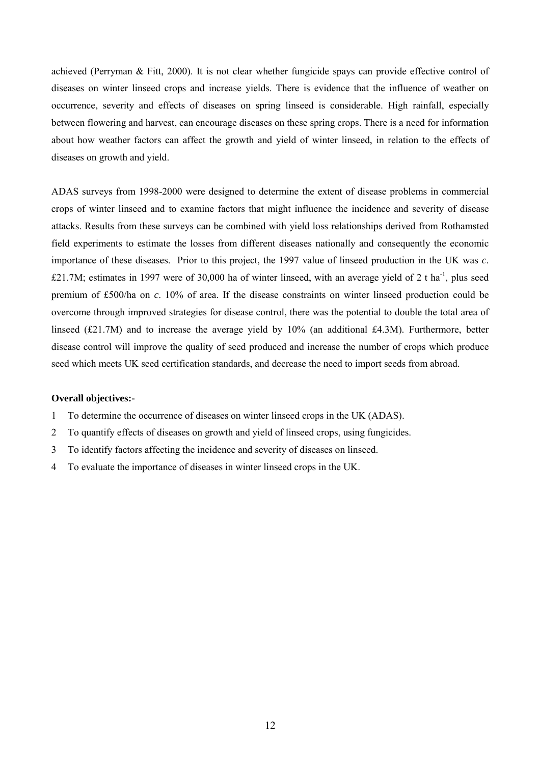achieved (Perryman & Fitt, 2000). It is not clear whether fungicide spays can provide effective control of diseases on winter linseed crops and increase yields. There is evidence that the influence of weather on occurrence, severity and effects of diseases on spring linseed is considerable. High rainfall, especially between flowering and harvest, can encourage diseases on these spring crops. There is a need for information about how weather factors can affect the growth and yield of winter linseed, in relation to the effects of diseases on growth and yield.

ADAS surveys from 1998-2000 were designed to determine the extent of disease problems in commercial crops of winter linseed and to examine factors that might influence the incidence and severity of disease attacks. Results from these surveys can be combined with yield loss relationships derived from Rothamsted field experiments to estimate the losses from different diseases nationally and consequently the economic importance of these diseases. Prior to this project, the 1997 value of linseed production in the UK was *c*. £21.7M; estimates in 1997 were of 30,000 ha of winter linseed, with an average yield of 2 t ha<sup>-1</sup>, plus seed premium of £500/ha on *c*. 10% of area. If the disease constraints on winter linseed production could be overcome through improved strategies for disease control, there was the potential to double the total area of linseed (£21.7M) and to increase the average yield by 10% (an additional £4.3M). Furthermore, better disease control will improve the quality of seed produced and increase the number of crops which produce seed which meets UK seed certification standards, and decrease the need to import seeds from abroad.

### **Overall objectives:-**

- 1 To determine the occurrence of diseases on winter linseed crops in the UK (ADAS).
- 2 To quantify effects of diseases on growth and yield of linseed crops, using fungicides.
- 3 To identify factors affecting the incidence and severity of diseases on linseed.
- 4 To evaluate the importance of diseases in winter linseed crops in the UK.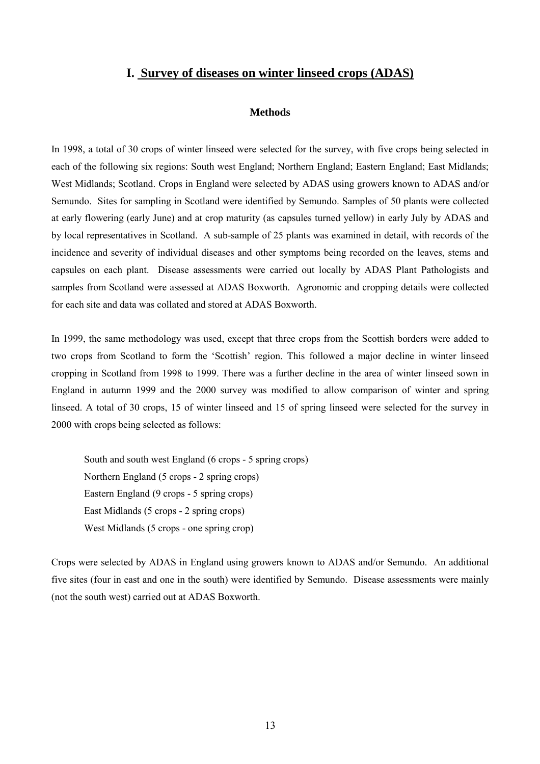# **I. Survey of diseases on winter linseed crops (ADAS)**

#### **Methods**

In 1998, a total of 30 crops of winter linseed were selected for the survey, with five crops being selected in each of the following six regions: South west England; Northern England; Eastern England; East Midlands; West Midlands; Scotland. Crops in England were selected by ADAS using growers known to ADAS and/or Semundo. Sites for sampling in Scotland were identified by Semundo. Samples of 50 plants were collected at early flowering (early June) and at crop maturity (as capsules turned yellow) in early July by ADAS and by local representatives in Scotland. A sub-sample of 25 plants was examined in detail, with records of the incidence and severity of individual diseases and other symptoms being recorded on the leaves, stems and capsules on each plant. Disease assessments were carried out locally by ADAS Plant Pathologists and samples from Scotland were assessed at ADAS Boxworth. Agronomic and cropping details were collected for each site and data was collated and stored at ADAS Boxworth.

In 1999, the same methodology was used, except that three crops from the Scottish borders were added to two crops from Scotland to form the 'Scottish' region. This followed a major decline in winter linseed cropping in Scotland from 1998 to 1999. There was a further decline in the area of winter linseed sown in England in autumn 1999 and the 2000 survey was modified to allow comparison of winter and spring linseed. A total of 30 crops, 15 of winter linseed and 15 of spring linseed were selected for the survey in 2000 with crops being selected as follows:

South and south west England (6 crops - 5 spring crops) Northern England (5 crops - 2 spring crops) Eastern England (9 crops - 5 spring crops) East Midlands (5 crops - 2 spring crops) West Midlands (5 crops - one spring crop)

Crops were selected by ADAS in England using growers known to ADAS and/or Semundo. An additional five sites (four in east and one in the south) were identified by Semundo. Disease assessments were mainly (not the south west) carried out at ADAS Boxworth.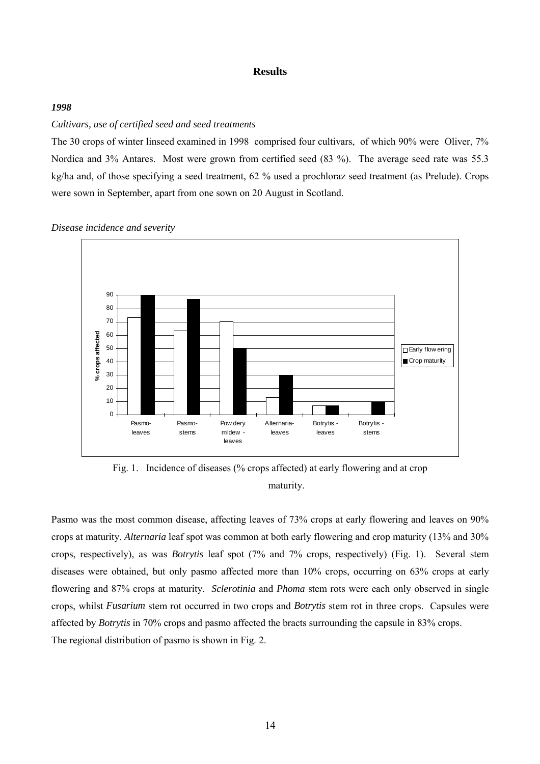#### **Results**

### *1998*

### *Cultivars, use of certified seed and seed treatments*

The 30 crops of winter linseed examined in 1998 comprised four cultivars, of which 90% were Oliver, 7% Nordica and 3% Antares. Most were grown from certified seed (83 %). The average seed rate was 55.3 kg/ha and, of those specifying a seed treatment, 62 % used a prochloraz seed treatment (as Prelude). Crops were sown in September, apart from one sown on 20 August in Scotland.

*Disease incidence and severity*



Fig. 1. Incidence of diseases (% crops affected) at early flowering and at crop maturity.

Pasmo was the most common disease, affecting leaves of 73% crops at early flowering and leaves on 90% crops at maturity. *Alternaria* leaf spot was common at both early flowering and crop maturity (13% and 30% crops, respectively), as was *Botrytis* leaf spot (7% and 7% crops, respectively) (Fig. 1). Several stem diseases were obtained, but only pasmo affected more than 10% crops, occurring on 63% crops at early flowering and 87% crops at maturity. *Sclerotinia* and *Phoma* stem rots were each only observed in single crops, whilst *Fusarium* stem rot occurred in two crops and *Botrytis* stem rot in three crops. Capsules were affected by *Botrytis* in 70% crops and pasmo affected the bracts surrounding the capsule in 83% crops. The regional distribution of pasmo is shown in Fig. 2.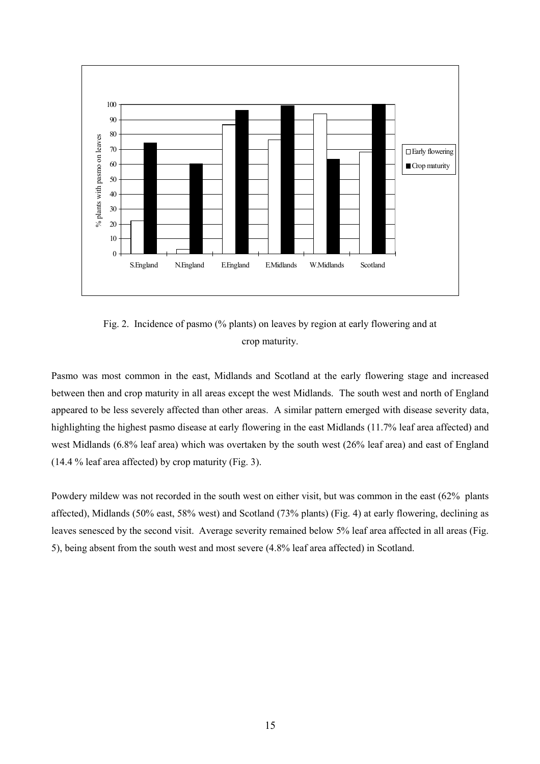

Fig. 2. Incidence of pasmo (% plants) on leaves by region at early flowering and at crop maturity.

Pasmo was most common in the east, Midlands and Scotland at the early flowering stage and increased between then and crop maturity in all areas except the west Midlands. The south west and north of England appeared to be less severely affected than other areas. A similar pattern emerged with disease severity data, highlighting the highest pasmo disease at early flowering in the east Midlands (11.7% leaf area affected) and west Midlands (6.8% leaf area) which was overtaken by the south west (26% leaf area) and east of England (14.4 % leaf area affected) by crop maturity (Fig. 3).

Powdery mildew was not recorded in the south west on either visit, but was common in the east (62% plants affected), Midlands (50% east, 58% west) and Scotland (73% plants) (Fig. 4) at early flowering, declining as leaves senesced by the second visit. Average severity remained below 5% leaf area affected in all areas (Fig. 5), being absent from the south west and most severe (4.8% leaf area affected) in Scotland.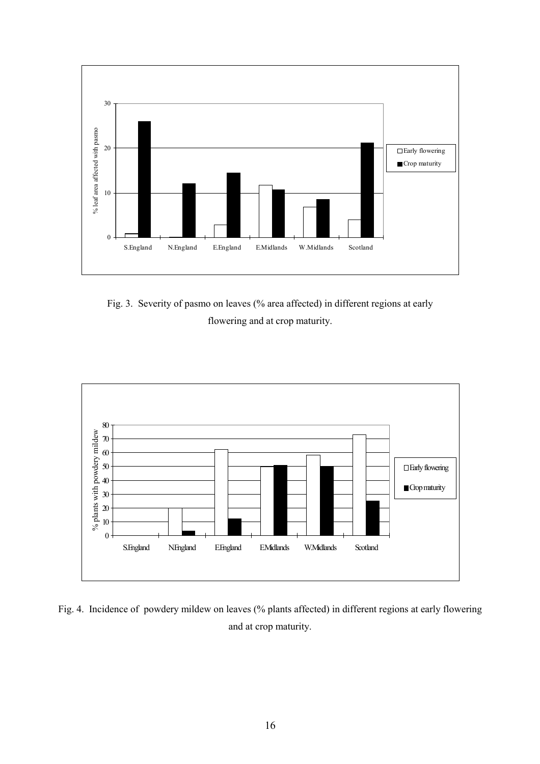

Fig. 3. Severity of pasmo on leaves (% area affected) in different regions at early flowering and at crop maturity.



Fig. 4. Incidence of powdery mildew on leaves (% plants affected) in different regions at early flowering and at crop maturity.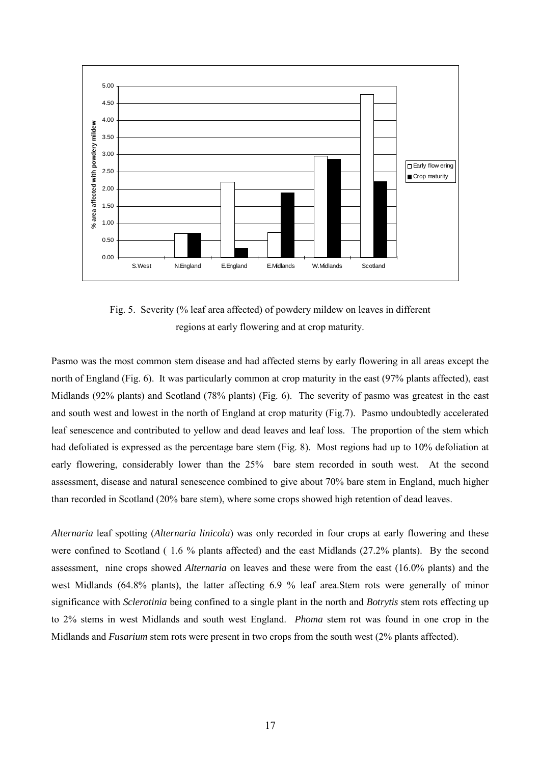

Fig. 5. Severity (% leaf area affected) of powdery mildew on leaves in different regions at early flowering and at crop maturity.

Pasmo was the most common stem disease and had affected stems by early flowering in all areas except the north of England (Fig. 6). It was particularly common at crop maturity in the east (97% plants affected), east Midlands (92% plants) and Scotland (78% plants) (Fig. 6). The severity of pasmo was greatest in the east and south west and lowest in the north of England at crop maturity (Fig.7). Pasmo undoubtedly accelerated leaf senescence and contributed to yellow and dead leaves and leaf loss. The proportion of the stem which had defoliated is expressed as the percentage bare stem (Fig. 8). Most regions had up to 10% defoliation at early flowering, considerably lower than the 25% bare stem recorded in south west. At the second assessment, disease and natural senescence combined to give about 70% bare stem in England, much higher than recorded in Scotland (20% bare stem), where some crops showed high retention of dead leaves.

*Alternaria* leaf spotting (*Alternaria linicola*) was only recorded in four crops at early flowering and these were confined to Scotland ( 1.6 % plants affected) and the east Midlands (27.2% plants). By the second assessment, nine crops showed *Alternaria* on leaves and these were from the east (16.0% plants) and the west Midlands (64.8% plants), the latter affecting 6.9 % leaf area.Stem rots were generally of minor significance with *Sclerotinia* being confined to a single plant in the north and *Botrytis* stem rots effecting up to 2% stems in west Midlands and south west England. *Phoma* stem rot was found in one crop in the Midlands and *Fusarium* stem rots were present in two crops from the south west (2% plants affected).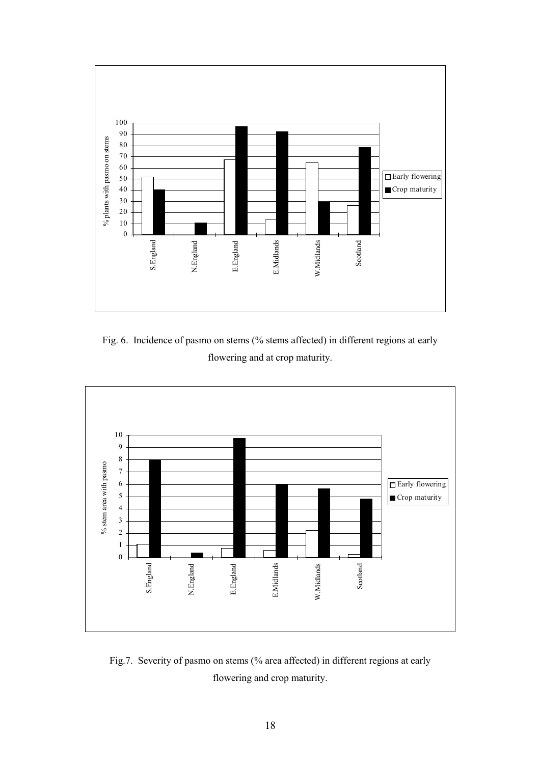

Fig. 6. Incidence of pasmo on stems (% stems affected) in different regions at early flowering and at crop maturity.



Fig.7. Severity of pasmo on stems (% area affected) in different regions at early flowering and crop maturity.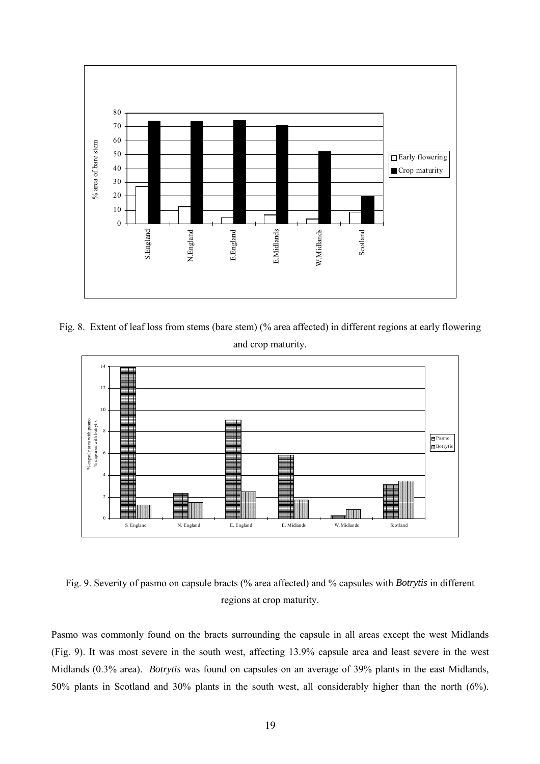

Fig. 8. Extent of leaf loss from stems (bare stem) (% area affected) in different regions at early flowering and crop maturity.



Fig. 9. Severity of pasmo on capsule bracts (% area affected) and % capsules with *Botrytis* in different regions at crop maturity.

Pasmo was commonly found on the bracts surrounding the capsule in all areas except the west Midlands (Fig. 9). It was most severe in the south west, affecting 13.9% capsule area and least severe in the west Midlands (0.3% area). *Botrytis* was found on capsules on an average of 39% plants in the east Midlands, 50% plants in Scotland and 30% plants in the south west, all considerably higher than the north (6%).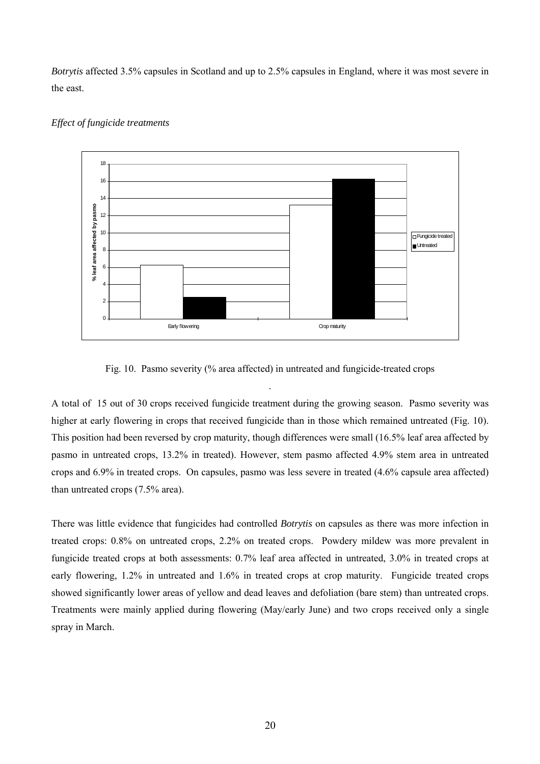*Botrytis* affected 3.5% capsules in Scotland and up to 2.5% capsules in England, where it was most severe in the east.



#### *Effect of fungicide treatments*

Fig. 10. Pasmo severity (% area affected) in untreated and fungicide-treated crops

.

A total of 15 out of 30 crops received fungicide treatment during the growing season. Pasmo severity was higher at early flowering in crops that received fungicide than in those which remained untreated (Fig. 10). This position had been reversed by crop maturity, though differences were small (16.5% leaf area affected by pasmo in untreated crops, 13.2% in treated). However, stem pasmo affected 4.9% stem area in untreated crops and 6.9% in treated crops. On capsules, pasmo was less severe in treated (4.6% capsule area affected) than untreated crops (7.5% area).

There was little evidence that fungicides had controlled *Botrytis* on capsules as there was more infection in treated crops: 0.8% on untreated crops, 2.2% on treated crops. Powdery mildew was more prevalent in fungicide treated crops at both assessments: 0.7% leaf area affected in untreated, 3.0% in treated crops at early flowering, 1.2% in untreated and 1.6% in treated crops at crop maturity. Fungicide treated crops showed significantly lower areas of yellow and dead leaves and defoliation (bare stem) than untreated crops. Treatments were mainly applied during flowering (May/early June) and two crops received only a single spray in March.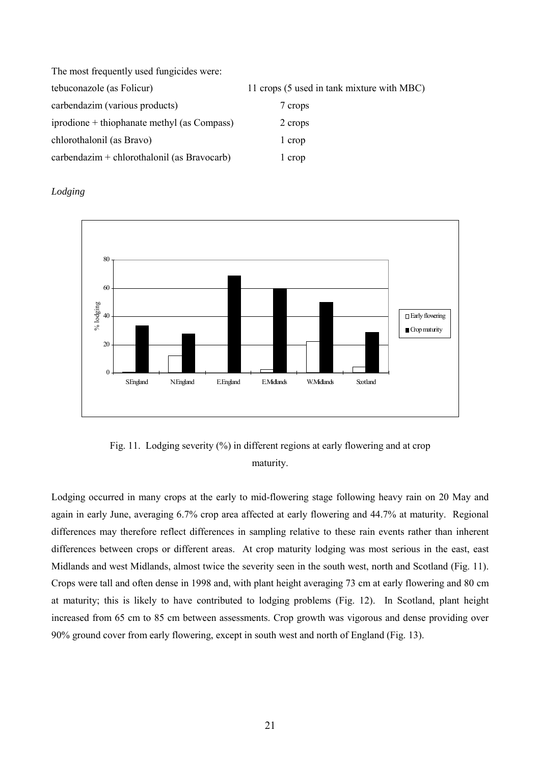| The most frequently used fungicides were:    |                                            |
|----------------------------------------------|--------------------------------------------|
| tebuconazole (as Folicur)                    | 11 crops (5 used in tank mixture with MBC) |
| carbendazim (various products)               | 7 crops                                    |
| iprodione + thiophanate methyl (as Compass)  | 2 crops                                    |
| chlorothalonil (as Bravo)                    | 1 crop                                     |
| $carbondazim + chlorothaloni$ (as Bravocarb) | 1 crop                                     |

*Lodging*



Fig. 11. Lodging severity (%) in different regions at early flowering and at crop maturity.

Lodging occurred in many crops at the early to mid-flowering stage following heavy rain on 20 May and again in early June, averaging 6.7% crop area affected at early flowering and 44.7% at maturity. Regional differences may therefore reflect differences in sampling relative to these rain events rather than inherent differences between crops or different areas. At crop maturity lodging was most serious in the east, east Midlands and west Midlands, almost twice the severity seen in the south west, north and Scotland (Fig. 11). Crops were tall and often dense in 1998 and, with plant height averaging 73 cm at early flowering and 80 cm at maturity; this is likely to have contributed to lodging problems (Fig. 12). In Scotland, plant height increased from 65 cm to 85 cm between assessments. Crop growth was vigorous and dense providing over 90% ground cover from early flowering, except in south west and north of England (Fig. 13).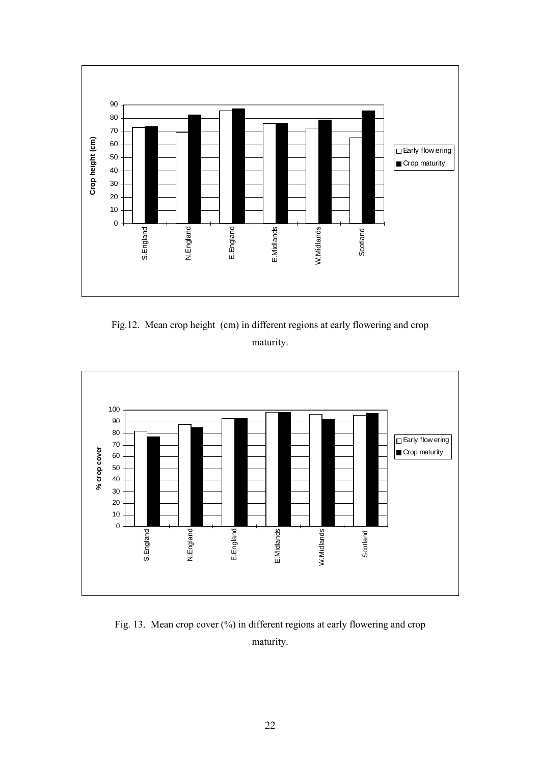

Fig.12. Mean crop height (cm) in different regions at early flowering and crop maturity.



Fig. 13. Mean crop cover (%) in different regions at early flowering and crop maturity.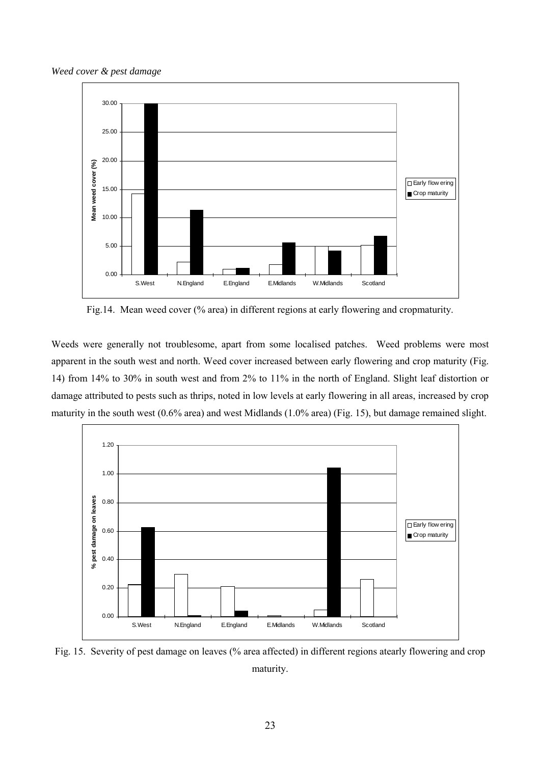*Weed cover & pest damage*



Fig.14. Mean weed cover (% area) in different regions at early flowering and cropmaturity.

Weeds were generally not troublesome, apart from some localised patches. Weed problems were most apparent in the south west and north. Weed cover increased between early flowering and crop maturity (Fig. 14) from 14% to 30% in south west and from 2% to 11% in the north of England. Slight leaf distortion or damage attributed to pests such as thrips, noted in low levels at early flowering in all areas, increased by crop maturity in the south west (0.6% area) and west Midlands (1.0% area) (Fig. 15), but damage remained slight.



Fig. 15. Severity of pest damage on leaves (% area affected) in different regions atearly flowering and crop maturity.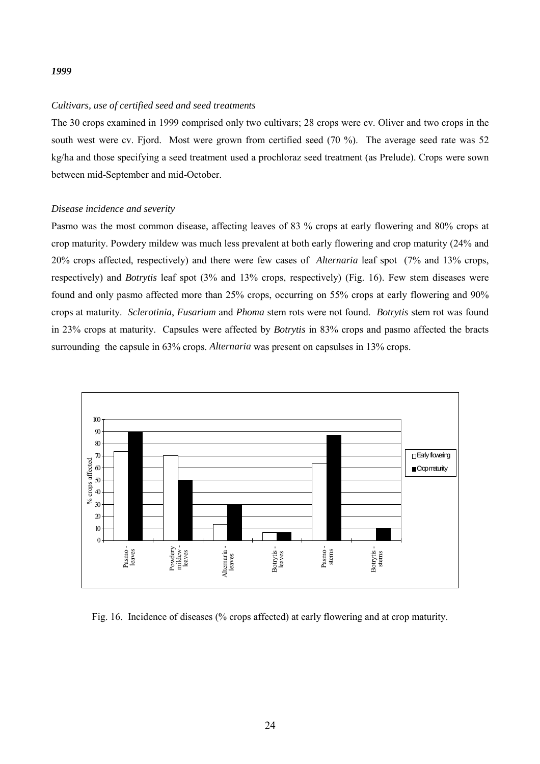#### *1999*

#### *Cultivars, use of certified seed and seed treatments*

The 30 crops examined in 1999 comprised only two cultivars; 28 crops were cv. Oliver and two crops in the south west were cv. Fjord. Most were grown from certified seed (70 %). The average seed rate was 52 kg/ha and those specifying a seed treatment used a prochloraz seed treatment (as Prelude). Crops were sown between mid-September and mid-October.

#### *Disease incidence and severity*

Pasmo was the most common disease, affecting leaves of 83 % crops at early flowering and 80% crops at crop maturity. Powdery mildew was much less prevalent at both early flowering and crop maturity (24% and 20% crops affected, respectively) and there were few cases of *Alternaria* leaf spot (7% and 13% crops, respectively) and *Botrytis* leaf spot (3% and 13% crops, respectively) (Fig. 16). Few stem diseases were found and only pasmo affected more than 25% crops, occurring on 55% crops at early flowering and 90% crops at maturity. *Sclerotinia*, *Fusarium* and *Phoma* stem rots were not found. *Botrytis* stem rot was found in 23% crops at maturity. Capsules were affected by *Botrytis* in 83% crops and pasmo affected the bracts surrounding the capsule in 63% crops. *Alternaria* was present on capsulses in 13% crops.



Fig. 16. Incidence of diseases (% crops affected) at early flowering and at crop maturity.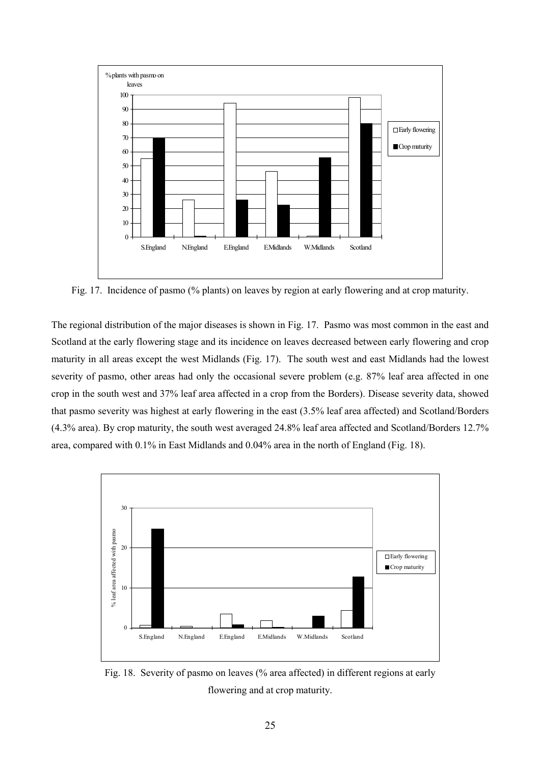

Fig. 17. Incidence of pasmo (% plants) on leaves by region at early flowering and at crop maturity.

The regional distribution of the major diseases is shown in Fig. 17. Pasmo was most common in the east and Scotland at the early flowering stage and its incidence on leaves decreased between early flowering and crop maturity in all areas except the west Midlands (Fig. 17). The south west and east Midlands had the lowest severity of pasmo, other areas had only the occasional severe problem (e.g. 87% leaf area affected in one crop in the south west and 37% leaf area affected in a crop from the Borders). Disease severity data, showed that pasmo severity was highest at early flowering in the east (3.5% leaf area affected) and Scotland/Borders (4.3% area). By crop maturity, the south west averaged 24.8% leaf area affected and Scotland/Borders 12.7% area, compared with 0.1% in East Midlands and 0.04% area in the north of England (Fig. 18).



Fig. 18. Severity of pasmo on leaves (% area affected) in different regions at early flowering and at crop maturity.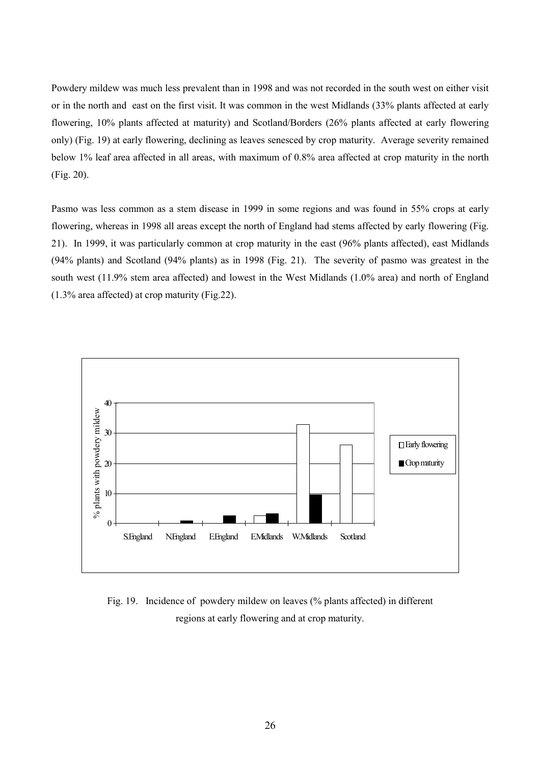Powdery mildew was much less prevalent than in 1998 and was not recorded in the south west on either visit or in the north and east on the first visit. It was common in the west Midlands (33% plants affected at early flowering, 10% plants affected at maturity) and Scotland/Borders (26% plants affected at early flowering only) (Fig. 19) at early flowering, declining as leaves senesced by crop maturity. Average severity remained below 1% leaf area affected in all areas, with maximum of 0.8% area affected at crop maturity in the north (Fig. 20).

Pasmo was less common as a stem disease in 1999 in some regions and was found in 55% crops at early flowering, whereas in 1998 all areas except the north of England had stems affected by early flowering (Fig. 21). In 1999, it was particularly common at crop maturity in the east (96% plants affected), east Midlands (94% plants) and Scotland (94% plants) as in 1998 (Fig. 21). The severity of pasmo was greatest in the south west (11.9% stem area affected) and lowest in the West Midlands (1.0% area) and north of England (1.3% area affected) at crop maturity (Fig.22).



Fig. 19. Incidence of powdery mildew on leaves (% plants affected) in different regions at early flowering and at crop maturity.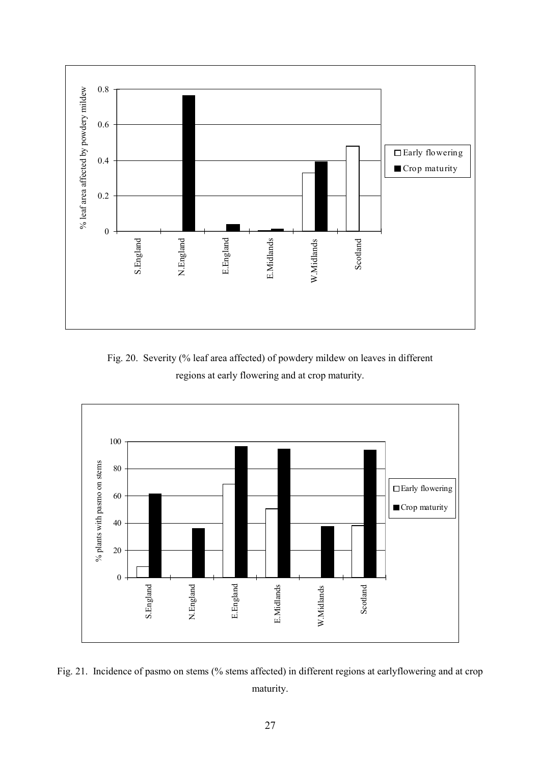

Fig. 20. Severity (% leaf area affected) of powdery mildew on leaves in different regions at early flowering and at crop maturity.



Fig. 21. Incidence of pasmo on stems (% stems affected) in different regions at earlyflowering and at crop maturity.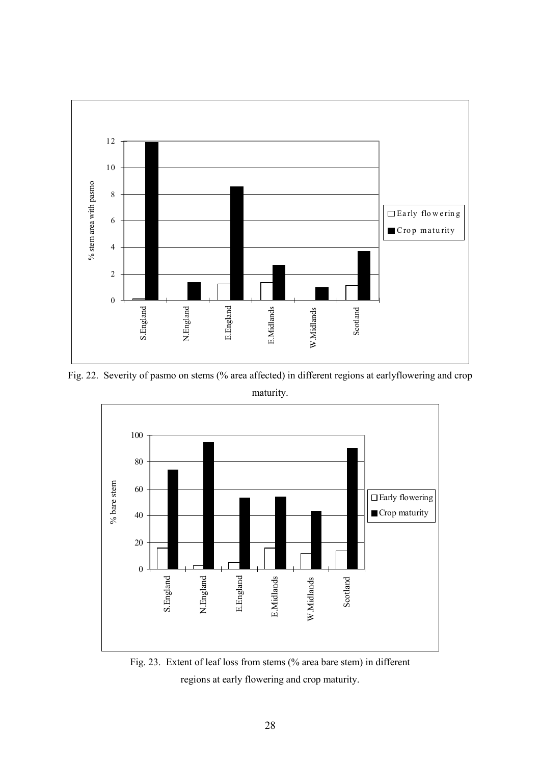

Fig. 22. Severity of pasmo on stems (% area affected) in different regions at earlyflowering and crop maturity.



Fig. 23. Extent of leaf loss from stems (% area bare stem) in different regions at early flowering and crop maturity.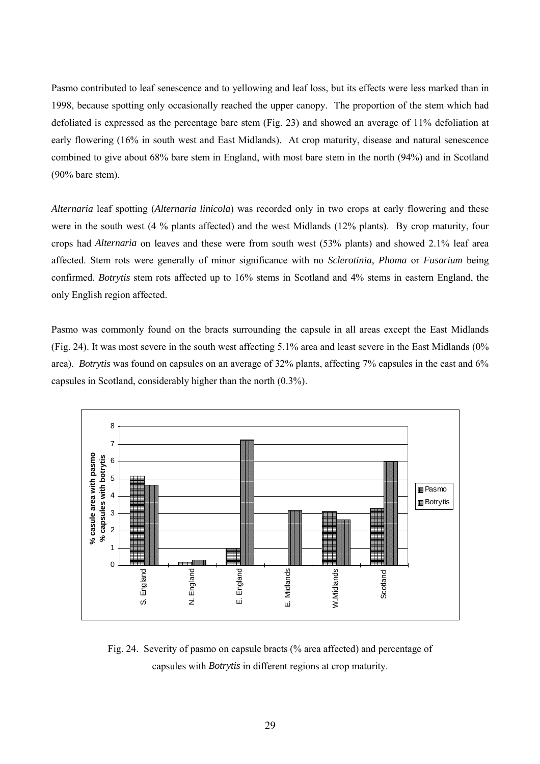Pasmo contributed to leaf senescence and to yellowing and leaf loss, but its effects were less marked than in 1998, because spotting only occasionally reached the upper canopy. The proportion of the stem which had defoliated is expressed as the percentage bare stem (Fig. 23) and showed an average of 11% defoliation at early flowering (16% in south west and East Midlands). At crop maturity, disease and natural senescence combined to give about 68% bare stem in England, with most bare stem in the north (94%) and in Scotland (90% bare stem).

*Alternaria* leaf spotting (*Alternaria linicola*) was recorded only in two crops at early flowering and these were in the south west (4 % plants affected) and the west Midlands (12% plants). By crop maturity, four crops had *Alternaria* on leaves and these were from south west (53% plants) and showed 2.1% leaf area affected. Stem rots were generally of minor significance with no *Sclerotinia*, *Phoma* or *Fusarium* being confirmed. *Botrytis* stem rots affected up to 16% stems in Scotland and 4% stems in eastern England, the only English region affected.

Pasmo was commonly found on the bracts surrounding the capsule in all areas except the East Midlands (Fig. 24). It was most severe in the south west affecting 5.1% area and least severe in the East Midlands (0% area). *Botrytis* was found on capsules on an average of 32% plants, affecting 7% capsules in the east and 6% capsules in Scotland, considerably higher than the north (0.3%).



Fig. 24. Severity of pasmo on capsule bracts (% area affected) and percentage of capsules with *Botrytis* in different regions at crop maturity.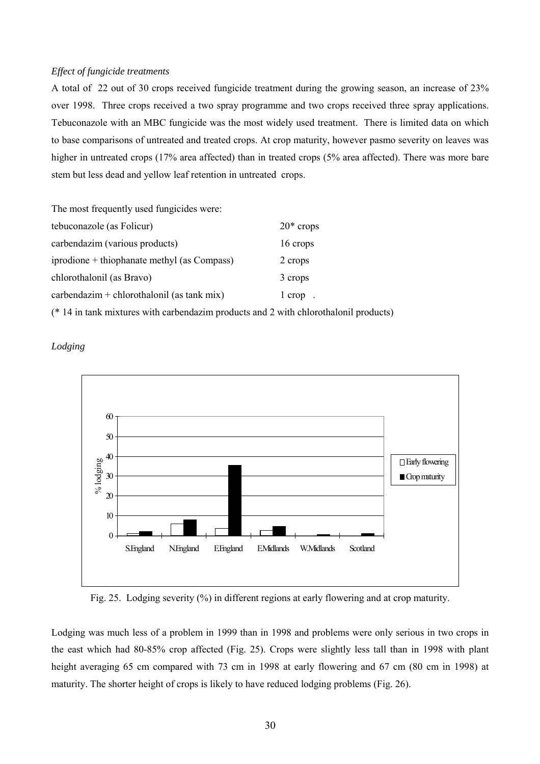#### *Effect of fungicide treatments*

A total of 22 out of 30 crops received fungicide treatment during the growing season, an increase of 23% over 1998. Three crops received a two spray programme and two crops received three spray applications. Tebuconazole with an MBC fungicide was the most widely used treatment. There is limited data on which to base comparisons of untreated and treated crops. At crop maturity, however pasmo severity on leaves was higher in untreated crops (17% area affected) than in treated crops (5% area affected). There was more bare stem but less dead and yellow leaf retention in untreated crops.

The most frequently used fungicides were:

| tebuconazole (as Folicur)                   | $20*$ crops |
|---------------------------------------------|-------------|
| carbendazim (various products)              | 16 crops    |
| iprodione + thiophanate methyl (as Compass) | 2 crops     |
| chlorothalonil (as Bravo)                   | 3 crops     |
| $carbondazim + chlorothaloni$ (as tank mix) | $1$ crop.   |
|                                             |             |

(\* 14 in tank mixtures with carbendazim products and 2 with chlorothalonil products)





Fig. 25. Lodging severity (%) in different regions at early flowering and at crop maturity.

Lodging was much less of a problem in 1999 than in 1998 and problems were only serious in two crops in the east which had 80-85% crop affected (Fig. 25). Crops were slightly less tall than in 1998 with plant height averaging 65 cm compared with 73 cm in 1998 at early flowering and 67 cm (80 cm in 1998) at maturity. The shorter height of crops is likely to have reduced lodging problems (Fig. 26).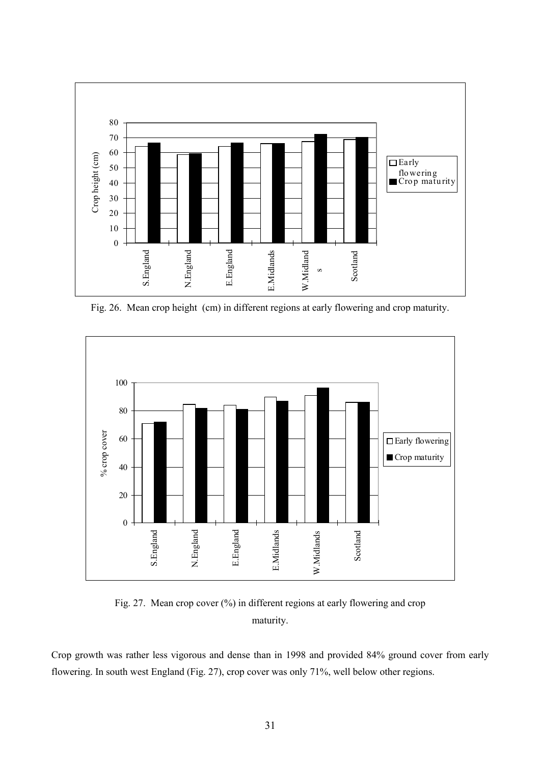

Fig. 26. Mean crop height (cm) in different regions at early flowering and crop maturity.



Fig. 27. Mean crop cover (%) in different regions at early flowering and crop maturity.

Crop growth was rather less vigorous and dense than in 1998 and provided 84% ground cover from early flowering. In south west England (Fig. 27), crop cover was only 71%, well below other regions.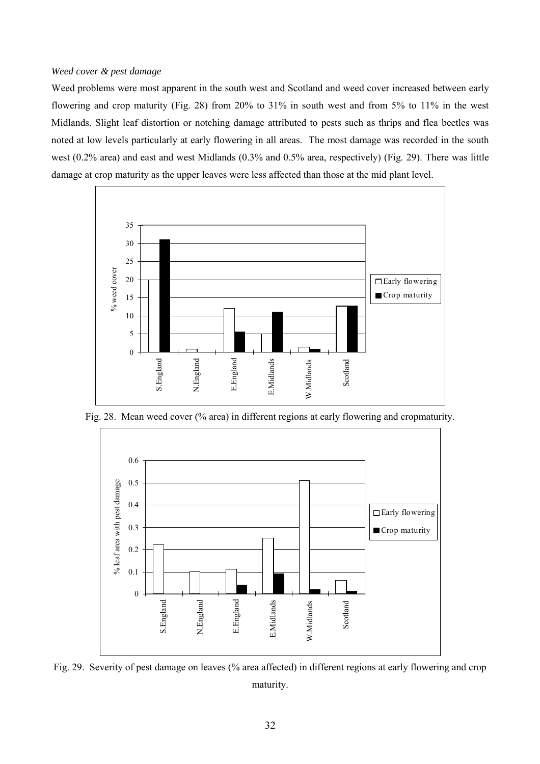#### *Weed cover & pest damage*

Weed problems were most apparent in the south west and Scotland and weed cover increased between early flowering and crop maturity (Fig. 28) from 20% to 31% in south west and from 5% to 11% in the west Midlands. Slight leaf distortion or notching damage attributed to pests such as thrips and flea beetles was noted at low levels particularly at early flowering in all areas. The most damage was recorded in the south west (0.2% area) and east and west Midlands (0.3% and 0.5% area, respectively) (Fig. 29). There was little damage at crop maturity as the upper leaves were less affected than those at the mid plant level.



Fig. 28. Mean weed cover (% area) in different regions at early flowering and cropmaturity.



Fig. 29. Severity of pest damage on leaves (% area affected) in different regions at early flowering and crop maturity.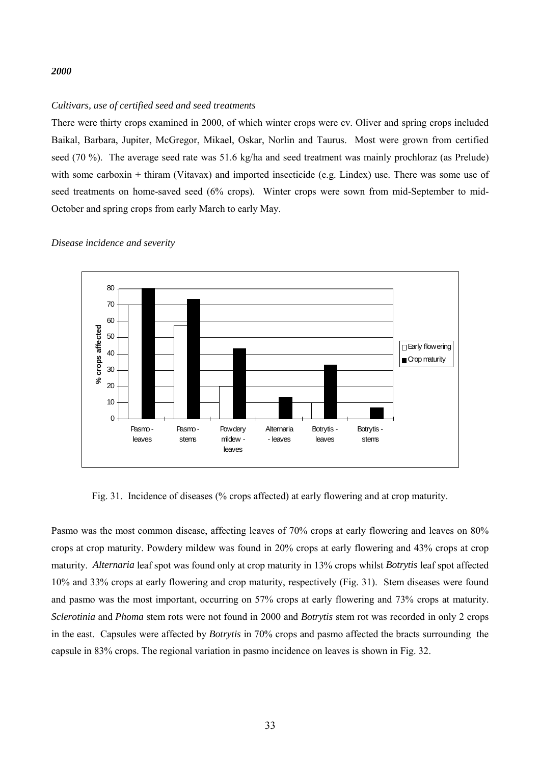#### *2000*

#### *Cultivars, use of certified seed and seed treatments*

There were thirty crops examined in 2000, of which winter crops were cv. Oliver and spring crops included Baikal, Barbara, Jupiter, McGregor, Mikael, Oskar, Norlin and Taurus. Most were grown from certified seed (70 %). The average seed rate was 51.6 kg/ha and seed treatment was mainly prochloraz (as Prelude) with some carboxin + thiram (Vitavax) and imported insecticide (e.g. Lindex) use. There was some use of seed treatments on home-saved seed (6% crops). Winter crops were sown from mid-September to mid-October and spring crops from early March to early May.



*Disease incidence and severity*

Fig. 31. Incidence of diseases (% crops affected) at early flowering and at crop maturity.

Pasmo was the most common disease, affecting leaves of 70% crops at early flowering and leaves on 80% crops at crop maturity. Powdery mildew was found in 20% crops at early flowering and 43% crops at crop maturity. *Alternaria* leaf spot was found only at crop maturity in 13% crops whilst *Botrytis* leaf spot affected 10% and 33% crops at early flowering and crop maturity, respectively (Fig. 31). Stem diseases were found and pasmo was the most important, occurring on 57% crops at early flowering and 73% crops at maturity. *Sclerotinia* and *Phoma* stem rots were not found in 2000 and *Botrytis* stem rot was recorded in only 2 crops in the east. Capsules were affected by *Botrytis* in 70% crops and pasmo affected the bracts surrounding the capsule in 83% crops. The regional variation in pasmo incidence on leaves is shown in Fig. 32.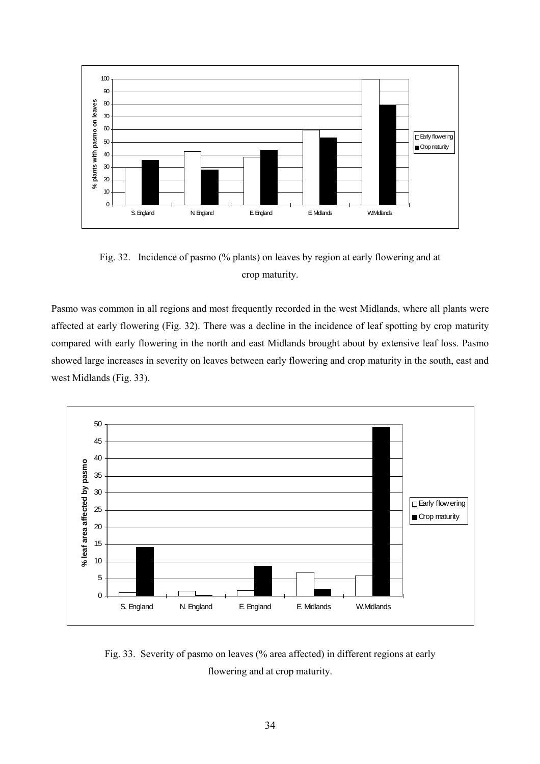

Fig. 32. Incidence of pasmo (% plants) on leaves by region at early flowering and at crop maturity.

Pasmo was common in all regions and most frequently recorded in the west Midlands, where all plants were affected at early flowering (Fig. 32). There was a decline in the incidence of leaf spotting by crop maturity compared with early flowering in the north and east Midlands brought about by extensive leaf loss. Pasmo showed large increases in severity on leaves between early flowering and crop maturity in the south, east and west Midlands (Fig. 33).



Fig. 33. Severity of pasmo on leaves (% area affected) in different regions at early flowering and at crop maturity.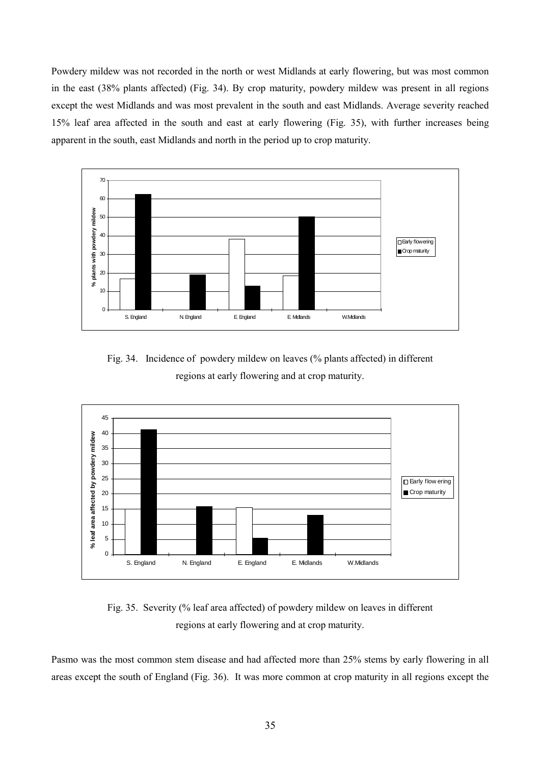Powdery mildew was not recorded in the north or west Midlands at early flowering, but was most common in the east (38% plants affected) (Fig. 34). By crop maturity, powdery mildew was present in all regions except the west Midlands and was most prevalent in the south and east Midlands. Average severity reached 15% leaf area affected in the south and east at early flowering (Fig. 35), with further increases being apparent in the south, east Midlands and north in the period up to crop maturity.



Fig. 34. Incidence of powdery mildew on leaves (% plants affected) in different regions at early flowering and at crop maturity.



Fig. 35. Severity (% leaf area affected) of powdery mildew on leaves in different regions at early flowering and at crop maturity.

Pasmo was the most common stem disease and had affected more than 25% stems by early flowering in all areas except the south of England (Fig. 36). It was more common at crop maturity in all regions except the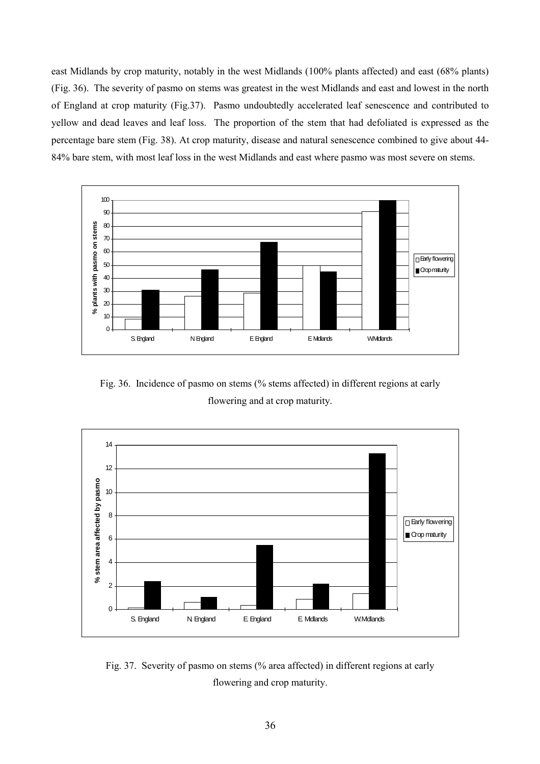east Midlands by crop maturity, notably in the west Midlands (100% plants affected) and east (68% plants) (Fig. 36). The severity of pasmo on stems was greatest in the west Midlands and east and lowest in the north of England at crop maturity (Fig.37). Pasmo undoubtedly accelerated leaf senescence and contributed to yellow and dead leaves and leaf loss. The proportion of the stem that had defoliated is expressed as the percentage bare stem (Fig. 38). At crop maturity, disease and natural senescence combined to give about 44- 84% bare stem, with most leaf loss in the west Midlands and east where pasmo was most severe on stems.



Fig. 36. Incidence of pasmo on stems (% stems affected) in different regions at early flowering and at crop maturity.



Fig. 37. Severity of pasmo on stems (% area affected) in different regions at early flowering and crop maturity.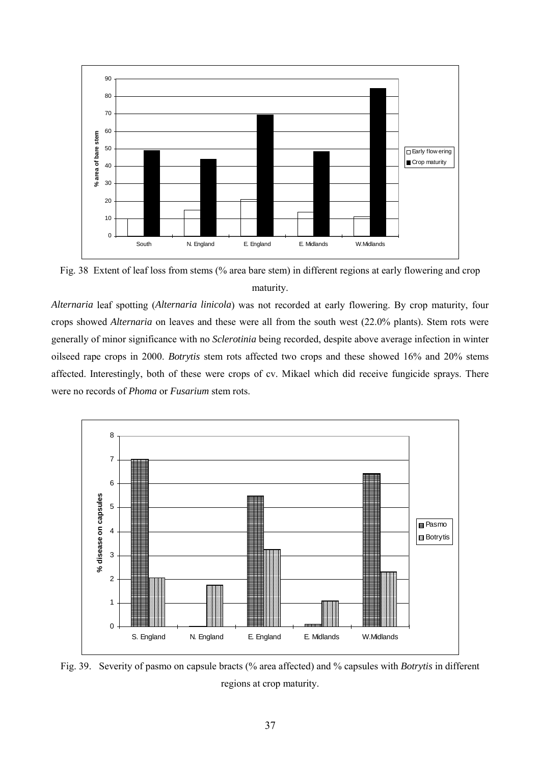

Fig. 38 Extent of leaf loss from stems (% area bare stem) in different regions at early flowering and crop maturity.

*Alternaria* leaf spotting (*Alternaria linicola*) was not recorded at early flowering. By crop maturity, four crops showed *Alternaria* on leaves and these were all from the south west (22.0% plants). Stem rots were generally of minor significance with no *Sclerotinia* being recorded, despite above average infection in winter oilseed rape crops in 2000. *Botrytis* stem rots affected two crops and these showed 16% and 20% stems affected. Interestingly, both of these were crops of cv. Mikael which did receive fungicide sprays. There were no records of *Phoma* or *Fusarium* stem rots.



Fig. 39. Severity of pasmo on capsule bracts (% area affected) and % capsules with *Botrytis* in different regions at crop maturity.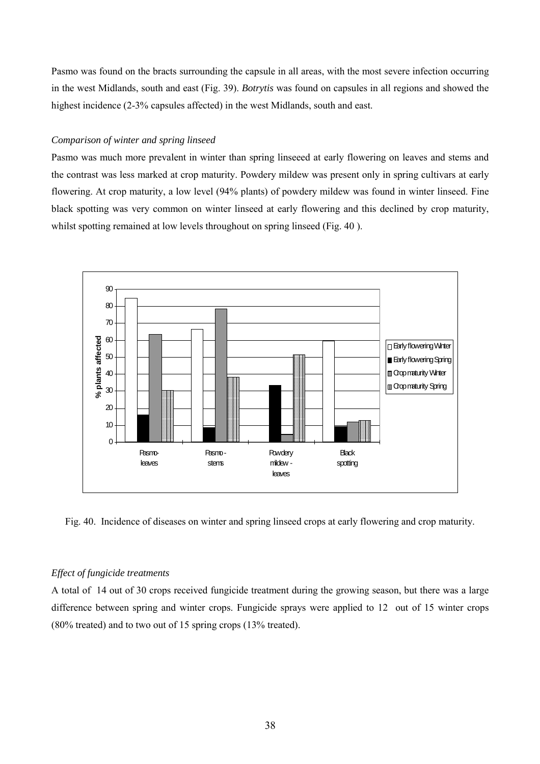Pasmo was found on the bracts surrounding the capsule in all areas, with the most severe infection occurring in the west Midlands, south and east (Fig. 39). *Botrytis* was found on capsules in all regions and showed the highest incidence (2-3% capsules affected) in the west Midlands, south and east.

# *Comparison of winter and spring linseed*

Pasmo was much more prevalent in winter than spring linseeed at early flowering on leaves and stems and the contrast was less marked at crop maturity. Powdery mildew was present only in spring cultivars at early flowering. At crop maturity, a low level (94% plants) of powdery mildew was found in winter linseed. Fine black spotting was very common on winter linseed at early flowering and this declined by crop maturity, whilst spotting remained at low levels throughout on spring linseed (Fig. 40).



Fig. 40. Incidence of diseases on winter and spring linseed crops at early flowering and crop maturity.

# *Effect of fungicide treatments*

A total of 14 out of 30 crops received fungicide treatment during the growing season, but there was a large difference between spring and winter crops. Fungicide sprays were applied to 12 out of 15 winter crops (80% treated) and to two out of 15 spring crops (13% treated).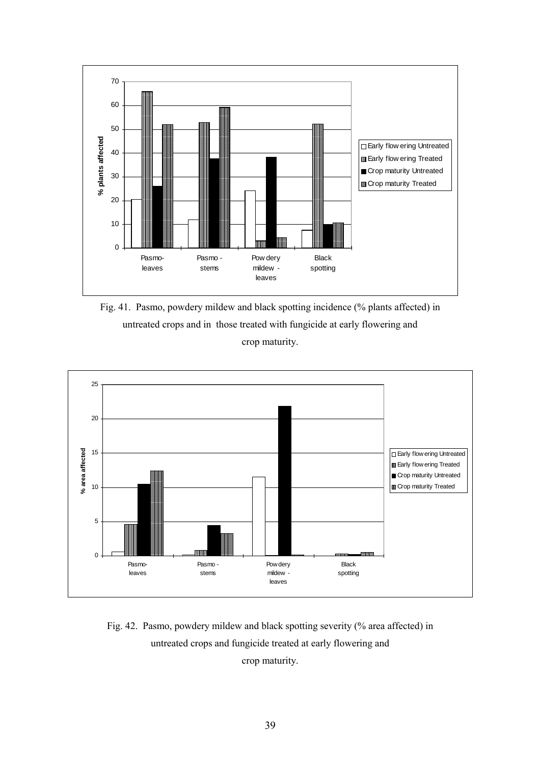

Fig. 41. Pasmo, powdery mildew and black spotting incidence (% plants affected) in untreated crops and in those treated with fungicide at early flowering and crop maturity.



Fig. 42. Pasmo, powdery mildew and black spotting severity (% area affected) in untreated crops and fungicide treated at early flowering and

crop maturity.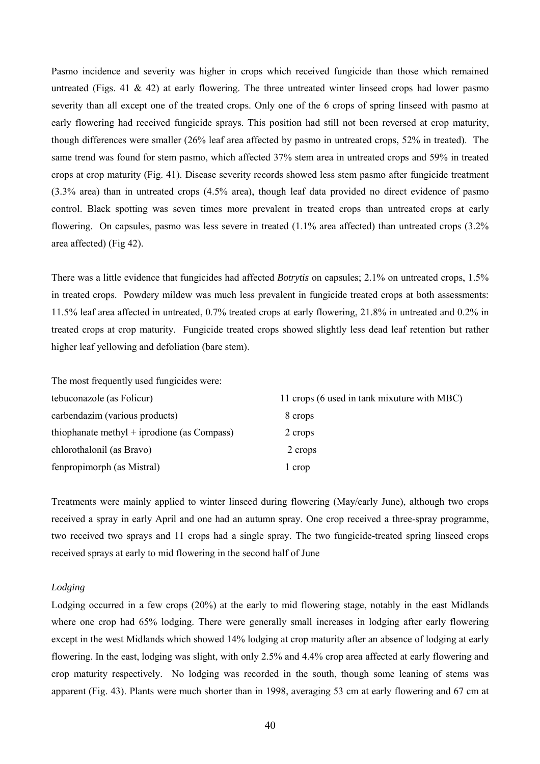Pasmo incidence and severity was higher in crops which received fungicide than those which remained untreated (Figs. 41  $\&$  42) at early flowering. The three untreated winter linseed crops had lower pasmo severity than all except one of the treated crops. Only one of the 6 crops of spring linseed with pasmo at early flowering had received fungicide sprays. This position had still not been reversed at crop maturity, though differences were smaller (26% leaf area affected by pasmo in untreated crops, 52% in treated). The same trend was found for stem pasmo, which affected 37% stem area in untreated crops and 59% in treated crops at crop maturity (Fig. 41). Disease severity records showed less stem pasmo after fungicide treatment (3.3% area) than in untreated crops (4.5% area), though leaf data provided no direct evidence of pasmo control. Black spotting was seven times more prevalent in treated crops than untreated crops at early flowering. On capsules, pasmo was less severe in treated (1.1% area affected) than untreated crops (3.2% area affected) (Fig 42).

There was a little evidence that fungicides had affected *Botrytis* on capsules; 2.1% on untreated crops, 1.5% in treated crops. Powdery mildew was much less prevalent in fungicide treated crops at both assessments: 11.5% leaf area affected in untreated, 0.7% treated crops at early flowering, 21.8% in untreated and 0.2% in treated crops at crop maturity. Fungicide treated crops showed slightly less dead leaf retention but rather higher leaf yellowing and defoliation (bare stem).

The most frequently used fungicides were:

| tebuconazole (as Folicur)                   | 11 crops (6 used in tank mixuture with MBC) |
|---------------------------------------------|---------------------------------------------|
| carbendazim (various products)              | 8 crops                                     |
| thiophanate methyl + iprodione (as Compass) | 2 crops                                     |
| chlorothalonil (as Bravo)                   | 2 crops                                     |
| fenpropimorph (as Mistral)                  | l crop                                      |

Treatments were mainly applied to winter linseed during flowering (May/early June), although two crops received a spray in early April and one had an autumn spray. One crop received a three-spray programme, two received two sprays and 11 crops had a single spray. The two fungicide-treated spring linseed crops received sprays at early to mid flowering in the second half of June

## *Lodging*

Lodging occurred in a few crops (20%) at the early to mid flowering stage, notably in the east Midlands where one crop had 65% lodging. There were generally small increases in lodging after early flowering except in the west Midlands which showed 14% lodging at crop maturity after an absence of lodging at early flowering. In the east, lodging was slight, with only 2.5% and 4.4% crop area affected at early flowering and crop maturity respectively. No lodging was recorded in the south, though some leaning of stems was apparent (Fig. 43). Plants were much shorter than in 1998, averaging 53 cm at early flowering and 67 cm at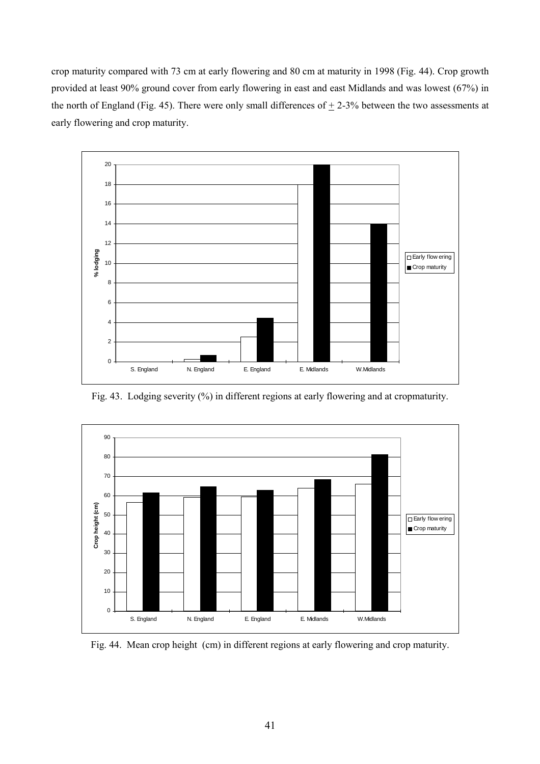crop maturity compared with 73 cm at early flowering and 80 cm at maturity in 1998 (Fig. 44). Crop growth provided at least 90% ground cover from early flowering in east and east Midlands and was lowest (67%) in the north of England (Fig. 45). There were only small differences of  $\pm$  2-3% between the two assessments at early flowering and crop maturity.



Fig. 43. Lodging severity (%) in different regions at early flowering and at cropmaturity.



Fig. 44. Mean crop height (cm) in different regions at early flowering and crop maturity.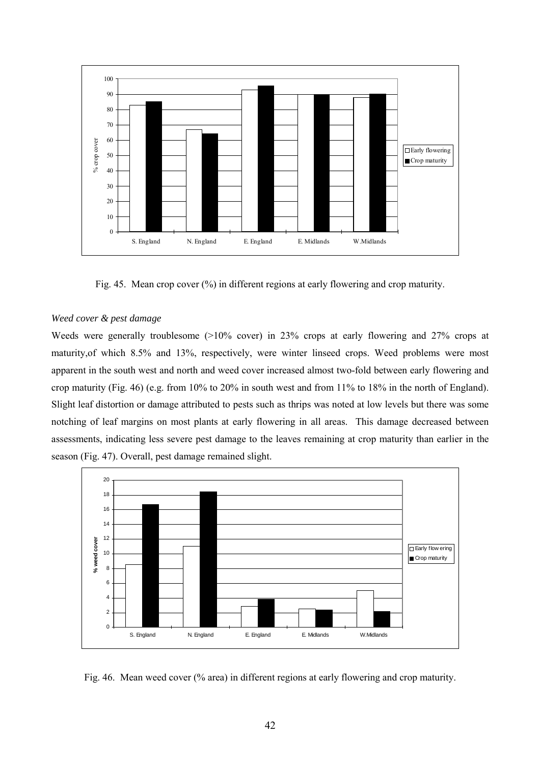

Fig. 45. Mean crop cover (%) in different regions at early flowering and crop maturity.

# *Weed cover & pest damage*

Weeds were generally troublesome ( $>10\%$  cover) in 23% crops at early flowering and 27% crops at maturity,of which 8.5% and 13%, respectively, were winter linseed crops. Weed problems were most apparent in the south west and north and weed cover increased almost two-fold between early flowering and crop maturity (Fig. 46) (e.g. from 10% to 20% in south west and from 11% to 18% in the north of England). Slight leaf distortion or damage attributed to pests such as thrips was noted at low levels but there was some notching of leaf margins on most plants at early flowering in all areas. This damage decreased between assessments, indicating less severe pest damage to the leaves remaining at crop maturity than earlier in the season (Fig. 47). Overall, pest damage remained slight.



Fig. 46. Mean weed cover (% area) in different regions at early flowering and crop maturity.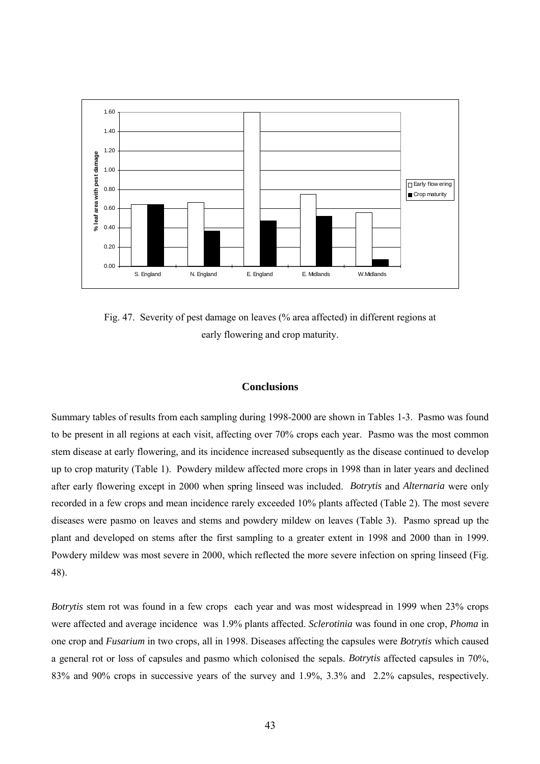

Fig. 47. Severity of pest damage on leaves (% area affected) in different regions at early flowering and crop maturity.

# **Conclusions**

Summary tables of results from each sampling during 1998-2000 are shown in Tables 1-3. Pasmo was found to be present in all regions at each visit, affecting over 70% crops each year. Pasmo was the most common stem disease at early flowering, and its incidence increased subsequently as the disease continued to develop up to crop maturity (Table 1). Powdery mildew affected more crops in 1998 than in later years and declined after early flowering except in 2000 when spring linseed was included. *Botrytis* and *Alternaria* were only recorded in a few crops and mean incidence rarely exceeded 10% plants affected (Table 2). The most severe diseases were pasmo on leaves and stems and powdery mildew on leaves (Table 3). Pasmo spread up the plant and developed on stems after the first sampling to a greater extent in 1998 and 2000 than in 1999. Powdery mildew was most severe in 2000, which reflected the more severe infection on spring linseed (Fig. 48).

*Botrytis* stem rot was found in a few crops each year and was most widespread in 1999 when 23% crops were affected and average incidence was 1.9% plants affected. *Sclerotinia* was found in one crop, *Phoma* in one crop and *Fusarium* in two crops, all in 1998. Diseases affecting the capsules were *Botrytis* which caused a general rot or loss of capsules and pasmo which colonised the sepals. *Botrytis* affected capsules in 70%, 83% and 90% crops in successive years of the survey and 1.9%, 3.3% and 2.2% capsules, respectively.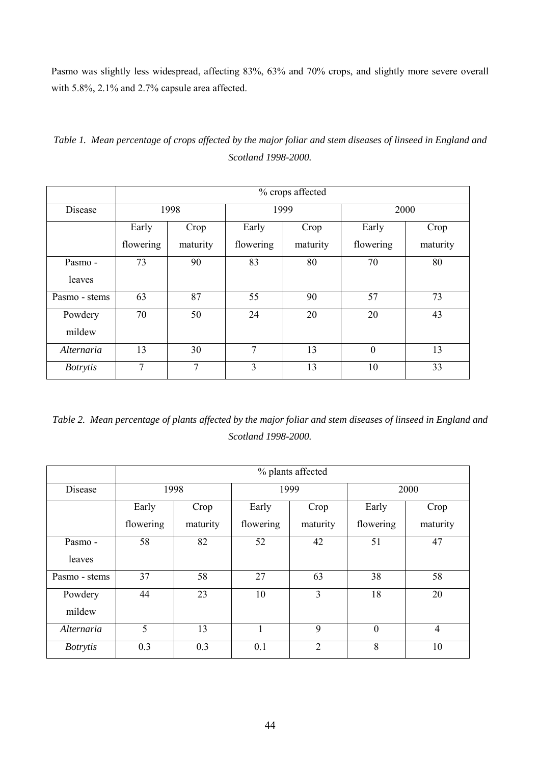Pasmo was slightly less widespread, affecting 83%, 63% and 70% crops, and slightly more severe overall with 5.8%, 2.1% and 2.7% capsule area affected.

|                 | % crops affected |                |           |          |              |          |  |  |  |
|-----------------|------------------|----------------|-----------|----------|--------------|----------|--|--|--|
| Disease         |                  | 1998           |           | 1999     | 2000         |          |  |  |  |
|                 | Early            | Crop           | Early     | Crop     | Early        | Crop     |  |  |  |
|                 | flowering        | maturity       | flowering | maturity | flowering    | maturity |  |  |  |
| Pasmo -         | 73               | 90             | 83        | 80       | 70           | 80       |  |  |  |
| leaves          |                  |                |           |          |              |          |  |  |  |
| Pasmo - stems   | 63               | 87             | 55        | 90       | 57           | 73       |  |  |  |
| Powdery         | 70               | 50             | 24        | 20       | 20           | 43       |  |  |  |
| mildew          |                  |                |           |          |              |          |  |  |  |
| Alternaria      | 13               | 30             | 7         | 13       | $\mathbf{0}$ | 13       |  |  |  |
| <i>Botrytis</i> | $\tau$           | $\overline{7}$ | 3         | 13       | 10           | 33       |  |  |  |

*Table 1. Mean percentage of crops affected by the major foliar and stem diseases of linseed in England and Scotland 1998-2000.*

*Table 2. Mean percentage of plants affected by the major foliar and stem diseases of linseed in England and Scotland 1998-2000.*

|                   | % plants affected |          |           |                |              |                |  |  |  |  |
|-------------------|-------------------|----------|-----------|----------------|--------------|----------------|--|--|--|--|
| Disease           |                   | 1998     |           | 1999           | 2000         |                |  |  |  |  |
|                   | Early             | Crop     | Early     | Crop           | Early        | Crop           |  |  |  |  |
|                   | flowering         | maturity | flowering | maturity       | flowering    | maturity       |  |  |  |  |
| Pasmo -           | 58                | 82       | 52        | 42             | 51           | 47             |  |  |  |  |
| leaves            |                   |          |           |                |              |                |  |  |  |  |
| Pasmo - stems     | 37                | 58       | 27        | 63             | 38           | 58             |  |  |  |  |
| Powdery<br>mildew | 44                | 23       | 10        | $\overline{3}$ | 18           | 20             |  |  |  |  |
| Alternaria        | 5                 | 13       | 1         | 9              | $\mathbf{0}$ | $\overline{4}$ |  |  |  |  |
| <b>Botrytis</b>   | 0.3               | 0.3      | 0.1       | $\overline{2}$ | 8            | 10             |  |  |  |  |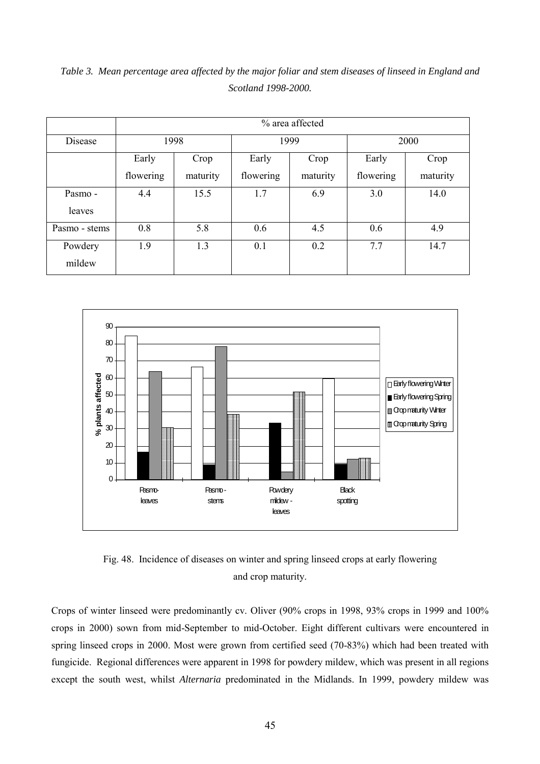|               | % area affected |          |           |          |           |          |  |  |  |  |
|---------------|-----------------|----------|-----------|----------|-----------|----------|--|--|--|--|
| Disease       | 1998            |          |           | 1999     | 2000      |          |  |  |  |  |
|               | Early           | Crop     | Early     | Crop     | Early     | Crop     |  |  |  |  |
|               | flowering       | maturity | flowering | maturity | flowering | maturity |  |  |  |  |
| Pasmo -       | 4.4             | 15.5     | 1.7       | 6.9      | 3.0       | 14.0     |  |  |  |  |
| leaves        |                 |          |           |          |           |          |  |  |  |  |
| Pasmo - stems | 0.8             | 5.8      | 0.6       | 4.5      | 0.6       | 4.9      |  |  |  |  |
| Powdery       | 1.9             | 1.3      | 0.1       | 0.2      | 7.7       | 14.7     |  |  |  |  |
| mildew        |                 |          |           |          |           |          |  |  |  |  |

*Table 3. Mean percentage area affected by the major foliar and stem diseases of linseed in England and Scotland 1998-2000.*



Fig. 48. Incidence of diseases on winter and spring linseed crops at early flowering and crop maturity.

Crops of winter linseed were predominantly cv. Oliver (90% crops in 1998, 93% crops in 1999 and 100% crops in 2000) sown from mid-September to mid-October. Eight different cultivars were encountered in spring linseed crops in 2000. Most were grown from certified seed (70-83%) which had been treated with fungicide. Regional differences were apparent in 1998 for powdery mildew, which was present in all regions except the south west, whilst *Alternaria* predominated in the Midlands. In 1999, powdery mildew was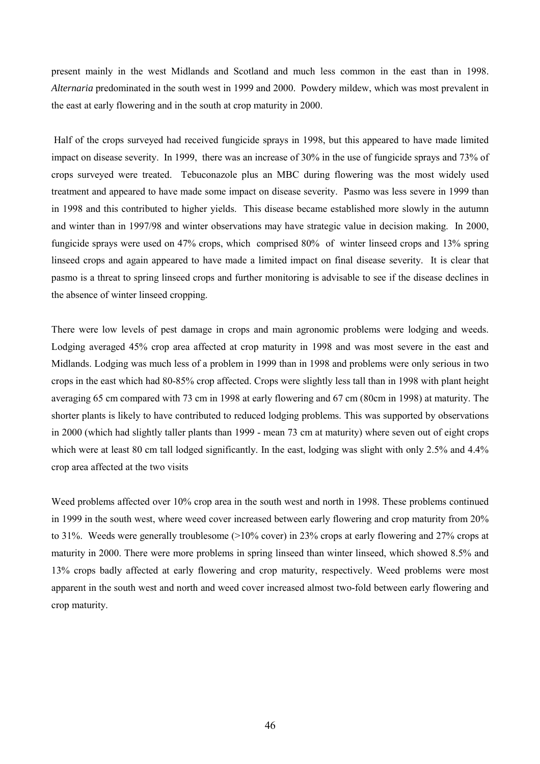present mainly in the west Midlands and Scotland and much less common in the east than in 1998. *Alternaria* predominated in the south west in 1999 and 2000. Powdery mildew, which was most prevalent in the east at early flowering and in the south at crop maturity in 2000.

 Half of the crops surveyed had received fungicide sprays in 1998, but this appeared to have made limited impact on disease severity. In 1999, there was an increase of 30% in the use of fungicide sprays and 73% of crops surveyed were treated. Tebuconazole plus an MBC during flowering was the most widely used treatment and appeared to have made some impact on disease severity. Pasmo was less severe in 1999 than in 1998 and this contributed to higher yields. This disease became established more slowly in the autumn and winter than in 1997/98 and winter observations may have strategic value in decision making. In 2000, fungicide sprays were used on 47% crops, which comprised 80% of winter linseed crops and 13% spring linseed crops and again appeared to have made a limited impact on final disease severity. It is clear that pasmo is a threat to spring linseed crops and further monitoring is advisable to see if the disease declines in the absence of winter linseed cropping.

There were low levels of pest damage in crops and main agronomic problems were lodging and weeds. Lodging averaged 45% crop area affected at crop maturity in 1998 and was most severe in the east and Midlands. Lodging was much less of a problem in 1999 than in 1998 and problems were only serious in two crops in the east which had 80-85% crop affected. Crops were slightly less tall than in 1998 with plant height averaging 65 cm compared with 73 cm in 1998 at early flowering and 67 cm (80cm in 1998) at maturity. The shorter plants is likely to have contributed to reduced lodging problems. This was supported by observations in 2000 (which had slightly taller plants than 1999 - mean 73 cm at maturity) where seven out of eight crops which were at least 80 cm tall lodged significantly. In the east, lodging was slight with only 2.5% and 4.4% crop area affected at the two visits

Weed problems affected over 10% crop area in the south west and north in 1998. These problems continued in 1999 in the south west, where weed cover increased between early flowering and crop maturity from 20% to 31%. Weeds were generally troublesome (>10% cover) in 23% crops at early flowering and 27% crops at maturity in 2000. There were more problems in spring linseed than winter linseed, which showed 8.5% and 13% crops badly affected at early flowering and crop maturity, respectively. Weed problems were most apparent in the south west and north and weed cover increased almost two-fold between early flowering and crop maturity.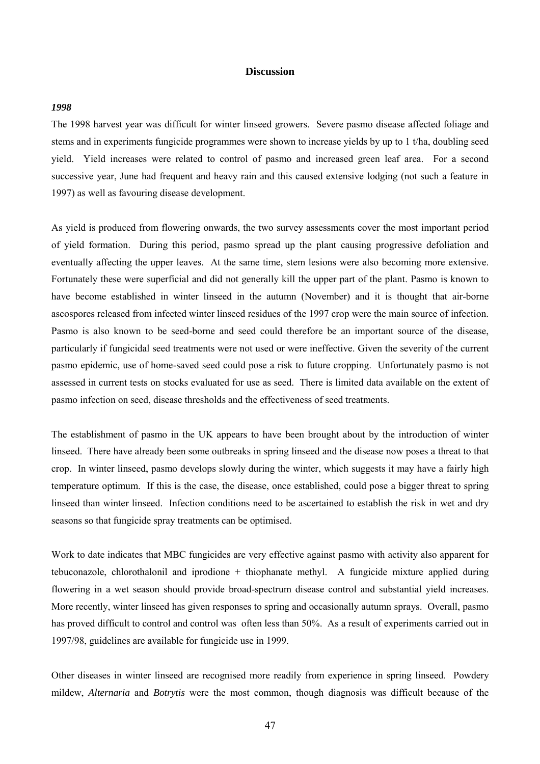# **Discussion**

#### *1998*

The 1998 harvest year was difficult for winter linseed growers. Severe pasmo disease affected foliage and stems and in experiments fungicide programmes were shown to increase yields by up to 1 t/ha, doubling seed yield. Yield increases were related to control of pasmo and increased green leaf area. For a second successive year, June had frequent and heavy rain and this caused extensive lodging (not such a feature in 1997) as well as favouring disease development.

As yield is produced from flowering onwards, the two survey assessments cover the most important period of yield formation. During this period, pasmo spread up the plant causing progressive defoliation and eventually affecting the upper leaves. At the same time, stem lesions were also becoming more extensive. Fortunately these were superficial and did not generally kill the upper part of the plant. Pasmo is known to have become established in winter linseed in the autumn (November) and it is thought that air-borne ascospores released from infected winter linseed residues of the 1997 crop were the main source of infection. Pasmo is also known to be seed-borne and seed could therefore be an important source of the disease, particularly if fungicidal seed treatments were not used or were ineffective. Given the severity of the current pasmo epidemic, use of home-saved seed could pose a risk to future cropping. Unfortunately pasmo is not assessed in current tests on stocks evaluated for use as seed. There is limited data available on the extent of pasmo infection on seed, disease thresholds and the effectiveness of seed treatments.

The establishment of pasmo in the UK appears to have been brought about by the introduction of winter linseed. There have already been some outbreaks in spring linseed and the disease now poses a threat to that crop. In winter linseed, pasmo develops slowly during the winter, which suggests it may have a fairly high temperature optimum. If this is the case, the disease, once established, could pose a bigger threat to spring linseed than winter linseed. Infection conditions need to be ascertained to establish the risk in wet and dry seasons so that fungicide spray treatments can be optimised.

Work to date indicates that MBC fungicides are very effective against pasmo with activity also apparent for tebuconazole, chlorothalonil and iprodione + thiophanate methyl. A fungicide mixture applied during flowering in a wet season should provide broad-spectrum disease control and substantial yield increases. More recently, winter linseed has given responses to spring and occasionally autumn sprays. Overall, pasmo has proved difficult to control and control was often less than 50%. As a result of experiments carried out in 1997/98, guidelines are available for fungicide use in 1999.

Other diseases in winter linseed are recognised more readily from experience in spring linseed. Powdery mildew, *Alternaria* and *Botrytis* were the most common, though diagnosis was difficult because of the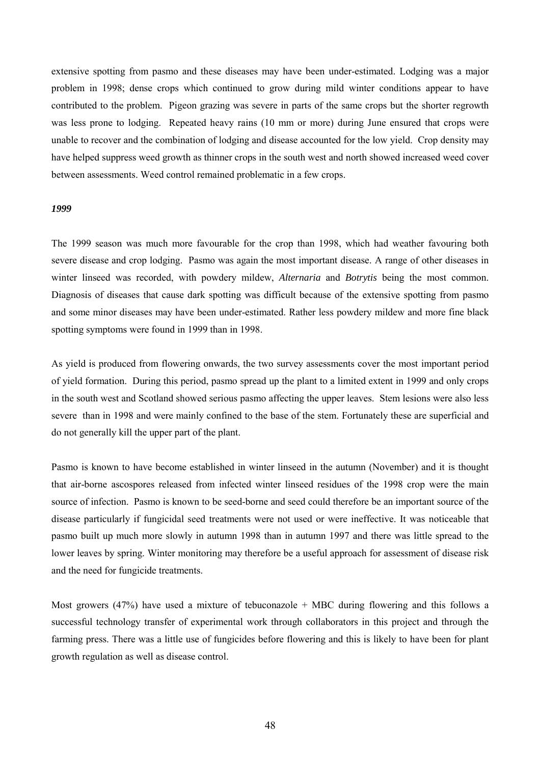extensive spotting from pasmo and these diseases may have been under-estimated. Lodging was a major problem in 1998; dense crops which continued to grow during mild winter conditions appear to have contributed to the problem. Pigeon grazing was severe in parts of the same crops but the shorter regrowth was less prone to lodging. Repeated heavy rains (10 mm or more) during June ensured that crops were unable to recover and the combination of lodging and disease accounted for the low yield. Crop density may have helped suppress weed growth as thinner crops in the south west and north showed increased weed cover between assessments. Weed control remained problematic in a few crops.

## *1999*

The 1999 season was much more favourable for the crop than 1998, which had weather favouring both severe disease and crop lodging. Pasmo was again the most important disease. A range of other diseases in winter linseed was recorded, with powdery mildew, *Alternaria* and *Botrytis* being the most common. Diagnosis of diseases that cause dark spotting was difficult because of the extensive spotting from pasmo and some minor diseases may have been under-estimated. Rather less powdery mildew and more fine black spotting symptoms were found in 1999 than in 1998.

As yield is produced from flowering onwards, the two survey assessments cover the most important period of yield formation. During this period, pasmo spread up the plant to a limited extent in 1999 and only crops in the south west and Scotland showed serious pasmo affecting the upper leaves. Stem lesions were also less severe than in 1998 and were mainly confined to the base of the stem. Fortunately these are superficial and do not generally kill the upper part of the plant.

Pasmo is known to have become established in winter linseed in the autumn (November) and it is thought that air-borne ascospores released from infected winter linseed residues of the 1998 crop were the main source of infection. Pasmo is known to be seed-borne and seed could therefore be an important source of the disease particularly if fungicidal seed treatments were not used or were ineffective. It was noticeable that pasmo built up much more slowly in autumn 1998 than in autumn 1997 and there was little spread to the lower leaves by spring. Winter monitoring may therefore be a useful approach for assessment of disease risk and the need for fungicide treatments.

Most growers (47%) have used a mixture of tebuconazole + MBC during flowering and this follows a successful technology transfer of experimental work through collaborators in this project and through the farming press. There was a little use of fungicides before flowering and this is likely to have been for plant growth regulation as well as disease control.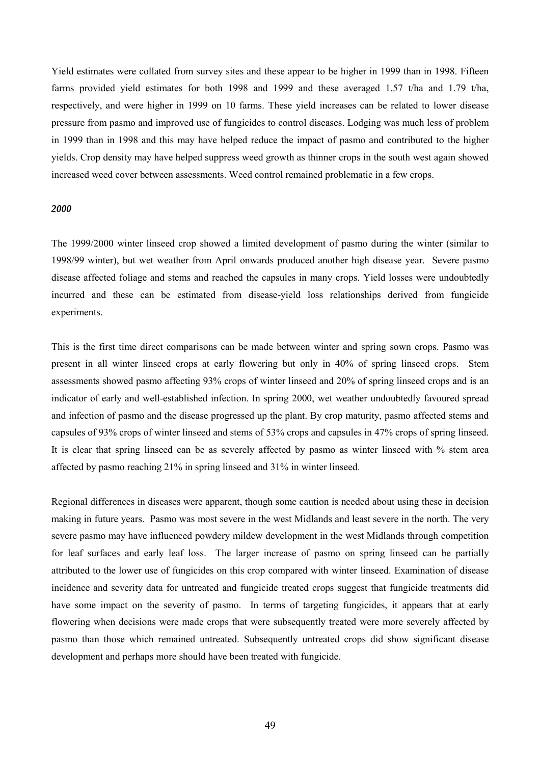Yield estimates were collated from survey sites and these appear to be higher in 1999 than in 1998. Fifteen farms provided yield estimates for both 1998 and 1999 and these averaged 1.57 t/ha and 1.79 t/ha, respectively, and were higher in 1999 on 10 farms. These yield increases can be related to lower disease pressure from pasmo and improved use of fungicides to control diseases. Lodging was much less of problem in 1999 than in 1998 and this may have helped reduce the impact of pasmo and contributed to the higher yields. Crop density may have helped suppress weed growth as thinner crops in the south west again showed increased weed cover between assessments. Weed control remained problematic in a few crops.

# *2000*

The 1999/2000 winter linseed crop showed a limited development of pasmo during the winter (similar to 1998/99 winter), but wet weather from April onwards produced another high disease year. Severe pasmo disease affected foliage and stems and reached the capsules in many crops. Yield losses were undoubtedly incurred and these can be estimated from disease-yield loss relationships derived from fungicide experiments.

This is the first time direct comparisons can be made between winter and spring sown crops. Pasmo was present in all winter linseed crops at early flowering but only in 40% of spring linseed crops. Stem assessments showed pasmo affecting 93% crops of winter linseed and 20% of spring linseed crops and is an indicator of early and well-established infection. In spring 2000, wet weather undoubtedly favoured spread and infection of pasmo and the disease progressed up the plant. By crop maturity, pasmo affected stems and capsules of 93% crops of winter linseed and stems of 53% crops and capsules in 47% crops of spring linseed. It is clear that spring linseed can be as severely affected by pasmo as winter linseed with % stem area affected by pasmo reaching 21% in spring linseed and 31% in winter linseed.

Regional differences in diseases were apparent, though some caution is needed about using these in decision making in future years. Pasmo was most severe in the west Midlands and least severe in the north. The very severe pasmo may have influenced powdery mildew development in the west Midlands through competition for leaf surfaces and early leaf loss. The larger increase of pasmo on spring linseed can be partially attributed to the lower use of fungicides on this crop compared with winter linseed. Examination of disease incidence and severity data for untreated and fungicide treated crops suggest that fungicide treatments did have some impact on the severity of pasmo. In terms of targeting fungicides, it appears that at early flowering when decisions were made crops that were subsequently treated were more severely affected by pasmo than those which remained untreated. Subsequently untreated crops did show significant disease development and perhaps more should have been treated with fungicide.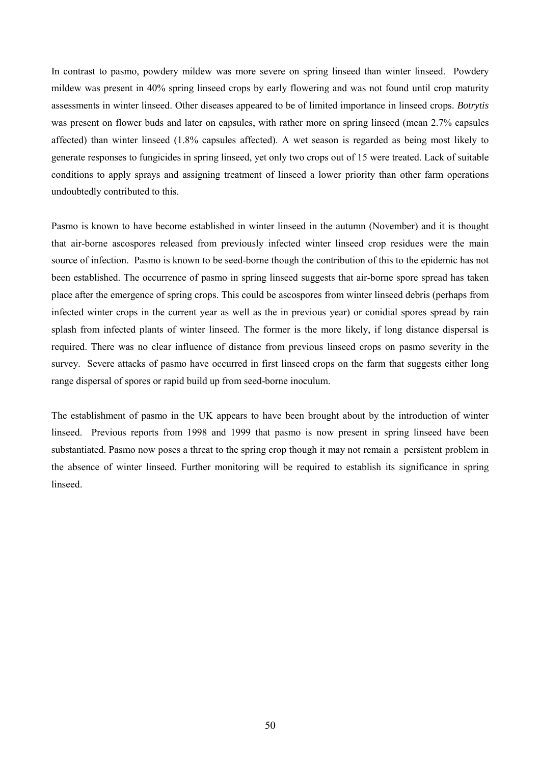In contrast to pasmo, powdery mildew was more severe on spring linseed than winter linseed. Powdery mildew was present in 40% spring linseed crops by early flowering and was not found until crop maturity assessments in winter linseed. Other diseases appeared to be of limited importance in linseed crops. *Botrytis* was present on flower buds and later on capsules, with rather more on spring linseed (mean 2.7% capsules affected) than winter linseed (1.8% capsules affected). A wet season is regarded as being most likely to generate responses to fungicides in spring linseed, yet only two crops out of 15 were treated. Lack of suitable conditions to apply sprays and assigning treatment of linseed a lower priority than other farm operations undoubtedly contributed to this.

Pasmo is known to have become established in winter linseed in the autumn (November) and it is thought that air-borne ascospores released from previously infected winter linseed crop residues were the main source of infection. Pasmo is known to be seed-borne though the contribution of this to the epidemic has not been established. The occurrence of pasmo in spring linseed suggests that air-borne spore spread has taken place after the emergence of spring crops. This could be ascospores from winter linseed debris (perhaps from infected winter crops in the current year as well as the in previous year) or conidial spores spread by rain splash from infected plants of winter linseed. The former is the more likely, if long distance dispersal is required. There was no clear influence of distance from previous linseed crops on pasmo severity in the survey. Severe attacks of pasmo have occurred in first linseed crops on the farm that suggests either long range dispersal of spores or rapid build up from seed-borne inoculum.

The establishment of pasmo in the UK appears to have been brought about by the introduction of winter linseed. Previous reports from 1998 and 1999 that pasmo is now present in spring linseed have been substantiated. Pasmo now poses a threat to the spring crop though it may not remain a persistent problem in the absence of winter linseed. Further monitoring will be required to establish its significance in spring linseed.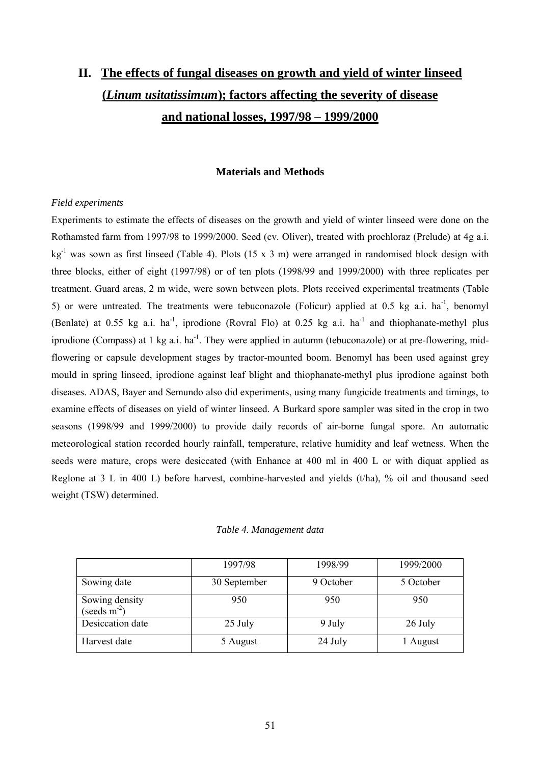# **II. The effects of fungal diseases on growth and yield of winter linseed (***Linum usitatissimum***); factors affecting the severity of disease and national losses, 1997/98 – 1999/2000**

# **Materials and Methods**

# *Field experiments*

Experiments to estimate the effects of diseases on the growth and yield of winter linseed were done on the Rothamsted farm from 1997/98 to 1999/2000. Seed (cv. Oliver), treated with prochloraz (Prelude) at 4g a.i. kg-1 was sown as first linseed (Table 4). Plots (15 x 3 m) were arranged in randomised block design with three blocks, either of eight (1997/98) or of ten plots (1998/99 and 1999/2000) with three replicates per treatment. Guard areas, 2 m wide, were sown between plots. Plots received experimental treatments (Table 5) or were untreated. The treatments were tebuconazole (Folicur) applied at 0.5 kg a.i. ha<sup>-1</sup>, benomyl (Benlate) at 0.55 kg a.i. ha<sup>-1</sup>, iprodione (Rovral Flo) at 0.25 kg a.i. ha<sup>-1</sup> and thiophanate-methyl plus iprodione (Compass) at 1 kg a.i.  $ha^{-1}$ . They were applied in autumn (tebuconazole) or at pre-flowering, midflowering or capsule development stages by tractor-mounted boom. Benomyl has been used against grey mould in spring linseed, iprodione against leaf blight and thiophanate-methyl plus iprodione against both diseases. ADAS, Bayer and Semundo also did experiments, using many fungicide treatments and timings, to examine effects of diseases on yield of winter linseed. A Burkard spore sampler was sited in the crop in two seasons (1998/99 and 1999/2000) to provide daily records of air-borne fungal spore. An automatic meteorological station recorded hourly rainfall, temperature, relative humidity and leaf wetness. When the seeds were mature, crops were desiccated (with Enhance at 400 ml in 400 L or with diquat applied as Reglone at 3 L in 400 L) before harvest, combine-harvested and yields (t/ha), % oil and thousand seed weight (TSW) determined.

|  |  | Table 4. Management data |  |
|--|--|--------------------------|--|
|--|--|--------------------------|--|

|                                  | 1997/98      | 1998/99   | 1999/2000 |
|----------------------------------|--------------|-----------|-----------|
| Sowing date                      | 30 September | 9 October | 5 October |
| Sowing density<br>(seeds $m-2$ ) | 950          | 950       | 950       |
| Desiccation date                 | 25 July      | 9 July    | 26 July   |
| Harvest date                     | 5 August     | 24 July   | 1 August  |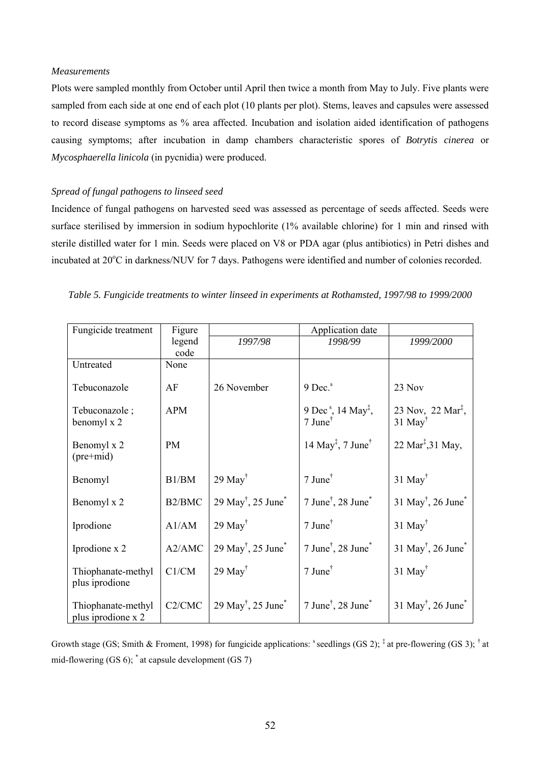## *Measurements*

Plots were sampled monthly from October until April then twice a month from May to July. Five plants were sampled from each side at one end of each plot (10 plants per plot). Stems, leaves and capsules were assessed to record disease symptoms as % area affected. Incubation and isolation aided identification of pathogens causing symptoms; after incubation in damp chambers characteristic spores of *Botrytis cinerea* or *Mycosphaerella linicola* (in pycnidia) were produced.

## *Spread of fungal pathogens to linseed seed*

Incidence of fungal pathogens on harvested seed was assessed as percentage of seeds affected. Seeds were surface sterilised by immersion in sodium hypochlorite (1% available chlorine) for 1 min and rinsed with sterile distilled water for 1 min. Seeds were placed on V8 or PDA agar (plus antibiotics) in Petri dishes and incubated at 20°C in darkness/NUV for 7 days. Pathogens were identified and number of colonies recorded.

|  |  |  | Table 5. Fungicide treatments to winter linseed in experiments at Rothamsted, 1997/98 to 1999/2000 |  |
|--|--|--|----------------------------------------------------------------------------------------------------|--|
|  |  |  |                                                                                                    |  |

| Fungicide treatment                      | Figure     |                                                  | Application date                                                                                           |                                                        |
|------------------------------------------|------------|--------------------------------------------------|------------------------------------------------------------------------------------------------------------|--------------------------------------------------------|
|                                          | legend     | 1997/98                                          | 1998/99                                                                                                    | 1999/2000                                              |
|                                          | code       |                                                  |                                                                                                            |                                                        |
| Untreated                                | None       |                                                  |                                                                                                            |                                                        |
| Tebuconazole                             | AF         | 26 November                                      | 9 Dec. <sup>s</sup>                                                                                        | 23 Nov                                                 |
| Tebuconazole;<br>benomyl x 2             | <b>APM</b> |                                                  | 9 Dec <sup>s</sup> , 14 May <sup><math>\ddagger</math></sup> ,<br>$7$ June <sup><math>\dagger</math></sup> | 23 Nov, 22 Mar <sup>1</sup> ,<br>$31$ May <sup>†</sup> |
| Benomyl x 2<br>$(pre+mid)$               | <b>PM</b>  |                                                  | 14 May <sup><math>\ddagger</math></sup> , 7 June <sup><math>\dagger</math></sup>                           | 22 Mar <sup><math>\ddagger</math></sup> , 31 May,      |
| Benomyl                                  | B1/BM      | $29$ May <sup>†</sup>                            | $7$ June <sup><math>\dagger</math></sup>                                                                   | $31$ May <sup>†</sup>                                  |
| Benomyl x 2                              | B2/BMC     | $29 \text{ May}^{\dagger}$ , $25 \text{ June}^*$ | $7$ June $^{\dagger}$ , 28 June $^*$                                                                       | $31 \text{ May}^{\dagger}$ , 26 June <sup>*</sup>      |
| Iprodione                                | A1/AM      | $29$ May <sup>†</sup>                            | $7$ June <sup><math>\dagger</math></sup>                                                                   | $31$ May <sup>†</sup>                                  |
| Iprodione x 2                            | A2/AMC     | $29 \text{ May}^{\dagger}$ , $25 \text{ June}^*$ | $7$ June <sup><math>\dagger</math></sup> , 28 June <sup><math>*</math></sup>                               | $31$ May <sup>†</sup> , 26 June <sup>*</sup>           |
| Thiophanate-methyl<br>plus iprodione     | C1/CM      | $29$ May <sup>†</sup>                            | $7$ June <sup>†</sup>                                                                                      | $31$ May <sup>†</sup>                                  |
| Thiophanate-methyl<br>plus iprodione x 2 | C2/CMC     | $29 \text{ May}^{\dagger}$ , $25 \text{ June}^*$ | $7$ June <sup>†</sup> , 28 June <sup><math>*</math></sup>                                                  | $31 \text{ May}^{\dagger}$ , 26 June <sup>*</sup>      |

Growth stage (GS; Smith & Froment, 1998) for fungicide applications:  $s$  seedlings (GS 2);  $\frac{1}{s}$  at pre-flowering (GS 3);  $\frac{1}{s}$  at mid-flowering  $(GS 6)$ ; \* at capsule development  $(GS 7)$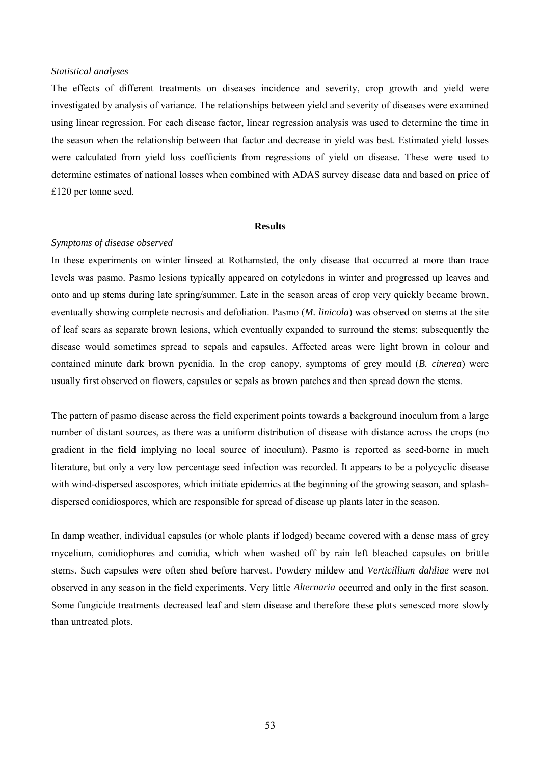#### *Statistical analyses*

The effects of different treatments on diseases incidence and severity, crop growth and yield were investigated by analysis of variance. The relationships between yield and severity of diseases were examined using linear regression. For each disease factor, linear regression analysis was used to determine the time in the season when the relationship between that factor and decrease in yield was best. Estimated yield losses were calculated from yield loss coefficients from regressions of yield on disease. These were used to determine estimates of national losses when combined with ADAS survey disease data and based on price of £120 per tonne seed.

# **Results**

## *Symptoms of disease observed*

In these experiments on winter linseed at Rothamsted, the only disease that occurred at more than trace levels was pasmo. Pasmo lesions typically appeared on cotyledons in winter and progressed up leaves and onto and up stems during late spring/summer. Late in the season areas of crop very quickly became brown, eventually showing complete necrosis and defoliation. Pasmo (*M. linicola*) was observed on stems at the site of leaf scars as separate brown lesions, which eventually expanded to surround the stems; subsequently the disease would sometimes spread to sepals and capsules. Affected areas were light brown in colour and contained minute dark brown pycnidia. In the crop canopy, symptoms of grey mould (*B. cinerea*) were usually first observed on flowers, capsules or sepals as brown patches and then spread down the stems.

The pattern of pasmo disease across the field experiment points towards a background inoculum from a large number of distant sources, as there was a uniform distribution of disease with distance across the crops (no gradient in the field implying no local source of inoculum). Pasmo is reported as seed-borne in much literature, but only a very low percentage seed infection was recorded. It appears to be a polycyclic disease with wind-dispersed ascospores, which initiate epidemics at the beginning of the growing season, and splashdispersed conidiospores, which are responsible for spread of disease up plants later in the season.

In damp weather, individual capsules (or whole plants if lodged) became covered with a dense mass of grey mycelium, conidiophores and conidia, which when washed off by rain left bleached capsules on brittle stems. Such capsules were often shed before harvest. Powdery mildew and *Verticillium dahliae* were not observed in any season in the field experiments. Very little *Alternaria* occurred and only in the first season. Some fungicide treatments decreased leaf and stem disease and therefore these plots senesced more slowly than untreated plots.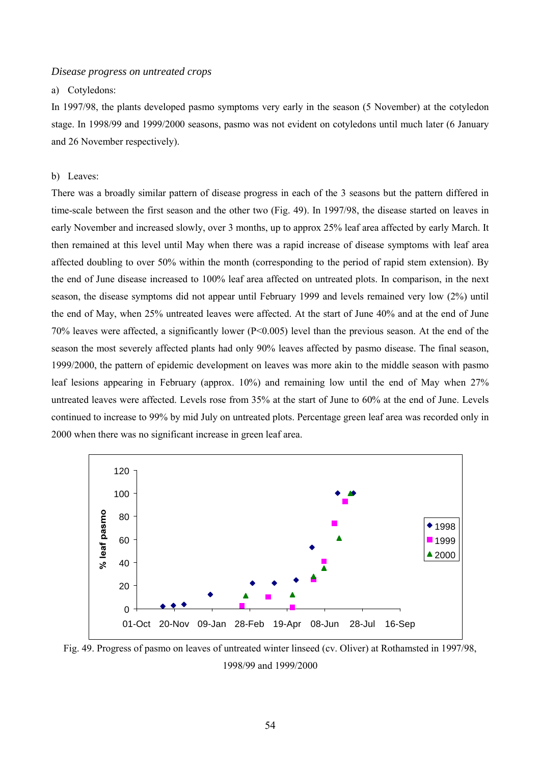#### *Disease progress on untreated crops*

# a) Cotyledons:

In 1997/98, the plants developed pasmo symptoms very early in the season (5 November) at the cotyledon stage. In 1998/99 and 1999/2000 seasons, pasmo was not evident on cotyledons until much later (6 January and 26 November respectively).

# b) Leaves:

There was a broadly similar pattern of disease progress in each of the 3 seasons but the pattern differed in time-scale between the first season and the other two (Fig. 49). In 1997/98, the disease started on leaves in early November and increased slowly, over 3 months, up to approx 25% leaf area affected by early March. It then remained at this level until May when there was a rapid increase of disease symptoms with leaf area affected doubling to over 50% within the month (corresponding to the period of rapid stem extension). By the end of June disease increased to 100% leaf area affected on untreated plots. In comparison, in the next season, the disease symptoms did not appear until February 1999 and levels remained very low (2%) until the end of May, when 25% untreated leaves were affected. At the start of June 40% and at the end of June 70% leaves were affected, a significantly lower (P<0.005) level than the previous season. At the end of the season the most severely affected plants had only 90% leaves affected by pasmo disease. The final season, 1999/2000, the pattern of epidemic development on leaves was more akin to the middle season with pasmo leaf lesions appearing in February (approx. 10%) and remaining low until the end of May when 27% untreated leaves were affected. Levels rose from 35% at the start of June to 60% at the end of June. Levels continued to increase to 99% by mid July on untreated plots. Percentage green leaf area was recorded only in 2000 when there was no significant increase in green leaf area.



Fig. 49. Progress of pasmo on leaves of untreated winter linseed (cv. Oliver) at Rothamsted in 1997/98, 1998/99 and 1999/2000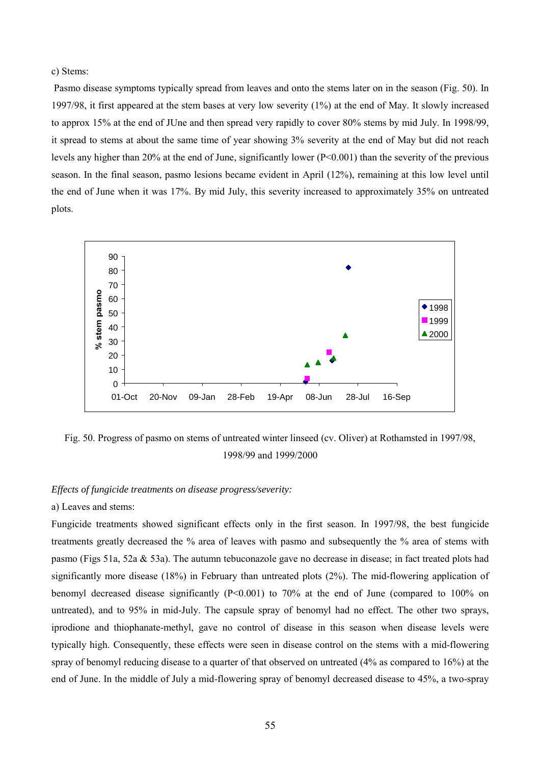## c) Stems:

 Pasmo disease symptoms typically spread from leaves and onto the stems later on in the season (Fig. 50). In 1997/98, it first appeared at the stem bases at very low severity (1%) at the end of May. It slowly increased to approx 15% at the end of JUne and then spread very rapidly to cover 80% stems by mid July. In 1998/99, it spread to stems at about the same time of year showing 3% severity at the end of May but did not reach levels any higher than 20% at the end of June, significantly lower (P<0.001) than the severity of the previous season. In the final season, pasmo lesions became evident in April (12%), remaining at this low level until the end of June when it was 17%. By mid July, this severity increased to approximately 35% on untreated plots.



Fig. 50. Progress of pasmo on stems of untreated winter linseed (cv. Oliver) at Rothamsted in 1997/98, 1998/99 and 1999/2000

# *Effects of fungicide treatments on disease progress/severity:*

## a) Leaves and stems:

Fungicide treatments showed significant effects only in the first season. In 1997/98, the best fungicide treatments greatly decreased the % area of leaves with pasmo and subsequently the % area of stems with pasmo (Figs 51a, 52a & 53a). The autumn tebuconazole gave no decrease in disease; in fact treated plots had significantly more disease (18%) in February than untreated plots (2%). The mid-flowering application of benomyl decreased disease significantly  $(P< 0.001)$  to 70% at the end of June (compared to 100% on untreated), and to 95% in mid-July. The capsule spray of benomyl had no effect. The other two sprays, iprodione and thiophanate-methyl, gave no control of disease in this season when disease levels were typically high. Consequently, these effects were seen in disease control on the stems with a mid-flowering spray of benomyl reducing disease to a quarter of that observed on untreated (4% as compared to 16%) at the end of June. In the middle of July a mid-flowering spray of benomyl decreased disease to 45%, a two-spray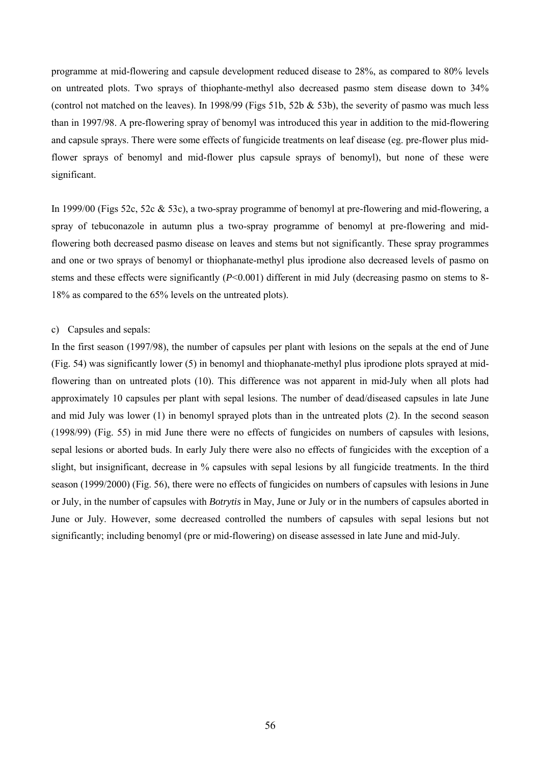programme at mid-flowering and capsule development reduced disease to 28%, as compared to 80% levels on untreated plots. Two sprays of thiophante-methyl also decreased pasmo stem disease down to 34% (control not matched on the leaves). In 1998/99 (Figs 51b, 52b  $\&$  53b), the severity of pasmo was much less than in 1997/98. A pre-flowering spray of benomyl was introduced this year in addition to the mid-flowering and capsule sprays. There were some effects of fungicide treatments on leaf disease (eg. pre-flower plus midflower sprays of benomyl and mid-flower plus capsule sprays of benomyl), but none of these were significant.

In 1999/00 (Figs 52c, 52c & 53c), a two-spray programme of benomyl at pre-flowering and mid-flowering, a spray of tebuconazole in autumn plus a two-spray programme of benomyl at pre-flowering and midflowering both decreased pasmo disease on leaves and stems but not significantly. These spray programmes and one or two sprays of benomyl or thiophanate-methyl plus iprodione also decreased levels of pasmo on stems and these effects were significantly (*P*<0.001) different in mid July (decreasing pasmo on stems to 8- 18% as compared to the 65% levels on the untreated plots).

## c) Capsules and sepals:

In the first season (1997/98), the number of capsules per plant with lesions on the sepals at the end of June (Fig. 54) was significantly lower (5) in benomyl and thiophanate-methyl plus iprodione plots sprayed at midflowering than on untreated plots (10). This difference was not apparent in mid-July when all plots had approximately 10 capsules per plant with sepal lesions. The number of dead/diseased capsules in late June and mid July was lower (1) in benomyl sprayed plots than in the untreated plots (2). In the second season (1998/99) (Fig. 55) in mid June there were no effects of fungicides on numbers of capsules with lesions, sepal lesions or aborted buds. In early July there were also no effects of fungicides with the exception of a slight, but insignificant, decrease in % capsules with sepal lesions by all fungicide treatments. In the third season (1999/2000) (Fig. 56), there were no effects of fungicides on numbers of capsules with lesions in June or July, in the number of capsules with *Botrytis* in May, June or July or in the numbers of capsules aborted in June or July. However, some decreased controlled the numbers of capsules with sepal lesions but not significantly; including benomyl (pre or mid-flowering) on disease assessed in late June and mid-July.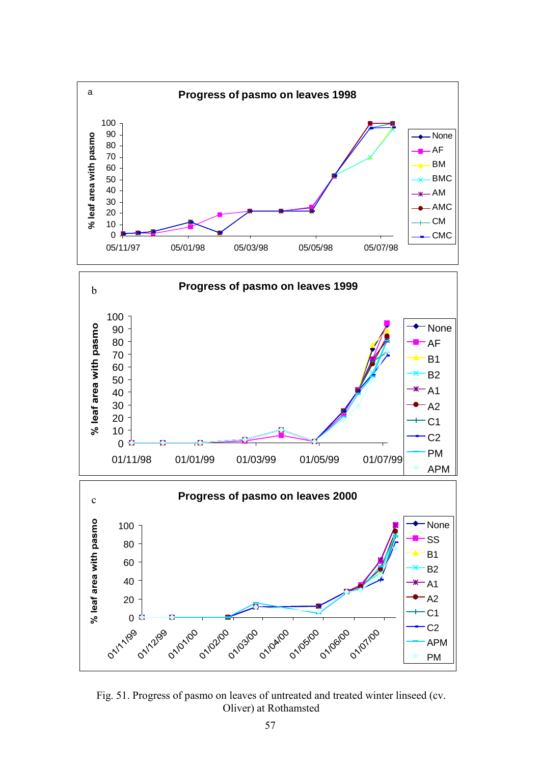

Fig. 51. Progress of pasmo on leaves of untreated and treated winter linseed (cv. Oliver) at Rothamsted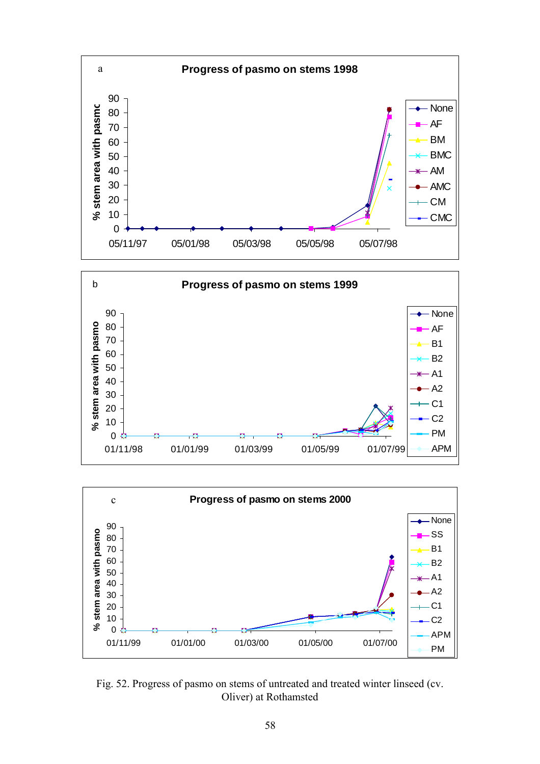





Fig. 52. Progress of pasmo on stems of untreated and treated winter linseed (cv. Oliver) at Rothamsted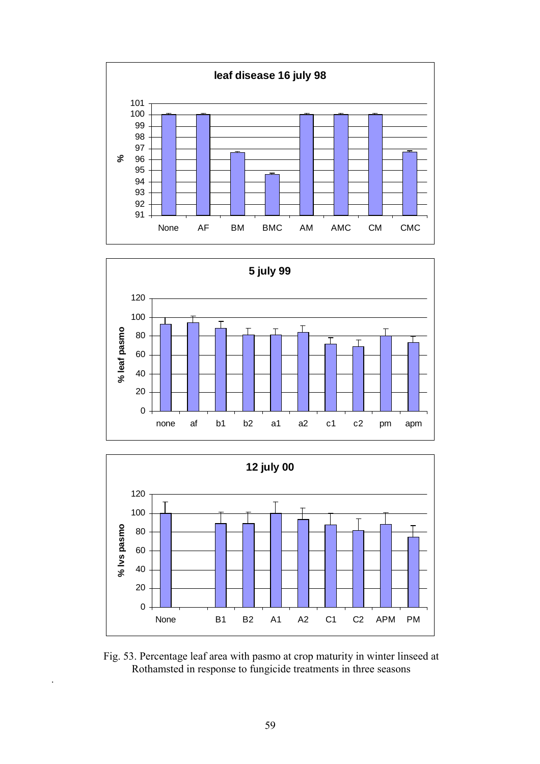





Fig. 53. Percentage leaf area with pasmo at crop maturity in winter linseed at Rothamsted in response to fungicide treatments in three seasons

.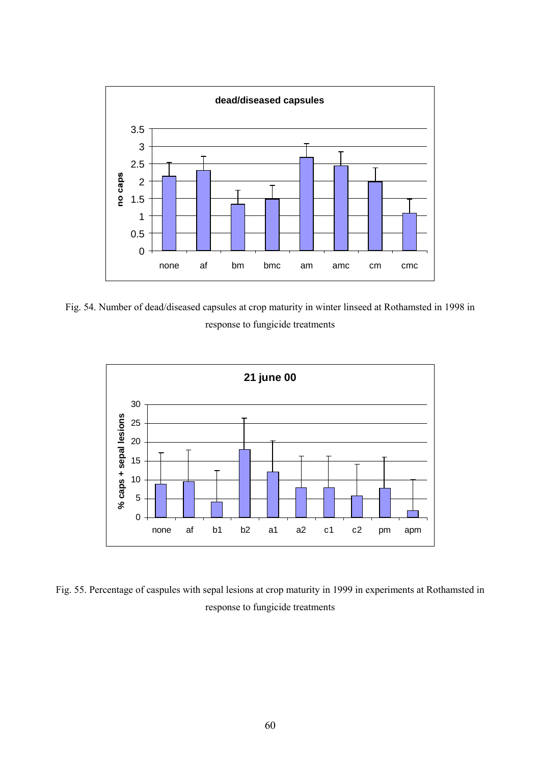

Fig. 54. Number of dead/diseased capsules at crop maturity in winter linseed at Rothamsted in 1998 in response to fungicide treatments



Fig. 55. Percentage of caspules with sepal lesions at crop maturity in 1999 in experiments at Rothamsted in response to fungicide treatments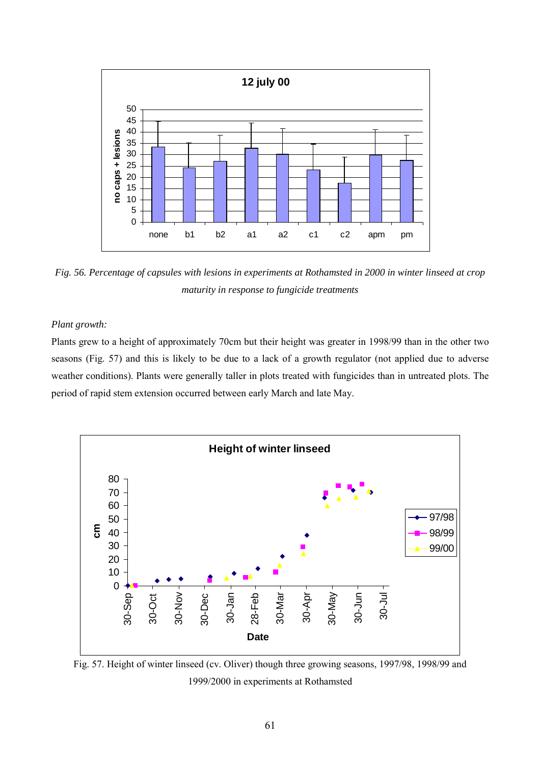

*Fig. 56. Percentage of capsules with lesions in experiments at Rothamsted in 2000 in winter linseed at crop maturity in response to fungicide treatments*

# *Plant growth:*

Plants grew to a height of approximately 70cm but their height was greater in 1998/99 than in the other two seasons (Fig. 57) and this is likely to be due to a lack of a growth regulator (not applied due to adverse weather conditions). Plants were generally taller in plots treated with fungicides than in untreated plots. The period of rapid stem extension occurred between early March and late May.



Fig. 57. Height of winter linseed (cv. Oliver) though three growing seasons, 1997/98, 1998/99 and 1999/2000 in experiments at Rothamsted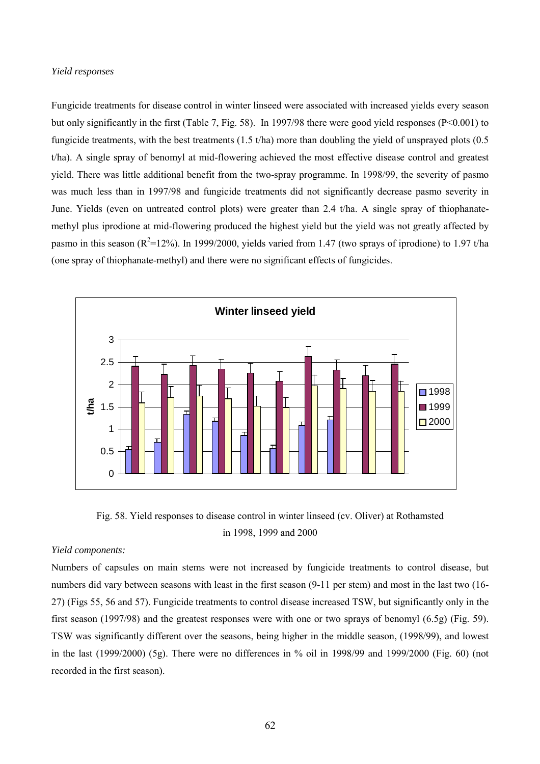#### *Yield responses*

Fungicide treatments for disease control in winter linseed were associated with increased yields every season but only significantly in the first (Table 7, Fig. 58). In 1997/98 there were good yield responses ( $P < 0.001$ ) to fungicide treatments, with the best treatments (1.5 t/ha) more than doubling the yield of unsprayed plots (0.5 t/ha). A single spray of benomyl at mid-flowering achieved the most effective disease control and greatest yield. There was little additional benefit from the two-spray programme. In 1998/99, the severity of pasmo was much less than in 1997/98 and fungicide treatments did not significantly decrease pasmo severity in June. Yields (even on untreated control plots) were greater than 2.4 t/ha. A single spray of thiophanatemethyl plus iprodione at mid-flowering produced the highest yield but the yield was not greatly affected by pasmo in this season ( $R^2$ =12%). In 1999/2000, yields varied from 1.47 (two sprays of iprodione) to 1.97 t/ha (one spray of thiophanate-methyl) and there were no significant effects of fungicides.



Fig. 58. Yield responses to disease control in winter linseed (cv. Oliver) at Rothamsted in 1998, 1999 and 2000

## *Yield components:*

Numbers of capsules on main stems were not increased by fungicide treatments to control disease, but numbers did vary between seasons with least in the first season (9-11 per stem) and most in the last two (16- 27) (Figs 55, 56 and 57). Fungicide treatments to control disease increased TSW, but significantly only in the first season (1997/98) and the greatest responses were with one or two sprays of benomyl (6.5g) (Fig. 59). TSW was significantly different over the seasons, being higher in the middle season, (1998/99), and lowest in the last (1999/2000) (5g). There were no differences in % oil in 1998/99 and 1999/2000 (Fig. 60) (not recorded in the first season).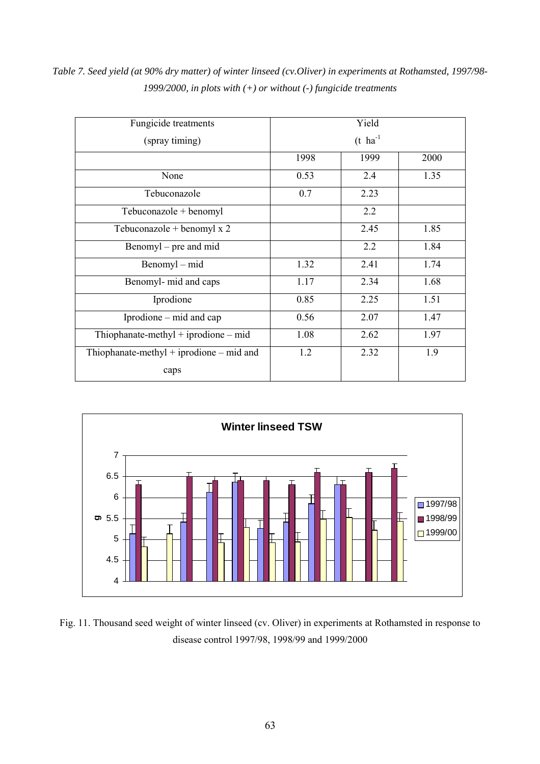| Fungicide treatments                       | Yield |                        |      |  |  |  |
|--------------------------------------------|-------|------------------------|------|--|--|--|
| (spray timing)                             |       | $(t)$ ha <sup>-1</sup> |      |  |  |  |
|                                            | 1998  | 1999                   | 2000 |  |  |  |
| None                                       | 0.53  | 2.4                    | 1.35 |  |  |  |
| Tebuconazole                               | 0.7   | 2.23                   |      |  |  |  |
| Tebuconazole + benomyl                     |       | 2.2                    |      |  |  |  |
| Tebuconazole + benomyl $x$ 2               |       | 2.45                   | 1.85 |  |  |  |
| Benomyl – pre and mid                      |       | 2.2                    | 1.84 |  |  |  |
| Benomyl – mid                              | 1.32  | 2.41                   | 1.74 |  |  |  |
| Benomyl- mid and caps                      | 1.17  | 2.34                   | 1.68 |  |  |  |
| Iprodione                                  | 0.85  | 2.25                   | 1.51 |  |  |  |
| Iprodione – mid and cap                    | 0.56  | 2.07                   | 1.47 |  |  |  |
| Thiophanate-methyl + iprodione $-$ mid     | 1.08  | 2.62                   | 1.97 |  |  |  |
| Thiophanate-methyl + iprodione $-$ mid and | 1.2   | 2.32                   | 1.9  |  |  |  |
| caps                                       |       |                        |      |  |  |  |

*Table 7. Seed yield (at 90% dry matter) of winter linseed (cv.Oliver) in experiments at Rothamsted, 1997/98- 1999/2000, in plots with (+) or without (-) fungicide treatments*



Fig. 11. Thousand seed weight of winter linseed (cv. Oliver) in experiments at Rothamsted in response to disease control 1997/98, 1998/99 and 1999/2000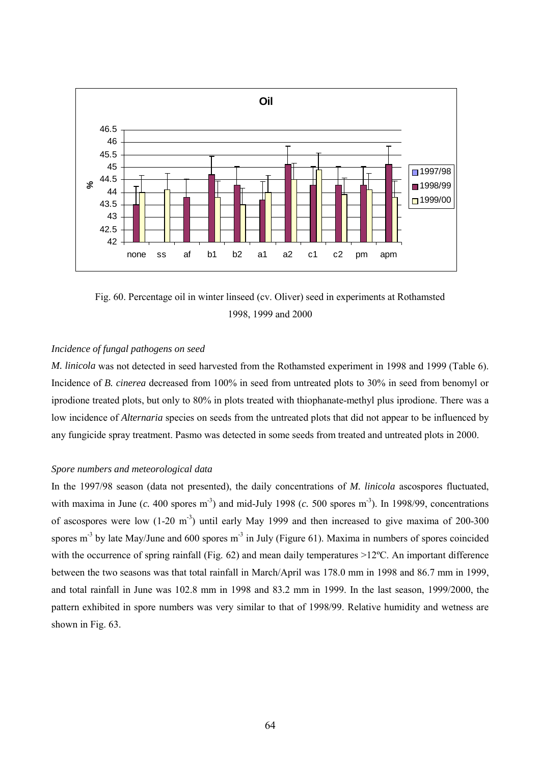

Fig. 60. Percentage oil in winter linseed (cv. Oliver) seed in experiments at Rothamsted 1998, 1999 and 2000

# *Incidence of fungal pathogens on seed*

*M. linicola* was not detected in seed harvested from the Rothamsted experiment in 1998 and 1999 (Table 6). Incidence of *B. cinerea* decreased from 100% in seed from untreated plots to 30% in seed from benomyl or iprodione treated plots, but only to 80% in plots treated with thiophanate-methyl plus iprodione. There was a low incidence of *Alternaria* species on seeds from the untreated plots that did not appear to be influenced by any fungicide spray treatment. Pasmo was detected in some seeds from treated and untreated plots in 2000.

#### *Spore numbers and meteorological data*

In the 1997/98 season (data not presented), the daily concentrations of *M. linicola* ascospores fluctuated, with maxima in June  $(c. 400 \text{ stores m}^{-3})$  and mid-July 1998  $(c. 500 \text{ stores m}^{-3})$ . In 1998/99, concentrations of ascospores were low  $(1-20 \text{ m}^3)$  until early May 1999 and then increased to give maxima of 200-300 spores m<sup>-3</sup> by late May/June and 600 spores m<sup>-3</sup> in July (Figure 61). Maxima in numbers of spores coincided with the occurrence of spring rainfall (Fig. 62) and mean daily temperatures >12°C. An important difference between the two seasons was that total rainfall in March/April was 178.0 mm in 1998 and 86.7 mm in 1999, and total rainfall in June was 102.8 mm in 1998 and 83.2 mm in 1999. In the last season, 1999/2000, the pattern exhibited in spore numbers was very similar to that of 1998/99. Relative humidity and wetness are shown in Fig. 63.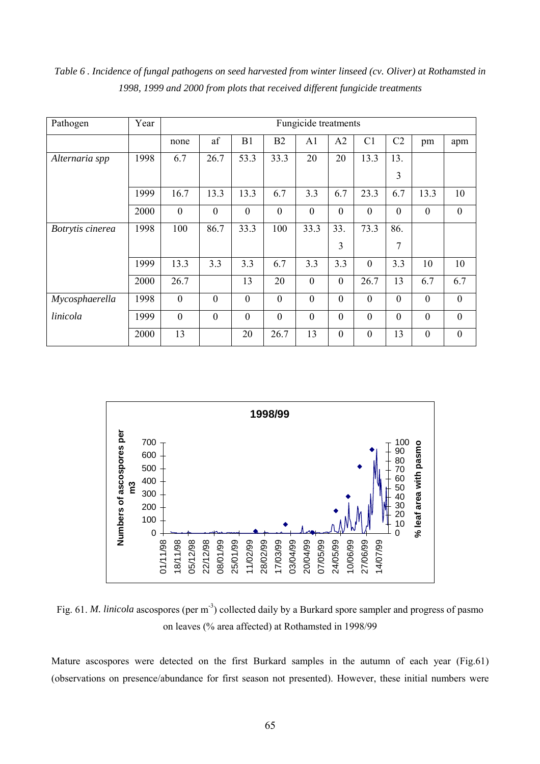| Pathogen         | Year | Fungicide treatments |              |                |                  |                  |                  |                  |                  |                  |                  |
|------------------|------|----------------------|--------------|----------------|------------------|------------------|------------------|------------------|------------------|------------------|------------------|
|                  |      | none                 | af           | B1             | B2               | A1               | A2               | C <sub>1</sub>   | C <sub>2</sub>   | pm               | apm              |
| Alternaria spp   | 1998 | 6.7                  | 26.7         | 53.3           | 33.3             | 20               | 20               | 13.3             | 13.              |                  |                  |
|                  |      |                      |              |                |                  |                  |                  |                  | 3                |                  |                  |
|                  | 1999 | 16.7                 | 13.3         | 13.3           | 6.7              | 3.3              | 6.7              | 23.3             | 6.7              | 13.3             | 10               |
|                  | 2000 | $\boldsymbol{0}$     | $\mathbf{0}$ | $\theta$       | $\boldsymbol{0}$ | $\boldsymbol{0}$ | $\boldsymbol{0}$ | $\boldsymbol{0}$ | $\boldsymbol{0}$ | $\boldsymbol{0}$ | $\mathbf{0}$     |
| Botrytis cinerea | 1998 | 100                  | 86.7         | 33.3           | 100              | 33.3             | 33.              | 73.3             | 86.              |                  |                  |
|                  |      |                      |              |                |                  |                  | 3                |                  | 7                |                  |                  |
|                  | 1999 | 13.3                 | 3.3          | 3.3            | 6.7              | 3.3              | 3.3              | $\mathbf{0}$     | 3.3              | 10               | 10               |
|                  | 2000 | 26.7                 |              | 13             | 20               | $\mathbf{0}$     | $\boldsymbol{0}$ | 26.7             | 13               | 6.7              | 6.7              |
| Mycosphaerella   | 1998 | $\boldsymbol{0}$     | $\mathbf{0}$ | $\overline{0}$ | $\mathbf{0}$     | $\boldsymbol{0}$ | $\mathbf{0}$     | $\mathbf{0}$     | $\mathbf{0}$     | $\mathbf{0}$     | $\boldsymbol{0}$ |
| linicola         | 1999 | $\boldsymbol{0}$     | $\mathbf{0}$ | $\theta$       | $\mathbf{0}$     | $\boldsymbol{0}$ | $\mathbf{0}$     | $\boldsymbol{0}$ | $\mathbf{0}$     | $\mathbf{0}$     | $\overline{0}$   |
|                  | 2000 | 13                   |              | 20             | 26.7             | 13               | $\boldsymbol{0}$ | $\boldsymbol{0}$ | 13               | $\boldsymbol{0}$ | $\boldsymbol{0}$ |

*Table 6 . Incidence of fungal pathogens on seed harvested from winter linseed (cv. Oliver) at Rothamsted in 1998, 1999 and 2000 from plots that received different fungicide treatments*



Fig. 61. *M. linicola* ascospores (per m<sup>-3</sup>) collected daily by a Burkard spore sampler and progress of pasmo on leaves (% area affected) at Rothamsted in 1998/99

Mature ascospores were detected on the first Burkard samples in the autumn of each year (Fig.61) (observations on presence/abundance for first season not presented). However, these initial numbers were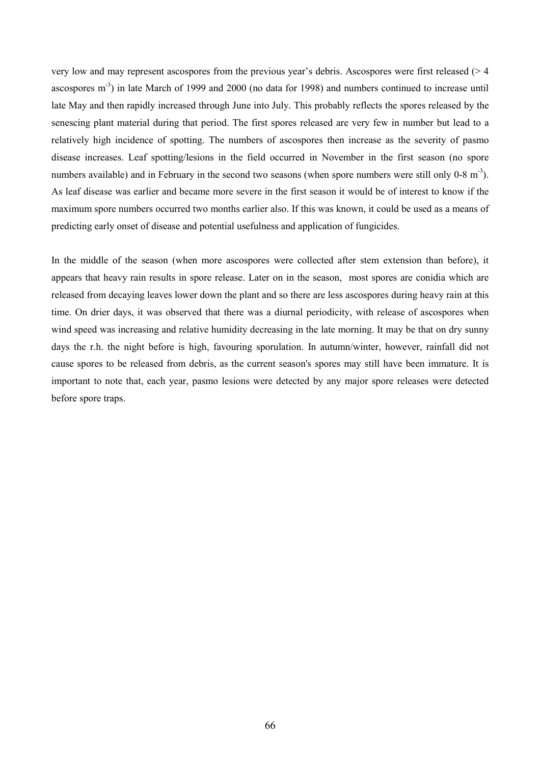very low and may represent ascospores from the previous year's debris. Ascospores were first released (> 4 ascospores  $m^{-3}$ ) in late March of 1999 and 2000 (no data for 1998) and numbers continued to increase until late May and then rapidly increased through June into July. This probably reflects the spores released by the senescing plant material during that period. The first spores released are very few in number but lead to a relatively high incidence of spotting. The numbers of ascospores then increase as the severity of pasmo disease increases. Leaf spotting/lesions in the field occurred in November in the first season (no spore numbers available) and in February in the second two seasons (when spore numbers were still only  $0-8 \text{ m}^3$ ). As leaf disease was earlier and became more severe in the first season it would be of interest to know if the maximum spore numbers occurred two months earlier also. If this was known, it could be used as a means of predicting early onset of disease and potential usefulness and application of fungicides.

In the middle of the season (when more ascospores were collected after stem extension than before), it appears that heavy rain results in spore release. Later on in the season, most spores are conidia which are released from decaying leaves lower down the plant and so there are less ascospores during heavy rain at this time. On drier days, it was observed that there was a diurnal periodicity, with release of ascospores when wind speed was increasing and relative humidity decreasing in the late morning. It may be that on dry sunny days the r.h. the night before is high, favouring sporulation. In autumn/winter, however, rainfall did not cause spores to be released from debris, as the current season's spores may still have been immature. It is important to note that, each year, pasmo lesions were detected by any major spore releases were detected before spore traps.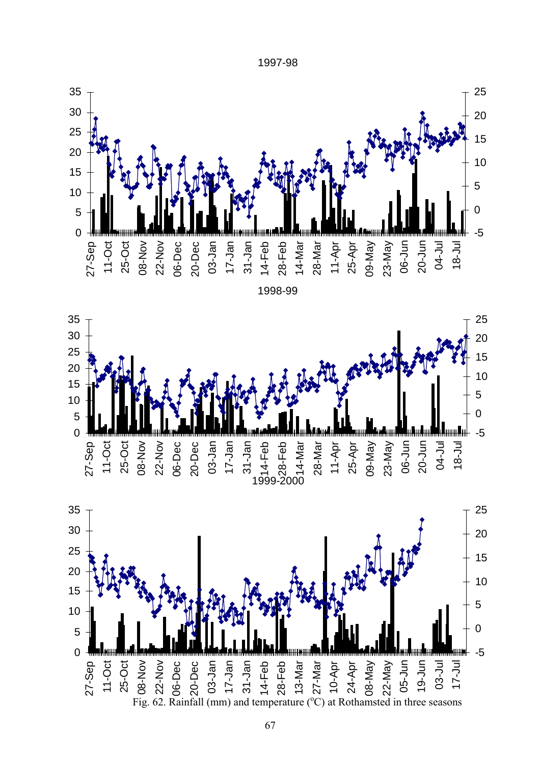1997-98





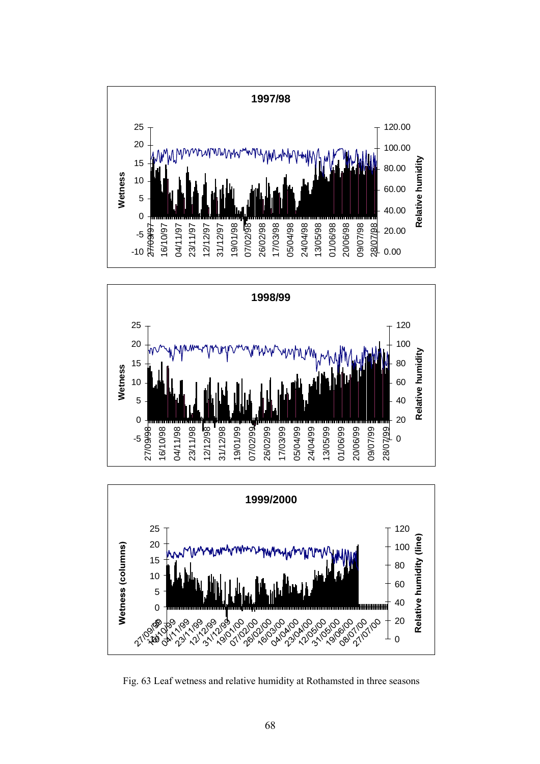





Fig. 63 Leaf wetness and relative humidity at Rothamsted in three seasons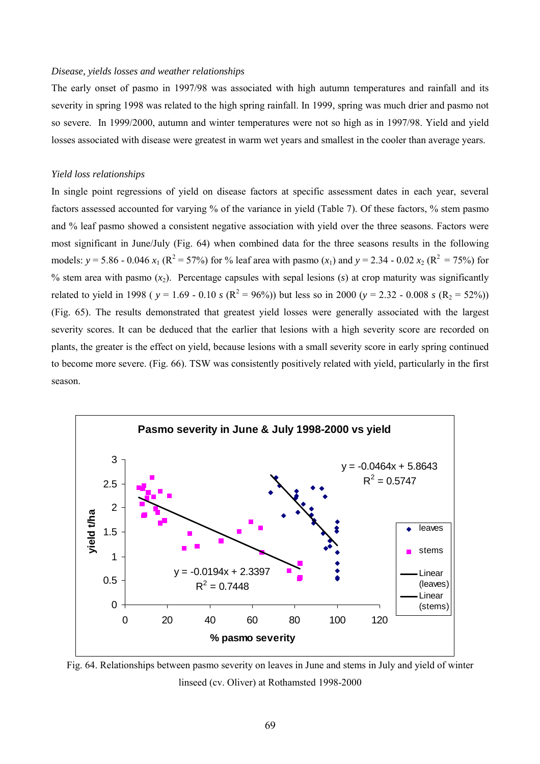#### *Disease, yields losses and weather relationships*

The early onset of pasmo in 1997/98 was associated with high autumn temperatures and rainfall and its severity in spring 1998 was related to the high spring rainfall. In 1999, spring was much drier and pasmo not so severe. In 1999/2000, autumn and winter temperatures were not so high as in 1997/98. Yield and yield losses associated with disease were greatest in warm wet years and smallest in the cooler than average years.

# *Yield loss relationships*

In single point regressions of yield on disease factors at specific assessment dates in each year, several factors assessed accounted for varying % of the variance in yield (Table 7). Of these factors, % stem pasmo and % leaf pasmo showed a consistent negative association with yield over the three seasons. Factors were most significant in June/July (Fig. 64) when combined data for the three seasons results in the following models:  $y = 5.86 - 0.046 x_1 (R^2 = 57%)$  for % leaf area with pasmo  $(x_1)$  and  $y = 2.34 - 0.02 x_2 (R^2 = 75%)$  for % stem area with pasmo  $(x_2)$ . Percentage capsules with sepal lesions  $(s)$  at crop maturity was significantly related to yield in 1998 ( $y = 1.69 - 0.10$  *s* ( $R^2 = 96\%)$ ) but less so in 2000 ( $y = 2.32 - 0.008$  *s* ( $R_2 = 52\%)$ ) (Fig. 65). The results demonstrated that greatest yield losses were generally associated with the largest severity scores. It can be deduced that the earlier that lesions with a high severity score are recorded on plants, the greater is the effect on yield, because lesions with a small severity score in early spring continued to become more severe. (Fig. 66). TSW was consistently positively related with yield, particularly in the first season.



Fig. 64. Relationships between pasmo severity on leaves in June and stems in July and yield of winter linseed (cv. Oliver) at Rothamsted 1998-2000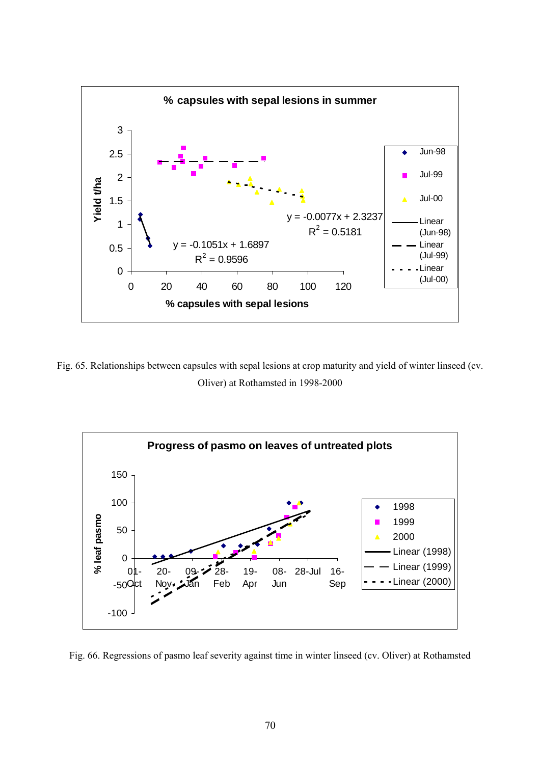

Fig. 65. Relationships between capsules with sepal lesions at crop maturity and yield of winter linseed (cv. Oliver) at Rothamsted in 1998-2000



Fig. 66. Regressions of pasmo leaf severity against time in winter linseed (cv. Oliver) at Rothamsted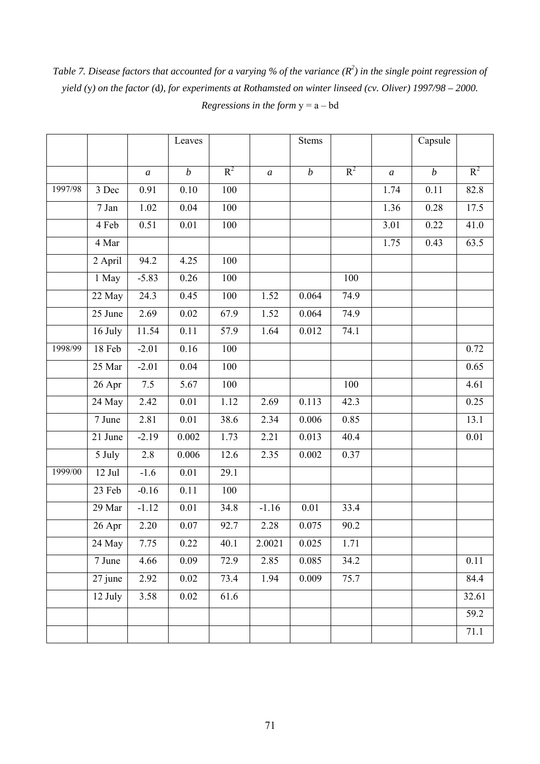Table 7. Disease factors that accounted for a varying % of the variance ( $R^2$ ) in the single point regression of *yield (*y*) on the factor (*d*), for experiments at Rothamsted on winter linseed (cv. Oliver) 1997/98 – 2000. Regressions in the form* y = a – bd

|         |                      |                  | Leaves            |       |                | <b>Stems</b>     |       |                  | Capsule          |       |
|---------|----------------------|------------------|-------------------|-------|----------------|------------------|-------|------------------|------------------|-------|
|         |                      | $\boldsymbol{a}$ | $\boldsymbol{b}$  | $R^2$ | $\overline{a}$ | $\boldsymbol{b}$ | $R^2$ | $\boldsymbol{a}$ | $\boldsymbol{b}$ | $R^2$ |
| 1997/98 |                      |                  | 0.10              |       |                |                  |       |                  | 0.11             |       |
|         | 3 Dec                | 0.91             |                   | 100   |                |                  |       | 1.74             |                  | 82.8  |
|         | 7 Jan                | 1.02             | 0.04              | 100   |                |                  |       | 1.36             | 0.28             | 17.5  |
|         | 4 Feb                | 0.51             | $0.01\,$          | 100   |                |                  |       | 3.01             | 0.22             | 41.0  |
|         | 4 Mar                |                  |                   |       |                |                  |       | 1.75             | 0.43             | 63.5  |
|         | $2$ April            | 94.2             | 4.25              | 100   |                |                  |       |                  |                  |       |
|         | 1 May                | $-5.83$          | 0.26              | 100   |                |                  | 100   |                  |                  |       |
|         | 22 May               | 24.3             | 0.45              | 100   | 1.52           | 0.064            | 74.9  |                  |                  |       |
|         | 25 June              | 2.69             | 0.02              | 67.9  | 1.52           | 0.064            | 74.9  |                  |                  |       |
|         | 16 July              | 11.54            | 0.11              | 57.9  | 1.64           | 0.012            | 74.1  |                  |                  |       |
| 1998/99 | 18 Feb               | $-2.01$          | $\overline{0.16}$ | 100   |                |                  |       |                  |                  | 0.72  |
|         | 25 Mar               | $-2.01$          | 0.04              | 100   |                |                  |       |                  |                  | 0.65  |
|         | 26 Apr               | $7.5$            | 5.67              | 100   |                |                  | 100   |                  |                  | 4.61  |
|         | 24 May               | 2.42             | $\overline{0.01}$ | 1.12  | 2.69           | 0.113            | 42.3  |                  |                  | 0.25  |
|         | $\overline{7}$ June  | 2.81             | 0.01              | 38.6  | 2.34           | 0.006            | 0.85  |                  |                  | 13.1  |
|         | 21 June              | $-2.19$          | 0.002             | 1.73  | 2.21           | 0.013            | 40.4  |                  |                  | 0.01  |
|         | 5 July               | 2.8              | 0.006             | 12.6  | 2.35           | 0.002            | 0.37  |                  |                  |       |
| 1999/00 | $12$ Jul             | $-1.6$           | 0.01              | 29.1  |                |                  |       |                  |                  |       |
|         | 23 Feb               | $-0.16$          | 0.11              | 100   |                |                  |       |                  |                  |       |
|         | 29 Mar               | $-1.12$          | 0.01              | 34.8  | $-1.16$        | $0.01\,$         | 33.4  |                  |                  |       |
|         | 26 Apr               | 2.20             | 0.07              | 92.7  | 2.28           | 0.075            | 90.2  |                  |                  |       |
|         | 24 May               | 7.75             | 0.22              | 40.1  | 2.0021         | 0.025            | 1.71  |                  |                  |       |
|         | 7 June               | 4.66             | 0.09              | 72.9  | 2.85           | 0.085            | 34.2  |                  |                  | 0.11  |
|         | $\overline{27}$ june | 2.92             | 0.02              | 73.4  | 1.94           | 0.009            | 75.7  |                  |                  | 84.4  |
|         | 12 July              | 3.58             | 0.02              | 61.6  |                |                  |       |                  |                  | 32.61 |
|         |                      |                  |                   |       |                |                  |       |                  |                  | 59.2  |
|         |                      |                  |                   |       |                |                  |       |                  |                  | 71.1  |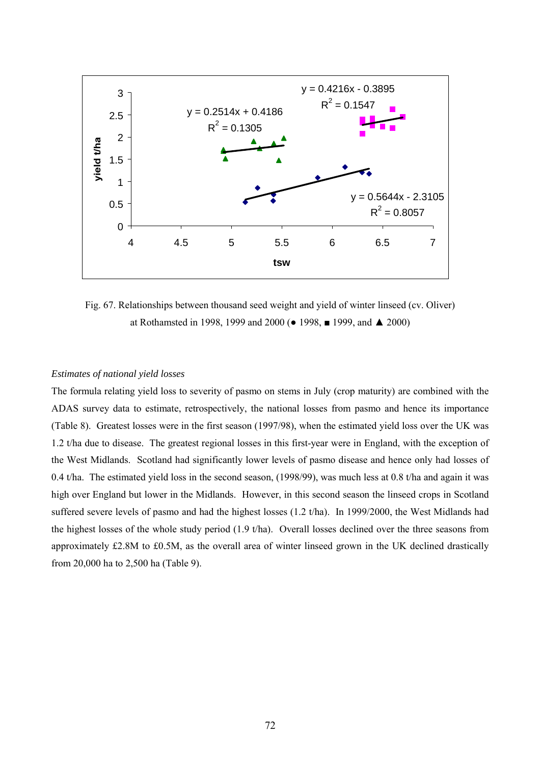

Fig. 67. Relationships between thousand seed weight and yield of winter linseed (cv. Oliver) at Rothamsted in 1998, 1999 and 2000 (● 1998, ■ 1999, and ▲ 2000)

## *Estimates of national yield losses*

The formula relating yield loss to severity of pasmo on stems in July (crop maturity) are combined with the ADAS survey data to estimate, retrospectively, the national losses from pasmo and hence its importance (Table 8). Greatest losses were in the first season (1997/98), when the estimated yield loss over the UK was 1.2 t/ha due to disease. The greatest regional losses in this first-year were in England, with the exception of the West Midlands. Scotland had significantly lower levels of pasmo disease and hence only had losses of 0.4 t/ha. The estimated yield loss in the second season, (1998/99), was much less at 0.8 t/ha and again it was high over England but lower in the Midlands. However, in this second season the linseed crops in Scotland suffered severe levels of pasmo and had the highest losses (1.2 t/ha). In 1999/2000, the West Midlands had the highest losses of the whole study period (1.9 t/ha). Overall losses declined over the three seasons from approximately £2.8M to £0.5M, as the overall area of winter linseed grown in the UK declined drastically from 20,000 ha to 2,500 ha (Table 9).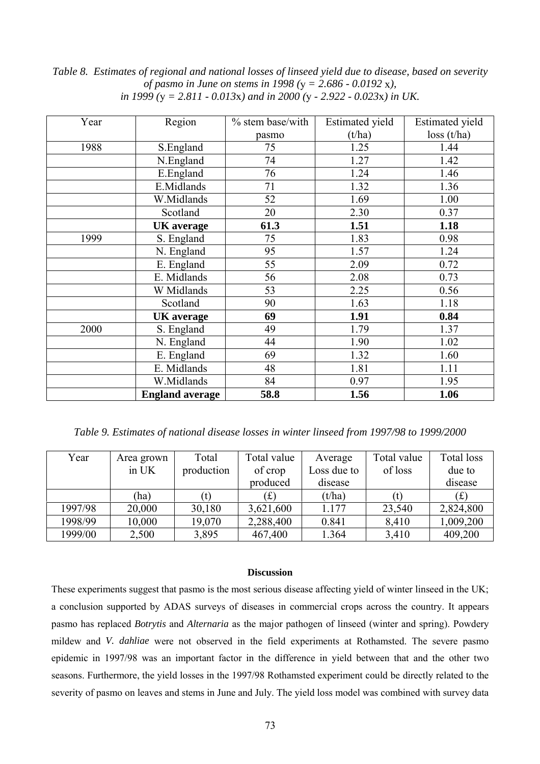| Year | Region                 | % stem base/with | <b>Estimated</b> yield | <b>Estimated</b> yield |
|------|------------------------|------------------|------------------------|------------------------|
|      |                        | pasmo            | (t/ha)                 | loss(t/ha)             |
| 1988 | S.England              | 75               | 1.25                   | 1.44                   |
|      | N.England              | 74               | 1.27                   | 1.42                   |
|      | E.England              | 76               | 1.24                   | 1.46                   |
|      | E.Midlands             | 71               | 1.32                   | 1.36                   |
|      | W.Midlands             | 52               | 1.69                   | 1.00                   |
|      | Scotland               | 20               | 2.30                   | 0.37                   |
|      | <b>UK</b> average      | 61.3             | 1.51                   | 1.18                   |
| 1999 | S. England             | 75               | 1.83                   | 0.98                   |
|      | N. England             | 95               | 1.57                   | 1.24                   |
|      | E. England             | 55               | 2.09                   | 0.72                   |
|      | E. Midlands            | 56               | 2.08                   | 0.73                   |
|      | W Midlands             | 53               | 2.25                   | 0.56                   |
|      | Scotland               | 90               | 1.63                   | 1.18                   |
|      | <b>UK</b> average      | 69               | 1.91                   | 0.84                   |
| 2000 | S. England             | 49               | 1.79                   | 1.37                   |
|      | N. England             | 44               | 1.90                   | 1.02                   |
|      | E. England             | 69               | 1.32                   | 1.60                   |
|      | E. Midlands            | 48               | 1.81                   | 1.11                   |
|      | W.Midlands             | 84               | 0.97                   | 1.95                   |
|      | <b>England average</b> | 58.8             | 1.56                   | 1.06                   |

*Table 8. Estimates of regional and national losses of linseed yield due to disease, based on severity of pasmo in June on stems in 1998 (*y *= 2.686 - 0.0192* x*), in 1999 (*y *= 2.811 - 0.013*x*) and in 2000 (*y *- 2.922 - 0.023*x*) in UK.*

*Table 9. Estimates of national disease losses in winter linseed from 1997/98 to 1999/2000*

| Year    | Area grown | Total      | Total value<br>Average     |             | Total value | Total loss |
|---------|------------|------------|----------------------------|-------------|-------------|------------|
|         | in UK      | production | of crop                    | Loss due to | of loss     | due to     |
|         |            |            | produced                   | disease     |             | disease    |
|         | ha)        |            | $\left( \textbf{f}\right)$ | (t/ha)      |             | (f)        |
| 1997/98 | 20,000     | 30,180     | 3,621,600                  | 1.177       | 23,540      | 2,824,800  |
| 1998/99 | 10,000     | 19,070     | 2,288,400                  | 0.841       | 8,410       | 1,009,200  |
| 1999/00 | 2,500      | 3,895      | 467,400                    | 1.364       | 3,410       | 409,200    |

### **Discussion**

These experiments suggest that pasmo is the most serious disease affecting yield of winter linseed in the UK; a conclusion supported by ADAS surveys of diseases in commercial crops across the country. It appears pasmo has replaced *Botrytis* and *Alternaria* as the major pathogen of linseed (winter and spring). Powdery mildew and *V. dahliae* were not observed in the field experiments at Rothamsted. The severe pasmo epidemic in 1997/98 was an important factor in the difference in yield between that and the other two seasons. Furthermore, the yield losses in the 1997/98 Rothamsted experiment could be directly related to the severity of pasmo on leaves and stems in June and July. The yield loss model was combined with survey data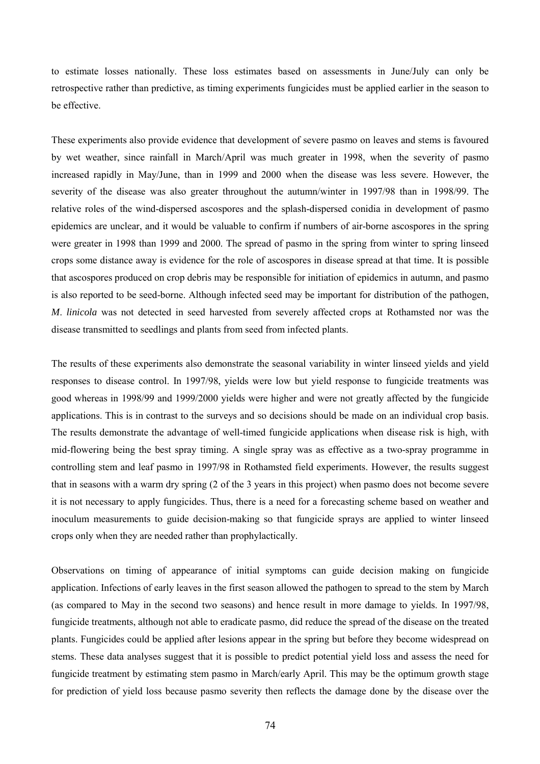to estimate losses nationally. These loss estimates based on assessments in June/July can only be retrospective rather than predictive, as timing experiments fungicides must be applied earlier in the season to be effective.

These experiments also provide evidence that development of severe pasmo on leaves and stems is favoured by wet weather, since rainfall in March/April was much greater in 1998, when the severity of pasmo increased rapidly in May/June, than in 1999 and 2000 when the disease was less severe. However, the severity of the disease was also greater throughout the autumn/winter in 1997/98 than in 1998/99. The relative roles of the wind-dispersed ascospores and the splash-dispersed conidia in development of pasmo epidemics are unclear, and it would be valuable to confirm if numbers of air-borne ascospores in the spring were greater in 1998 than 1999 and 2000. The spread of pasmo in the spring from winter to spring linseed crops some distance away is evidence for the role of ascospores in disease spread at that time. It is possible that ascospores produced on crop debris may be responsible for initiation of epidemics in autumn, and pasmo is also reported to be seed-borne. Although infected seed may be important for distribution of the pathogen, *M*. *linicola* was not detected in seed harvested from severely affected crops at Rothamsted nor was the disease transmitted to seedlings and plants from seed from infected plants.

The results of these experiments also demonstrate the seasonal variability in winter linseed yields and yield responses to disease control. In 1997/98, yields were low but yield response to fungicide treatments was good whereas in 1998/99 and 1999/2000 yields were higher and were not greatly affected by the fungicide applications. This is in contrast to the surveys and so decisions should be made on an individual crop basis. The results demonstrate the advantage of well-timed fungicide applications when disease risk is high, with mid-flowering being the best spray timing. A single spray was as effective as a two-spray programme in controlling stem and leaf pasmo in 1997/98 in Rothamsted field experiments. However, the results suggest that in seasons with a warm dry spring (2 of the 3 years in this project) when pasmo does not become severe it is not necessary to apply fungicides. Thus, there is a need for a forecasting scheme based on weather and inoculum measurements to guide decision-making so that fungicide sprays are applied to winter linseed crops only when they are needed rather than prophylactically.

Observations on timing of appearance of initial symptoms can guide decision making on fungicide application. Infections of early leaves in the first season allowed the pathogen to spread to the stem by March (as compared to May in the second two seasons) and hence result in more damage to yields. In 1997/98, fungicide treatments, although not able to eradicate pasmo, did reduce the spread of the disease on the treated plants. Fungicides could be applied after lesions appear in the spring but before they become widespread on stems. These data analyses suggest that it is possible to predict potential yield loss and assess the need for fungicide treatment by estimating stem pasmo in March/early April. This may be the optimum growth stage for prediction of yield loss because pasmo severity then reflects the damage done by the disease over the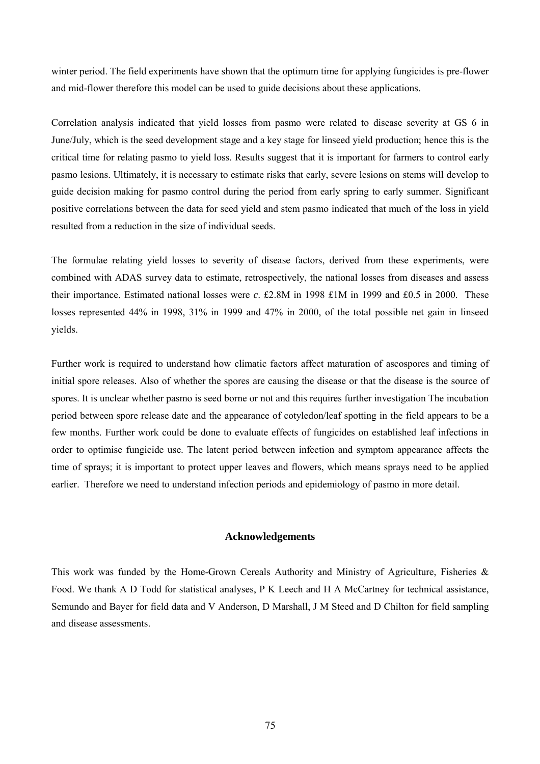winter period. The field experiments have shown that the optimum time for applying fungicides is pre-flower and mid-flower therefore this model can be used to guide decisions about these applications.

Correlation analysis indicated that yield losses from pasmo were related to disease severity at GS 6 in June/July, which is the seed development stage and a key stage for linseed yield production; hence this is the critical time for relating pasmo to yield loss. Results suggest that it is important for farmers to control early pasmo lesions. Ultimately, it is necessary to estimate risks that early, severe lesions on stems will develop to guide decision making for pasmo control during the period from early spring to early summer. Significant positive correlations between the data for seed yield and stem pasmo indicated that much of the loss in yield resulted from a reduction in the size of individual seeds.

The formulae relating yield losses to severity of disease factors, derived from these experiments, were combined with ADAS survey data to estimate, retrospectively, the national losses from diseases and assess their importance. Estimated national losses were *c*. £2.8M in 1998 £1M in 1999 and £0.5 in 2000. These losses represented 44% in 1998, 31% in 1999 and 47% in 2000, of the total possible net gain in linseed yields.

Further work is required to understand how climatic factors affect maturation of ascospores and timing of initial spore releases. Also of whether the spores are causing the disease or that the disease is the source of spores. It is unclear whether pasmo is seed borne or not and this requires further investigation The incubation period between spore release date and the appearance of cotyledon/leaf spotting in the field appears to be a few months. Further work could be done to evaluate effects of fungicides on established leaf infections in order to optimise fungicide use. The latent period between infection and symptom appearance affects the time of sprays; it is important to protect upper leaves and flowers, which means sprays need to be applied earlier. Therefore we need to understand infection periods and epidemiology of pasmo in more detail.

### **Acknowledgements**

This work was funded by the Home-Grown Cereals Authority and Ministry of Agriculture, Fisheries & Food. We thank A D Todd for statistical analyses, P K Leech and H A McCartney for technical assistance, Semundo and Bayer for field data and V Anderson, D Marshall, J M Steed and D Chilton for field sampling and disease assessments.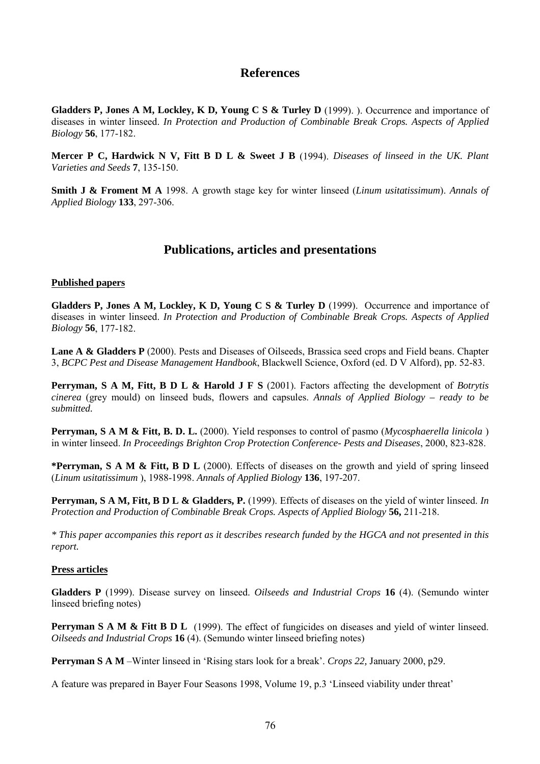# **References**

**Gladders P, Jones A M, Lockley, K D, Young C S & Turley D** (1999). ). Occurrence and importance of diseases in winter linseed. *In Protection and Production of Combinable Break Crops. Aspects of Applied Biology* **56**, 177-182.

**Mercer P C, Hardwick N V, Fitt B D L & Sweet J B** (1994). *Diseases of linseed in the UK. Plant Varieties and Seeds* **7**, 135-150.

**Smith J & Froment M A** 1998. A growth stage key for winter linseed (*Linum usitatissimum*). *Annals of Applied Biology* **133**, 297-306.

# **Publications, articles and presentations**

### **Published papers**

**Gladders P, Jones A M, Lockley, K D, Young C S & Turley D** (1999). Occurrence and importance of diseases in winter linseed. *In Protection and Production of Combinable Break Crops. Aspects of Applied Biology* **56**, 177-182.

Lane A & Gladders P (2000). Pests and Diseases of Oilseeds, Brassica seed crops and Field beans. Chapter 3, *BCPC Pest and Disease Management Handbook*, Blackwell Science, Oxford (ed. D V Alford), pp. 52-83.

**Perryman, S A M, Fitt, B D L & Harold J F S** (2001). Factors affecting the development of *Botrytis cinerea* (grey mould) on linseed buds, flowers and capsules. *Annals of Applied Biology – ready to be submitted.*

**Perryman, S A M & Fitt, B. D. L.** (2000). Yield responses to control of pasmo (*Mycosphaerella linicola* ) in winter linseed. *In Proceedings Brighton Crop Protection Conference- Pests and Diseases*, 2000, 823-828.

**\*Perryman, S A M & Fitt, B D L** (2000). Effects of diseases on the growth and yield of spring linseed (*Linum usitatissimum* ), 1988-1998. *Annals of Applied Biology* **136**, 197-207.

**Perryman, S A M, Fitt, B D L & Gladders, P.** (1999). Effects of diseases on the yield of winter linseed. *In Protection and Production of Combinable Break Crops. Aspects of Applied Biology* **56,** 211-218.

*\* This paper accompanies this report as it describes research funded by the HGCA and not presented in this report.*

### **Press articles**

**Gladders P** (1999). Disease survey on linseed. *Oilseeds and Industrial Crops* **16** (4). (Semundo winter linseed briefing notes)

**Perryman S A M & Fitt B D L** (1999). The effect of fungicides on diseases and yield of winter linseed. *Oilseeds and Industrial Crops* **16** (4). (Semundo winter linseed briefing notes)

**Perryman S A M** –Winter linseed in 'Rising stars look for a break'. *Crops 22,* January 2000, p29.

A feature was prepared in Bayer Four Seasons 1998, Volume 19, p.3 'Linseed viability under threat'